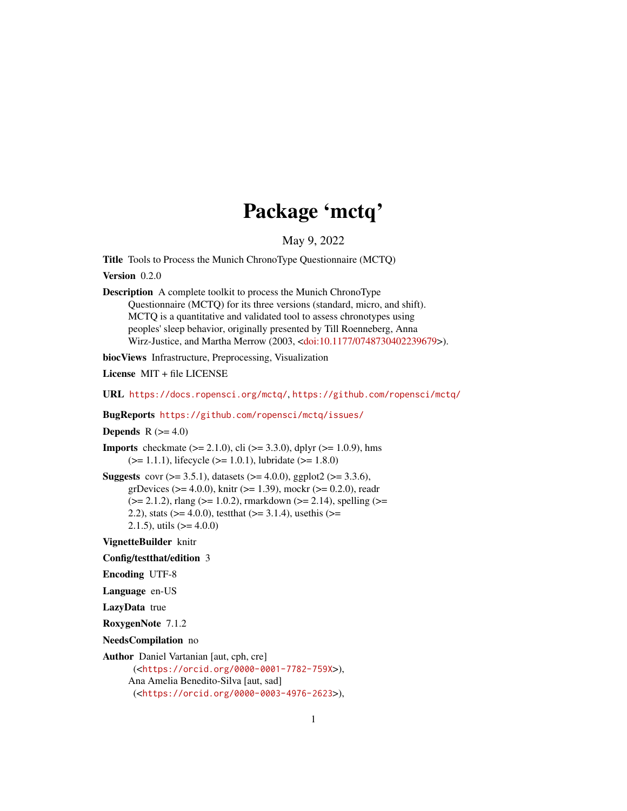# Package 'mctq'

May 9, 2022

<span id="page-0-0"></span>Title Tools to Process the Munich ChronoType Questionnaire (MCTQ)

Version 0.2.0

Description A complete toolkit to process the Munich ChronoType Questionnaire (MCTQ) for its three versions (standard, micro, and shift). MCTQ is a quantitative and validated tool to assess chronotypes using peoples' sleep behavior, originally presented by Till Roenneberg, Anna Wirz-Justice, and Martha Merrow (2003, [<doi:10.1177/0748730402239679>](https://doi.org/10.1177/0748730402239679)).

biocViews Infrastructure, Preprocessing, Visualization

License MIT + file LICENSE

URL <https://docs.ropensci.org/mctq/>, <https://github.com/ropensci/mctq/>

BugReports <https://github.com/ropensci/mctq/issues/>

```
Depends R (>= 4.0)
```
**Imports** checkmate ( $> = 2.1.0$ ), cli ( $> = 3.3.0$ ), dplyr ( $> = 1.0.9$ ), hms  $(>= 1.1.1)$ , lifecycle  $(>= 1.0.1)$ , lubridate  $(>= 1.8.0)$ 

**Suggests** covr ( $>= 3.5.1$ ), datasets ( $>= 4.0.0$ ), ggplot2 ( $>= 3.3.6$ ), grDevices ( $>= 4.0.0$ ), knitr ( $>= 1.39$ ), mockr ( $>= 0.2.0$ ), readr  $(>= 2.1.2)$ , rlang  $(>= 1.0.2)$ , rmarkdown  $(>= 2.14)$ , spelling  $(>= 1.0.2)$ 2.2), stats ( $>= 4.0.0$ ), testthat ( $>= 3.1.4$ ), usethis ( $>=$ 2.1.5), utils  $(>= 4.0.0)$ 

VignetteBuilder knitr

Config/testthat/edition 3

```
Encoding UTF-8
```
Language en-US

LazyData true

RoxygenNote 7.1.2

NeedsCompilation no

Author Daniel Vartanian [aut, cph, cre] (<<https://orcid.org/0000-0001-7782-759X>>), Ana Amelia Benedito-Silva [aut, sad] (<<https://orcid.org/0000-0003-4976-2623>>),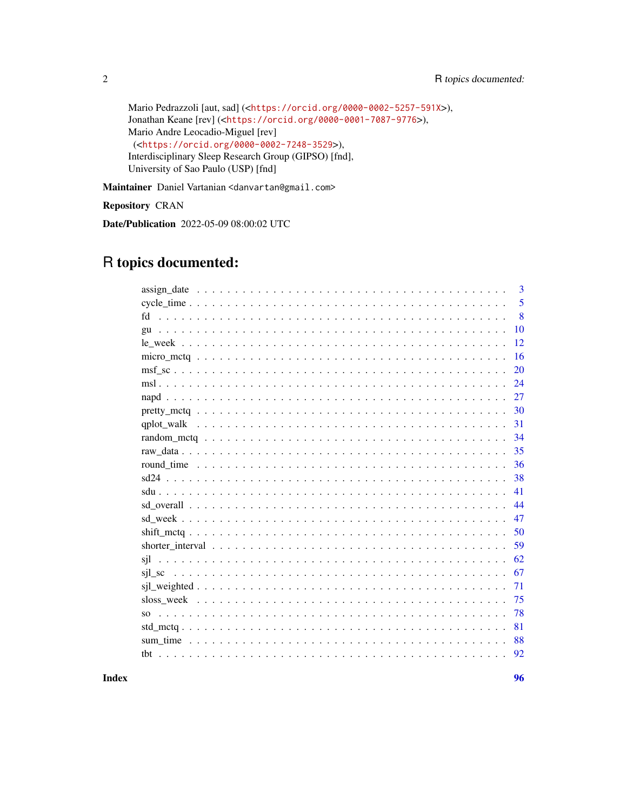```
Mario Pedrazzoli [aut, sad] (<https://orcid.org/0000-0002-5257-591X>),
Jonathan Keane [rev] (<https://orcid.org/0000-0001-7087-9776>),
Mario Andre Leocadio-Miguel [rev]
 (<https://orcid.org/0000-0002-7248-3529>),
Interdisciplinary Sleep Research Group (GIPSO) [fnd],
University of Sao Paulo (USP) [fnd]
```
Maintainer Daniel Vartanian <danvartan@gmail.com>

# Repository CRAN

Date/Publication 2022-05-09 08:00:02 UTC

# R topics documented:

|     | $\overline{3}$ |
|-----|----------------|
|     | 5              |
| fd  | 8              |
| gu  | 10             |
|     | 12             |
|     | 16             |
|     | 20             |
|     | 24             |
|     | 27             |
|     | 30             |
|     | 31             |
|     | 34             |
|     | 35             |
|     | 36             |
|     | 38             |
|     | 41             |
|     | 44             |
|     | 47             |
|     | 50             |
|     | 59             |
|     | 62             |
|     | 67             |
|     | 71             |
|     | 75             |
| SO. | 78             |
|     | 81             |
|     | 88             |
|     | 92             |
|     |                |

**Index [96](#page-95-0)**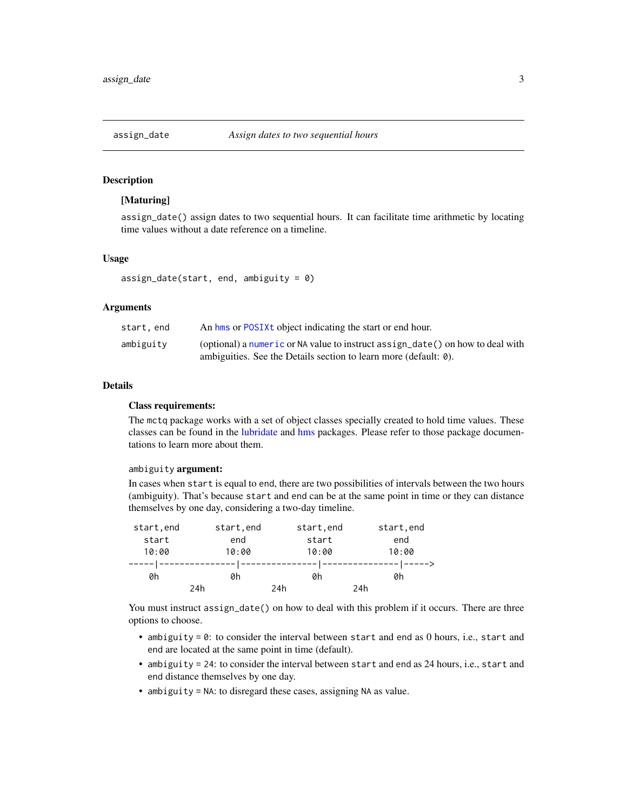<span id="page-2-1"></span><span id="page-2-0"></span>

# Description

#### [Maturing]

assign\_date() assign dates to two sequential hours. It can facilitate time arithmetic by locating time values without a date reference on a timeline.

# Usage

assign\_date(start, end, ambiguity =  $0$ )

## Arguments

| start.end | An hms or POSIXt object indicating the start or end hour.                                                                                          |
|-----------|----------------------------------------------------------------------------------------------------------------------------------------------------|
| ambiguity | (optional) a numeric or NA value to instruct assign_date() on how to deal with<br>ambiguities. See the Details section to learn more (default: 0). |

## Details

#### Class requirements:

The mctq package works with a set of object classes specially created to hold time values. These classes can be found in the [lubridate](#page-0-0) and [hms](#page-0-0) packages. Please refer to those package documentations to learn more about them.

## ambiguity argument:

In cases when start is equal to end, there are two possibilities of intervals between the two hours (ambiguity). That's because start and end can be at the same point in time or they can distance themselves by one day, considering a two-day timeline.

| start, end | start, end | start, end |     | start, end |
|------------|------------|------------|-----|------------|
| start      | end        | start      |     | end        |
| 10:00      | 10:00      | 10:00      |     | 10:00      |
|            |            |            |     |            |
| 0h         | 0h         | 0h         |     | 0h         |
|            | 24h        | 24h        | 24h |            |

You must instruct assign\_date() on how to deal with this problem if it occurs. There are three options to choose.

- ambiguity  $= 0$ : to consider the interval between start and end as 0 hours, i.e., start and end are located at the same point in time (default).
- ambiguity = 24: to consider the interval between start and end as 24 hours, i.e., start and end distance themselves by one day.
- ambiguity = NA: to disregard these cases, assigning NA as value.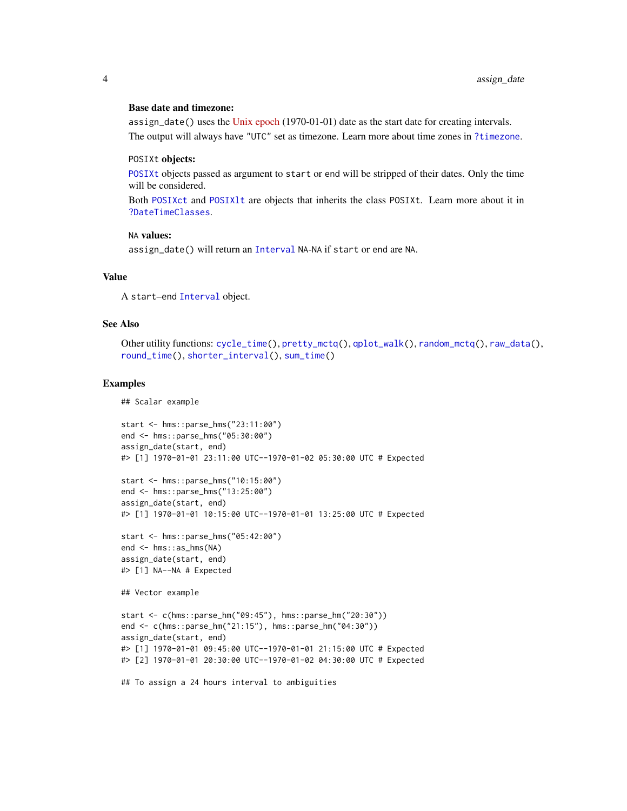#### Base date and timezone:

assign\_date() uses the [Unix epoch](https://en.wikipedia.org/wiki/Unix_time) (1970-01-01) date as the start date for creating intervals. The output will always have "UTC" set as timezone. Learn more about time zones in [?timezone](#page-0-0).

#### POSIXt objects:

[POSIXt](#page-0-0) objects passed as argument to start or end will be stripped of their dates. Only the time will be considered.

Both [POSIXct](#page-0-0) and [POSIXlt](#page-0-0) are objects that inherits the class POSIXt. Learn more about it in [?DateTimeClasses](#page-0-0).

## NA values:

assign\_date() will return an [Interval](#page-0-0) NA-NA if start or end are NA.

# Value

A start–end [Interval](#page-0-0) object.

## See Also

Other utility functions: [cycle\\_time\(](#page-4-1)), [pretty\\_mctq\(](#page-29-1)), [qplot\\_walk\(](#page-30-1)), [random\\_mctq\(](#page-33-1)), [raw\\_data\(](#page-34-1)), [round\\_time\(](#page-35-1)), [shorter\\_interval\(](#page-58-1)), [sum\\_time\(](#page-87-1))

#### Examples

## Scalar example

```
start <- hms::parse_hms("23:11:00")
end <- hms::parse_hms("05:30:00")
assign_date(start, end)
#> [1] 1970-01-01 23:11:00 UTC--1970-01-02 05:30:00 UTC # Expected
```

```
start <- hms::parse_hms("10:15:00")
end <- hms::parse_hms("13:25:00")
assign_date(start, end)
#> [1] 1970-01-01 10:15:00 UTC--1970-01-01 13:25:00 UTC # Expected
```

```
start <- hms::parse_hms("05:42:00")
end <- hms::as_hms(NA)
assign_date(start, end)
#> [1] NA--NA # Expected
```
## Vector example

```
start <- c(hms::parse_hm("09:45"), hms::parse_hm("20:30"))
end <- c(hms::parse_hm("21:15"), hms::parse_hm("04:30"))
assign_date(start, end)
#> [1] 1970-01-01 09:45:00 UTC--1970-01-01 21:15:00 UTC # Expected
#> [2] 1970-01-01 20:30:00 UTC--1970-01-02 04:30:00 UTC # Expected
```
## To assign a 24 hours interval to ambiguities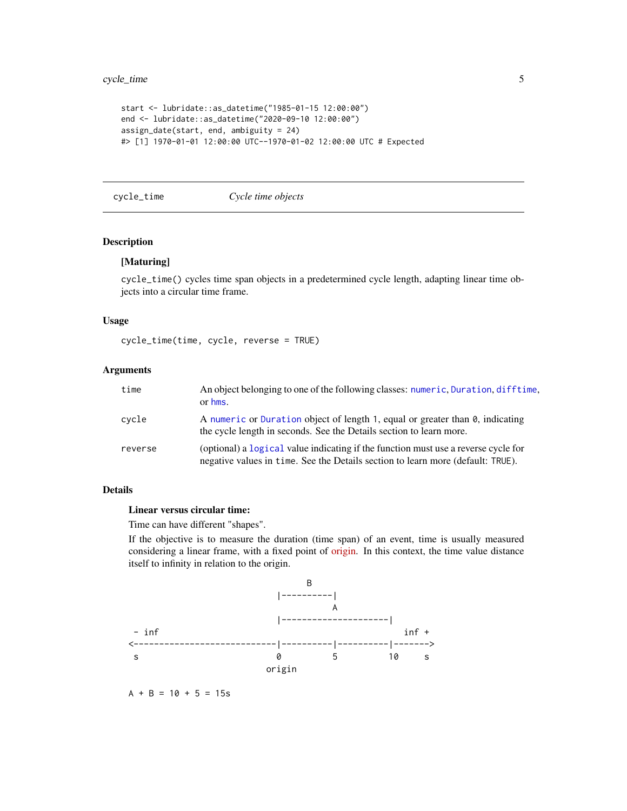# <span id="page-4-0"></span>cycle\_time 5

```
start <- lubridate::as_datetime("1985-01-15 12:00:00")
end <- lubridate::as_datetime("2020-09-10 12:00:00")
assign_date(start, end, ambiguity = 24)
#> [1] 1970-01-01 12:00:00 UTC--1970-01-02 12:00:00 UTC # Expected
```
<span id="page-4-1"></span>cycle\_time *Cycle time objects*

# Description

#### [Maturing]

cycle\_time() cycles time span objects in a predetermined cycle length, adapting linear time objects into a circular time frame.

#### Usage

cycle\_time(time, cycle, reverse = TRUE)

## Arguments

| time    | An object belonging to one of the following classes: numeric, Duration, difftime,<br>or hms.                                                                          |
|---------|-----------------------------------------------------------------------------------------------------------------------------------------------------------------------|
| cycle   | A numeric or Duration object of length 1, equal or greater than $\theta$ , indicating<br>the cycle length in seconds. See the Details section to learn more.          |
| reverse | (optional) a logical value indicating if the function must use a reverse cycle for<br>negative values in time. See the Details section to learn more (default: TRUE). |

# Details

#### Linear versus circular time:

Time can have different "shapes".

If the objective is to measure the duration (time span) of an event, time is usually measured considering a linear frame, with a fixed point of [origin.](https://en.wikipedia.org/wiki/Origin_(mathematics)) In this context, the time value distance itself to infinity in relation to the origin.



 $A + B = 10 + 5 = 15s$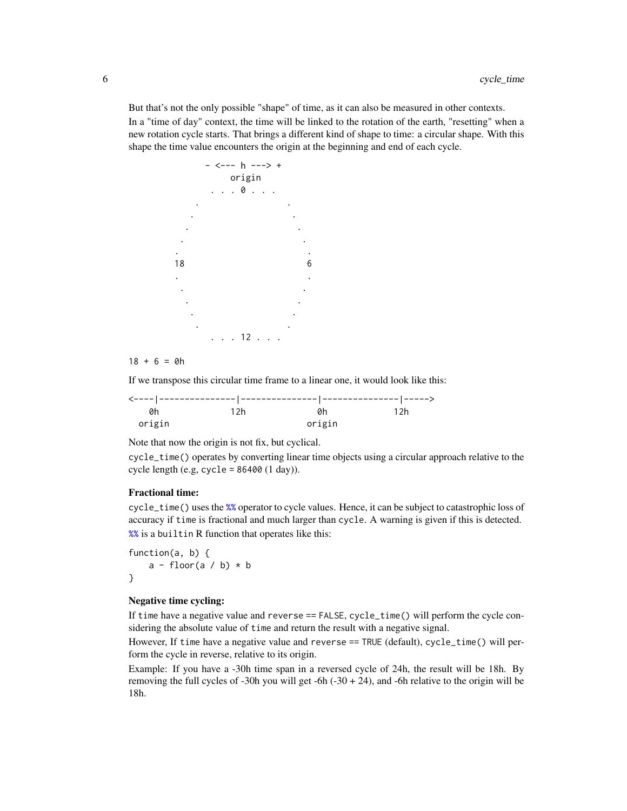But that's not the only possible "shape" of time, as it can also be measured in other contexts.

In a "time of day" context, the time will be linked to the rotation of the earth, "resetting" when a new rotation cycle starts. That brings a different kind of shape to time: a circular shape. With this shape the time value encounters the origin at the beginning and end of each cycle.



#### $18 + 6 = 0h$

If we transpose this circular time frame to a linear one, it would look like this:

| Øh     | 12h | Øh     | 2h |
|--------|-----|--------|----|
| origin |     | origin |    |

Note that now the origin is not fix, but cyclical.

cycle\_time() operates by converting linear time objects using a circular approach relative to the cycle length (e.g, cycle =  $86400$  (1 day)).

## Fractional time:

cycle\_time() uses the [%%](#page-0-0) operator to cycle values. Hence, it can be subject to catastrophic loss of accuracy if time is fractional and much larger than cycle. A warning is given if this is detected. [%%](#page-0-0) is a builtin R function that operates like this:

function(a, b) {  $a -$  floor( $a / b$ ) \* b }

#### Negative time cycling:

If time have a negative value and reverse == FALSE, cycle\_time() will perform the cycle considering the absolute value of time and return the result with a negative signal.

However, If time have a negative value and reverse == TRUE (default), cycle\_time() will perform the cycle in reverse, relative to its origin.

Example: If you have a -30h time span in a reversed cycle of 24h, the result will be 18h. By removing the full cycles of -30h you will get -6h (-30 + 24), and -6h relative to the origin will be 18h.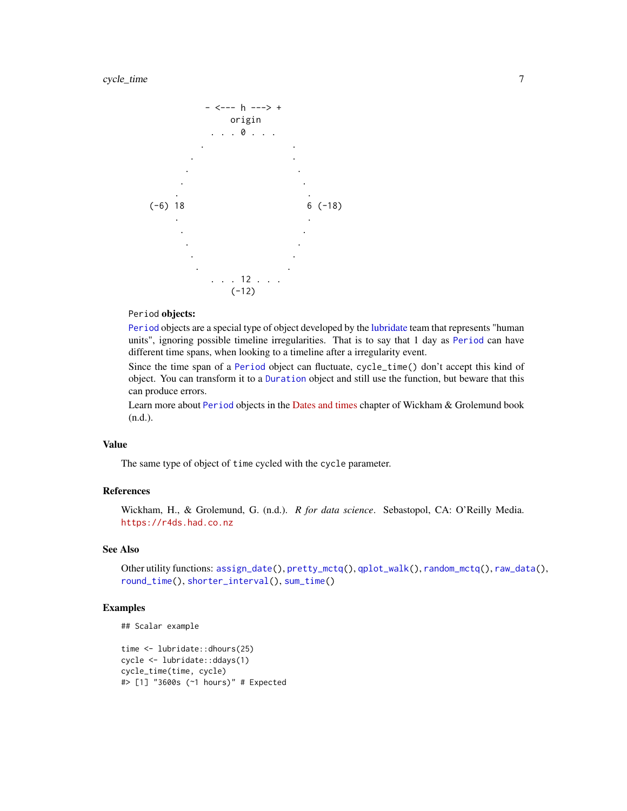

## Period objects:

[Period](#page-0-0) objects are a special type of object developed by the [lubridate](#page-0-0) team that represents "human units", ignoring possible timeline irregularities. That is to say that 1 day as [Period](#page-0-0) can have different time spans, when looking to a timeline after a irregularity event.

Since the time span of a [Period](#page-0-0) object can fluctuate, cycle\_time() don't accept this kind of object. You can transform it to a [Duration](#page-0-0) object and still use the function, but beware that this can produce errors.

Learn more about [Period](#page-0-0) objects in the [Dates and times](https://r4ds.had.co.nz/dates-and-times.html#periods) chapter of Wickham & Grolemund book (n.d.).

## Value

The same type of object of time cycled with the cycle parameter.

#### References

Wickham, H., & Grolemund, G. (n.d.). *R for data science*. Sebastopol, CA: O'Reilly Media. <https://r4ds.had.co.nz>

# See Also

Other utility functions: [assign\\_date\(](#page-2-1)), [pretty\\_mctq\(](#page-29-1)), [qplot\\_walk\(](#page-30-1)), [random\\_mctq\(](#page-33-1)), [raw\\_data\(](#page-34-1)), [round\\_time\(](#page-35-1)), [shorter\\_interval\(](#page-58-1)), [sum\\_time\(](#page-87-1))

## Examples

```
## Scalar example
```

```
time <- lubridate::dhours(25)
cycle <- lubridate::ddays(1)
cycle_time(time, cycle)
#> [1] "3600s (~1 hours)" # Expected
```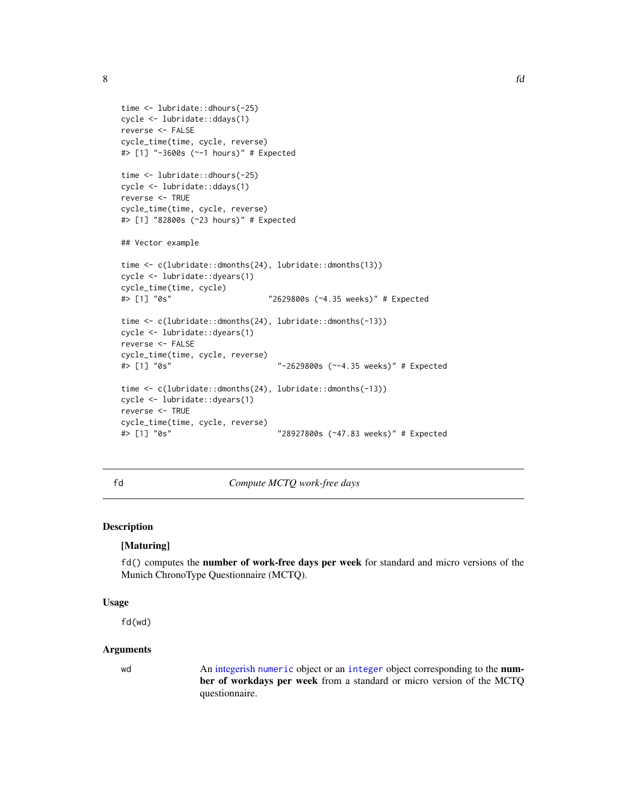<span id="page-7-0"></span>8 fd storm and the state of the state of the state of the state of the state of the state of the state of the state of the state of the state of the state of the state of the state of the state of the state of the state of

```
time <- lubridate::dhours(-25)
cycle <- lubridate::ddays(1)
reverse <- FALSE
cycle_time(time, cycle, reverse)
#> [1] "-3600s (~-1 hours)" # Expected
time <- lubridate::dhours(-25)
cycle <- lubridate::ddays(1)
reverse <- TRUE
cycle_time(time, cycle, reverse)
#> [1] "82800s (~23 hours)" # Expected
## Vector example
time <- c(lubridate::dmonths(24), lubridate::dmonths(13))
cycle <- lubridate::dyears(1)
cycle_time(time, cycle)
#> [1] "0s" "2629800s (~4.35 weeks)" # Expected
time <- c(lubridate::dmonths(24), lubridate::dmonths(-13))
cycle <- lubridate::dyears(1)
reverse <- FALSE
cycle_time(time, cycle, reverse)
#> [1] "0s" "-2629800s (~-4.35 weeks)" # Expected
time <- c(lubridate::dmonths(24), lubridate::dmonths(-13))
cycle <- lubridate::dyears(1)
reverse <- TRUE
cycle_time(time, cycle, reverse)
#> [1] "0s" "28927800s (~47.83 weeks)" # Expected
```
<span id="page-7-1"></span>

fd *Compute MCTQ work-free days*

#### Description

## [Maturing]

fd() computes the number of work-free days per week for standard and micro versions of the Munich ChronoType Questionnaire (MCTQ).

#### Usage

fd(wd)

## Arguments

wd An [integerish](#page-0-0) [numeric](#page-0-0) object or an [integer](#page-0-0) object corresponding to the number of workdays per week from a standard or micro version of the MCTQ questionnaire.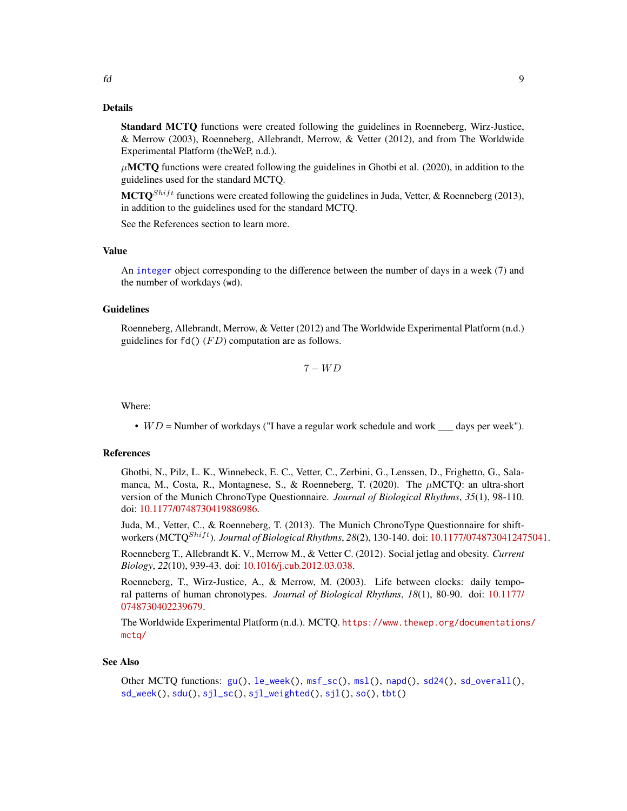# Details

Standard MCTQ functions were created following the guidelines in Roenneberg, Wirz-Justice, & Merrow (2003), Roenneberg, Allebrandt, Merrow, & Vetter (2012), and from The Worldwide Experimental Platform (theWeP, n.d.).

 $\mu$ MCTQ functions were created following the guidelines in Ghotbi et al. (2020), in addition to the guidelines used for the standard MCTQ.

MCTO<sup>Shift</sup> functions were created following the guidelines in Juda, Vetter, & Roenneberg (2013), in addition to the guidelines used for the standard MCTQ.

See the References section to learn more.

#### Value

An [integer](#page-0-0) object corresponding to the difference between the number of days in a week (7) and the number of workdays (wd).

# Guidelines

Roenneberg, Allebrandt, Merrow, & Vetter (2012) and The Worldwide Experimental Platform (n.d.) guidelines for  $fd()$  ( $FD$ ) computation are as follows.

 $7 - WD$ 

Where:

•  $WD =$  Number of workdays ("I have a regular work schedule and work  $\_\_\_\$ days per week").

#### References

Ghotbi, N., Pilz, L. K., Winnebeck, E. C., Vetter, C., Zerbini, G., Lenssen, D., Frighetto, G., Salamanca, M., Costa, R., Montagnese, S., & Roenneberg, T. (2020). The  $\mu$ MCTQ: an ultra-short version of the Munich ChronoType Questionnaire. *Journal of Biological Rhythms*, *35*(1), 98-110. doi: [10.1177/0748730419886986.](https://doi.org/10.1177/0748730419886986)

Juda, M., Vetter, C., & Roenneberg, T. (2013). The Munich ChronoType Questionnaire for shiftworkers (MCTO<sup>Shift</sup>). *Journal of Biological Rhythms*, 28(2), 130-140. doi: [10.1177/0748730412475041.](https://doi.org/10.1177/0748730412475041)

Roenneberg T., Allebrandt K. V., Merrow M., & Vetter C. (2012). Social jetlag and obesity. *Current Biology*, *22*(10), 939-43. doi: [10.1016/j.cub.2012.03.038.](https://doi.org/10.1016/j.cub.2012.03.038)

Roenneberg, T., Wirz-Justice, A., & Merrow, M. (2003). Life between clocks: daily temporal patterns of human chronotypes. *Journal of Biological Rhythms*, *18*(1), 80-90. doi: [10.1177/](https://doi.org/10.1177/0748730402239679) [0748730402239679.](https://doi.org/10.1177/0748730402239679)

The Worldwide Experimental Platform (n.d.). MCTQ. [https://www.thewep.org/documentation](https://www.thewep.org/documentations/mctq/)s/ [mctq/](https://www.thewep.org/documentations/mctq/)

#### See Also

Other MCTQ functions: [gu\(](#page-9-1)), [le\\_week\(](#page-11-1)), [msf\\_sc\(](#page-19-1)), [msl\(](#page-23-1)), [napd\(](#page-26-1)), [sd24\(](#page-37-1)), [sd\\_overall\(](#page-43-1)), [sd\\_week\(](#page-46-1)), [sdu\(](#page-40-1)), [sjl\\_sc\(](#page-66-1)), [sjl\\_weighted\(](#page-70-1)), [sjl\(](#page-61-1)), [so\(](#page-77-1)), [tbt\(](#page-91-1))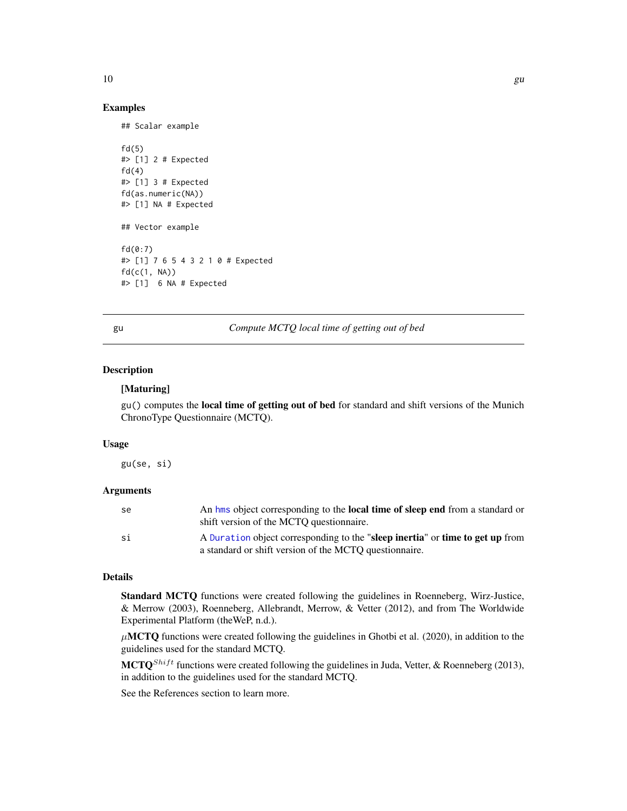<span id="page-9-0"></span>

## Examples

```
## Scalar example
fd(5)#> [1] 2 # Expected
fd(4)#> [1] 3 # Expected
fd(as.numeric(NA))
#> [1] NA # Expected
## Vector example
fd(0:7)#> [1] 7 6 5 4 3 2 1 0 # Expected
fd(c(1, NA))
#> [1] 6 NA # Expected
```
<span id="page-9-1"></span>gu *Compute MCTQ local time of getting out of bed*

## Description

#### [Maturing]

gu() computes the local time of getting out of bed for standard and shift versions of the Munich ChronoType Questionnaire (MCTQ).

## Usage

gu(se, si)

# Arguments

| se | An hms object corresponding to the <b>local time of sleep end</b> from a standard or<br>shift version of the MCTO questionnaire.        |
|----|-----------------------------------------------------------------------------------------------------------------------------------------|
| si | A Duration object corresponding to the "sleep inertia" or time to get up from<br>a standard or shift version of the MCTQ questionnaire. |

## Details

Standard MCTQ functions were created following the guidelines in Roenneberg, Wirz-Justice, & Merrow (2003), Roenneberg, Allebrandt, Merrow, & Vetter (2012), and from The Worldwide Experimental Platform (theWeP, n.d.).

 $\mu$ MCTQ functions were created following the guidelines in Ghotbi et al. (2020), in addition to the guidelines used for the standard MCTQ.

 $MCTQ^{Shift}$  functions were created following the guidelines in Juda, Vetter, & Roenneberg (2013), in addition to the guidelines used for the standard MCTQ.

See the References section to learn more.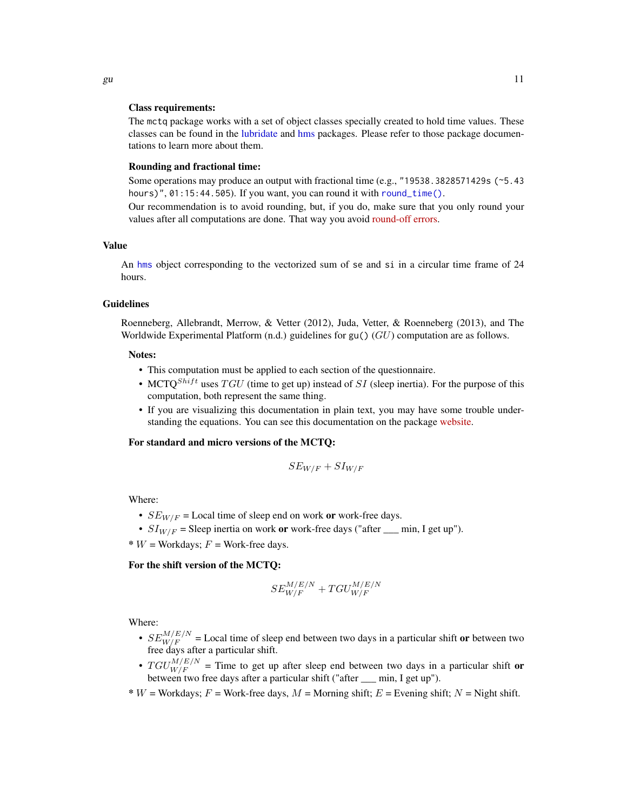## Class requirements:

The mctq package works with a set of object classes specially created to hold time values. These classes can be found in the [lubridate](#page-0-0) and [hms](#page-0-0) packages. Please refer to those package documentations to learn more about them.

#### Rounding and fractional time:

Some operations may produce an output with fractional time (e.g., "19538.3828571429s (~5.43 hours)", 01:15:44.505). If you want, you can round it with [round\\_time\(\)](#page-35-1).

Our recommendation is to avoid rounding, but, if you do, make sure that you only round your values after all computations are done. That way you avoid [round-off errors.](https://en.wikipedia.org/wiki/Round-off_error)

#### Value

An [hms](#page-0-0) object corresponding to the vectorized sum of se and si in a circular time frame of 24 hours.

## Guidelines

Roenneberg, Allebrandt, Merrow, & Vetter (2012), Juda, Vetter, & Roenneberg (2013), and The Worldwide Experimental Platform  $(n.d.)$  guidelines for gu()  $(GU)$  computation are as follows.

## Notes:

- This computation must be applied to each section of the questionnaire.
- MCTO<sup>Shift</sup> uses  $TGU$  (time to get up) instead of SI (sleep inertia). For the purpose of this computation, both represent the same thing.
- If you are visualizing this documentation in plain text, you may have some trouble understanding the equations. You can see this documentation on the package [website.](https://docs.ropensci.org/mctq/reference/)

#### For standard and micro versions of the MCTQ:

$$
S E_{W/F} + S I_{W/F} \,
$$

Where:

- $SE_{W/F}$  = Local time of sleep end on work or work-free days.
- $SI_{W/F}$  = Sleep inertia on work or work-free days ("after  $\_\_$ min, I get up").
- $* W =$  Workdays;  $F =$  Work-free days.

## For the shift version of the MCTQ:

$$
SE_{W/F}^{M/E/N} + TGU_{W/F}^{M/E/N}
$$

Where:

- $SE_{W/F}^{M/E/N}$  = Local time of sleep end between two days in a particular shift or between two free days after a particular shift.
- $TGU_{W/F}^{M/E/N}$  = Time to get up after sleep end between two days in a particular shift or between two free days after a particular shift ("after \_\_\_ min, I get up").
- \* W = Workdays;  $F$  = Work-free days,  $M$  = Morning shift;  $E$  = Evening shift;  $N$  = Night shift.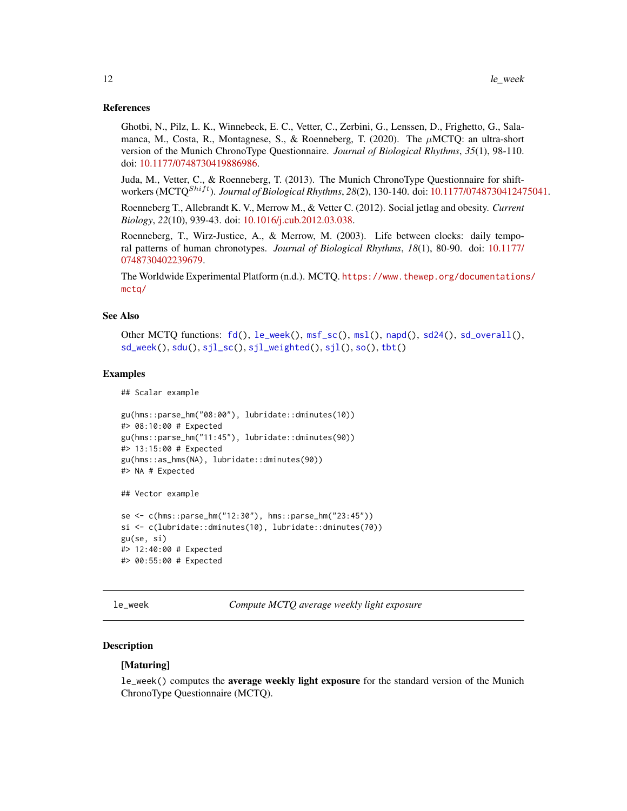## <span id="page-11-0"></span>References

Ghotbi, N., Pilz, L. K., Winnebeck, E. C., Vetter, C., Zerbini, G., Lenssen, D., Frighetto, G., Salamanca, M., Costa, R., Montagnese, S., & Roenneberg, T. (2020). The  $\mu$ MCTQ: an ultra-short version of the Munich ChronoType Questionnaire. *Journal of Biological Rhythms*, *35*(1), 98-110. doi: [10.1177/0748730419886986.](https://doi.org/10.1177/0748730419886986)

Juda, M., Vetter, C., & Roenneberg, T. (2013). The Munich ChronoType Questionnaire for shiftworkers (MCTQ<sup>Shift</sup>). *Journal of Biological Rhythms*, 28(2), 130-140. doi: [10.1177/0748730412475041.](https://doi.org/10.1177/0748730412475041)

Roenneberg T., Allebrandt K. V., Merrow M., & Vetter C. (2012). Social jetlag and obesity. *Current Biology*, *22*(10), 939-43. doi: [10.1016/j.cub.2012.03.038.](https://doi.org/10.1016/j.cub.2012.03.038)

Roenneberg, T., Wirz-Justice, A., & Merrow, M. (2003). Life between clocks: daily temporal patterns of human chronotypes. *Journal of Biological Rhythms*, *18*(1), 80-90. doi: [10.1177/](https://doi.org/10.1177/0748730402239679) [0748730402239679.](https://doi.org/10.1177/0748730402239679)

The Worldwide Experimental Platform (n.d.). MCTQ. [https://www.thewep.org/documentation](https://www.thewep.org/documentations/mctq/)s/ [mctq/](https://www.thewep.org/documentations/mctq/)

## See Also

Other MCTO functions:  $fd()$  $fd()$ ,  $le\text{week}()$ ,  $msf\text{ }sc()$ ,  $msl()$  $msl()$ ,  $napd()$  $napd()$ ,  $sd24()$  $sd24()$ ,  $sd\text{ }overall()$ , [sd\\_week\(](#page-46-1)), [sdu\(](#page-40-1)), [sjl\\_sc\(](#page-66-1)), [sjl\\_weighted\(](#page-70-1)), [sjl\(](#page-61-1)), [so\(](#page-77-1)), [tbt\(](#page-91-1))

#### Examples

## Scalar example

```
gu(hms::parse_hm("08:00"), lubridate::dminutes(10))
#> 08:10:00 # Expected
gu(hms::parse_hm("11:45"), lubridate::dminutes(90))
#> 13:15:00 # Expected
gu(hms::as_hms(NA), lubridate::dminutes(90))
#> NA # Expected
## Vector example
```

```
se <- c(hms::parse_hm("12:30"), hms::parse_hm("23:45"))
si <- c(lubridate::dminutes(10), lubridate::dminutes(70))
gu(se, si)
#> 12:40:00 # Expected
#> 00:55:00 # Expected
```
<span id="page-11-1"></span>le\_week *Compute MCTQ average weekly light exposure*

#### Description

## [Maturing]

le\_week() computes the average weekly light exposure for the standard version of the Munich ChronoType Questionnaire (MCTQ).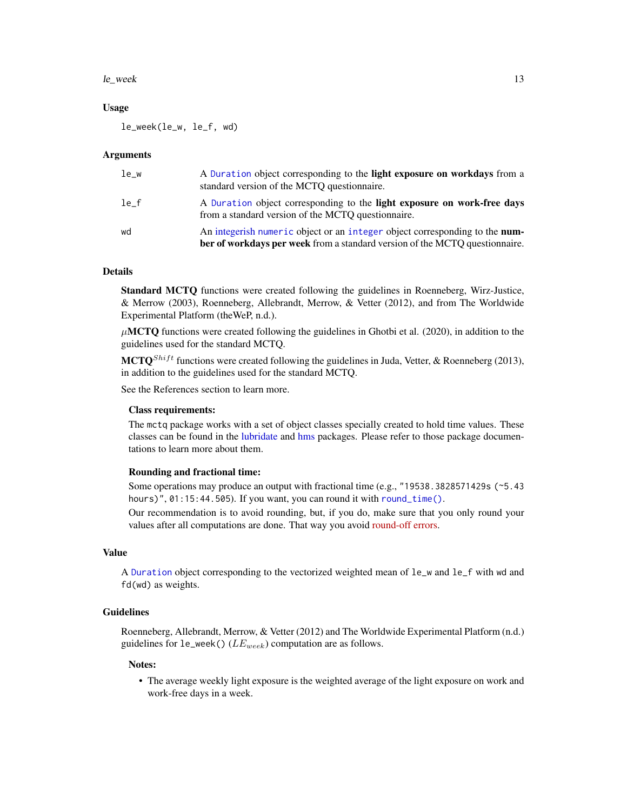#### $l$ e\_week 13

## Usage

le\_week(le\_w, le\_f, wd)

#### Arguments

| le w | A Duration object corresponding to the light exposure on workdays from a<br>standard version of the MCTQ questionnaire.                                    |
|------|------------------------------------------------------------------------------------------------------------------------------------------------------------|
| le f | A Duration object corresponding to the light exposure on work-free days<br>from a standard version of the MCTQ questionnaire.                              |
| wd   | An integerish numeric object or an integer object corresponding to the num-<br>ber of workdays per week from a standard version of the MCTQ questionnaire. |

## Details

Standard MCTQ functions were created following the guidelines in Roenneberg, Wirz-Justice, & Merrow (2003), Roenneberg, Allebrandt, Merrow, & Vetter (2012), and from The Worldwide Experimental Platform (theWeP, n.d.).

 $\mu$ MCTQ functions were created following the guidelines in Ghotbi et al. (2020), in addition to the guidelines used for the standard MCTQ.

**MCTQ**<sup>Shift</sup> functions were created following the guidelines in Juda, Vetter, & Roenneberg (2013), in addition to the guidelines used for the standard MCTQ.

See the References section to learn more.

## Class requirements:

The mctq package works with a set of object classes specially created to hold time values. These classes can be found in the [lubridate](#page-0-0) and [hms](#page-0-0) packages. Please refer to those package documentations to learn more about them.

## Rounding and fractional time:

Some operations may produce an output with fractional time (e.g., "19538.3828571429s (~5.43 hours)", 01:15:44.505). If you want, you can round it with [round\\_time\(\)](#page-35-1).

Our recommendation is to avoid rounding, but, if you do, make sure that you only round your values after all computations are done. That way you avoid [round-off errors.](https://en.wikipedia.org/wiki/Round-off_error)

# Value

A [Duration](#page-0-0) object corresponding to the vectorized weighted mean of le\_w and le\_f with wd and fd(wd) as weights.

# Guidelines

Roenneberg, Allebrandt, Merrow, & Vetter (2012) and The Worldwide Experimental Platform (n.d.) guidelines for  $le\_week()$  ( $LE_{week}$ ) computation are as follows.

#### Notes:

• The average weekly light exposure is the weighted average of the light exposure on work and work-free days in a week.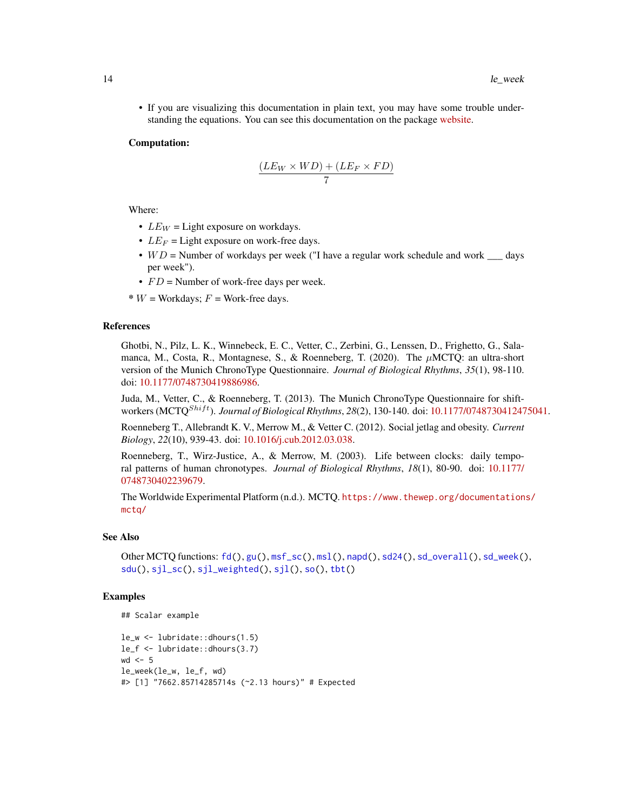• If you are visualizing this documentation in plain text, you may have some trouble understanding the equations. You can see this documentation on the package [website.](https://docs.ropensci.org/mctq/reference/)

#### Computation:

$$
\frac{(LE_W \times WD) + (LE_F \times FD)}{7}
$$

Where:

- $LE_W =$  Light exposure on workdays.
- $LE_F$  = Light exposure on work-free days.
- $WD =$  Number of workdays per week ("I have a regular work schedule and work  $\_\_\_\_$  days per week").
- $FD =$  Number of work-free days per week.
- $* W$  = Workdays;  $F$  = Work-free days.

## References

Ghotbi, N., Pilz, L. K., Winnebeck, E. C., Vetter, C., Zerbini, G., Lenssen, D., Frighetto, G., Salamanca, M., Costa, R., Montagnese, S., & Roenneberg, T. (2020). The  $\mu$ MCTQ: an ultra-short version of the Munich ChronoType Questionnaire. *Journal of Biological Rhythms*, *35*(1), 98-110. doi: [10.1177/0748730419886986.](https://doi.org/10.1177/0748730419886986)

Juda, M., Vetter, C., & Roenneberg, T. (2013). The Munich ChronoType Questionnaire for shiftworkers (MCTQ<sup>Shift</sup>). *Journal of Biological Rhythms*, 28(2), 130-140. doi: [10.1177/0748730412475041.](https://doi.org/10.1177/0748730412475041)

Roenneberg T., Allebrandt K. V., Merrow M., & Vetter C. (2012). Social jetlag and obesity. *Current Biology*, *22*(10), 939-43. doi: [10.1016/j.cub.2012.03.038.](https://doi.org/10.1016/j.cub.2012.03.038)

Roenneberg, T., Wirz-Justice, A., & Merrow, M. (2003). Life between clocks: daily temporal patterns of human chronotypes. *Journal of Biological Rhythms*, *18*(1), 80-90. doi: [10.1177/](https://doi.org/10.1177/0748730402239679) [0748730402239679.](https://doi.org/10.1177/0748730402239679)

The Worldwide Experimental Platform (n.d.). MCTQ. [https://www.thewep.org/documentation](https://www.thewep.org/documentations/mctq/)s/ [mctq/](https://www.thewep.org/documentations/mctq/)

#### See Also

Other MCTQ functions: [fd\(](#page-7-1)), [gu\(](#page-9-1)), [msf\\_sc\(](#page-19-1)), [msl\(](#page-23-1)), [napd\(](#page-26-1)), [sd24\(](#page-37-1)), [sd\\_overall\(](#page-43-1)), [sd\\_week\(](#page-46-1)), [sdu\(](#page-40-1)), [sjl\\_sc\(](#page-66-1)), [sjl\\_weighted\(](#page-70-1)), [sjl\(](#page-61-1)), [so\(](#page-77-1)), [tbt\(](#page-91-1))

## Examples

```
## Scalar example
```

```
le_w <- lubridate::dhours(1.5)
le_f <- lubridate::dhours(3.7)
wd < -5le_week(le_w, le_f, wd)
#> [1] "7662.85714285714s (~2.13 hours)" # Expected
```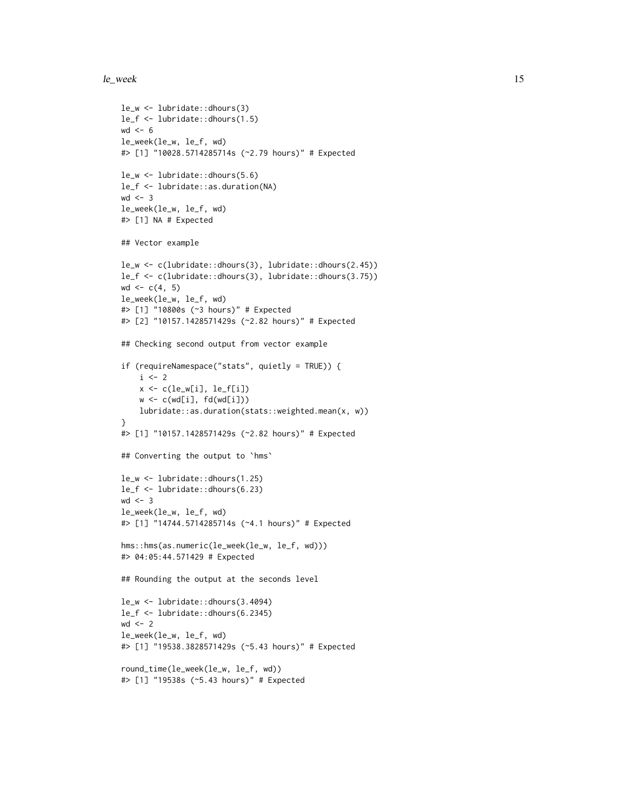#### le\_week 15

```
le_w <- lubridate::dhours(3)
le_f <- lubridate::dhours(1.5)
wd < - 6le_week(le_w, le_f, wd)
#> [1] "10028.5714285714s (~2.79 hours)" # Expected
le_w <- lubridate::dhours(5.6)
le_f <- lubridate::as.duration(NA)
wd < -3le_week(le_w, le_f, wd)
#> [1] NA # Expected
## Vector example
le_w <- c(lubridate::dhours(3), lubridate::dhours(2.45))
le_f <- c(lubridate::dhours(3), lubridate::dhours(3.75))
wd < -c(4, 5)le_week(le_w, le_f, wd)
#> [1] "10800s (~3 hours)" # Expected
#> [2] "10157.1428571429s (~2.82 hours)" # Expected
## Checking second output from vector example
if (requireNamespace("stats", quietly = TRUE)) {
    i \leq -2x \leftarrow c(\text{le\_w[i]}, \text{le\_f[i]})w \leftarrow c(wd[i], fd(wd[i]))lubridate::as.duration(stats::weighted.mean(x, w))
}
#> [1] "10157.1428571429s (~2.82 hours)" # Expected
## Converting the output to `hms`
le_w <- lubridate::dhours(1.25)
le_f <- lubridate::dhours(6.23)
wd < -3le_week(le_w, le_f, wd)
#> [1] "14744.5714285714s (~4.1 hours)" # Expected
hms::hms(as.numeric(le_week(le_w, le_f, wd)))
#> 04:05:44.571429 # Expected
## Rounding the output at the seconds level
le_w <- lubridate::dhours(3.4094)
le_f <- lubridate::dhours(6.2345)
wd < -2le_week(le_w, le_f, wd)
#> [1] "19538.3828571429s (~5.43 hours)" # Expected
round_time(le_week(le_w, le_f, wd))
#> [1] "19538s (~5.43 hours)" # Expected
```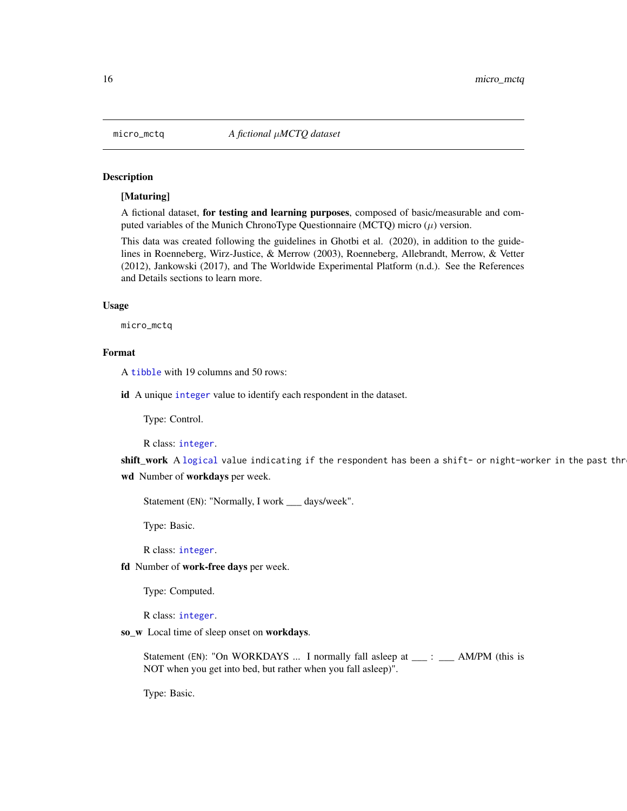<span id="page-15-1"></span><span id="page-15-0"></span>

## Description

## [Maturing]

A fictional dataset, for testing and learning purposes, composed of basic/measurable and computed variables of the Munich ChronoType Questionnaire (MCTQ) micro  $(\mu)$  version.

This data was created following the guidelines in Ghotbi et al. (2020), in addition to the guidelines in Roenneberg, Wirz-Justice, & Merrow (2003), Roenneberg, Allebrandt, Merrow, & Vetter (2012), Jankowski (2017), and The Worldwide Experimental Platform (n.d.). See the References and Details sections to learn more.

#### Usage

micro\_mctq

## Format

A [tibble](#page-0-0) with 19 columns and 50 rows:

id A unique [integer](#page-0-0) value to identify each respondent in the dataset.

Type: Control.

R class: [integer](#page-0-0).

shift\_work A[logical](#page-0-0) value indicating if the respondent has been a shift- or night-worker in the past thr wd Number of workdays per week.

Statement (EN): "Normally, I work \_\_\_ days/week".

Type: Basic.

R class: [integer](#page-0-0).

fd Number of work-free days per week.

Type: Computed.

R class: [integer](#page-0-0).

so\_w Local time of sleep onset on workdays.

Statement (EN): "On WORKDAYS ... I normally fall asleep at \_\_\_ : \_\_\_ AM/PM (this is NOT when you get into bed, but rather when you fall asleep)".

Type: Basic.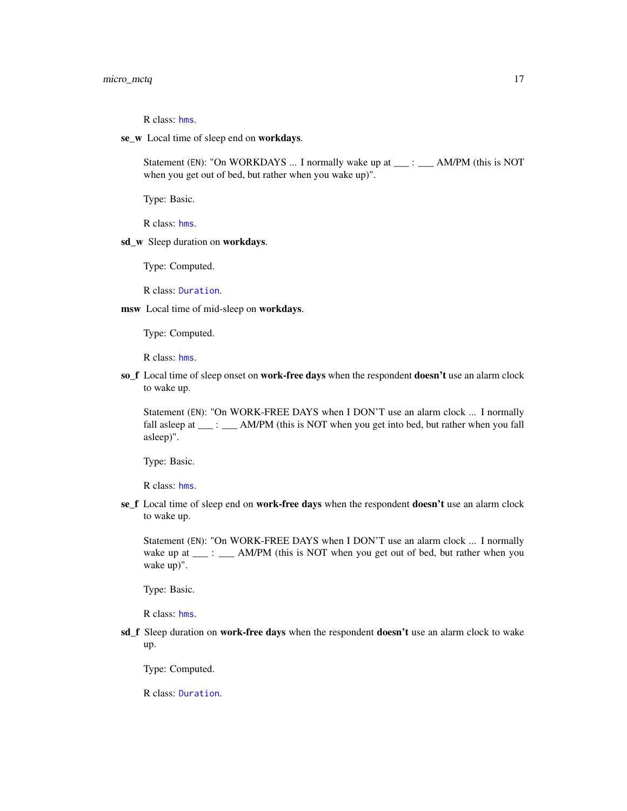R class: [hms](#page-0-0).

se\_w Local time of sleep end on workdays.

Statement (EN): "On WORKDAYS ... I normally wake up at \_\_\_ : \_\_\_ AM/PM (this is NOT when you get out of bed, but rather when you wake up)".

Type: Basic.

R class: [hms](#page-0-0).

## sd\_w Sleep duration on workdays.

Type: Computed.

R class: [Duration](#page-0-0).

msw Local time of mid-sleep on workdays.

Type: Computed.

R class: [hms](#page-0-0).

so\_f Local time of sleep onset on work-free days when the respondent doesn't use an alarm clock to wake up.

Statement (EN): "On WORK-FREE DAYS when I DON'T use an alarm clock ... I normally fall asleep at \_\_\_ : \_\_\_ AM/PM (this is NOT when you get into bed, but rather when you fall asleep)".

Type: Basic.

R class: [hms](#page-0-0).

se\_f Local time of sleep end on work-free days when the respondent doesn't use an alarm clock to wake up.

Statement (EN): "On WORK-FREE DAYS when I DON'T use an alarm clock ... I normally wake up at \_\_\_ : \_\_\_ AM/PM (this is NOT when you get out of bed, but rather when you wake up)".

Type: Basic.

R class: [hms](#page-0-0).

sd f Sleep duration on work-free days when the respondent doesn't use an alarm clock to wake up.

Type: Computed.

R class: [Duration](#page-0-0).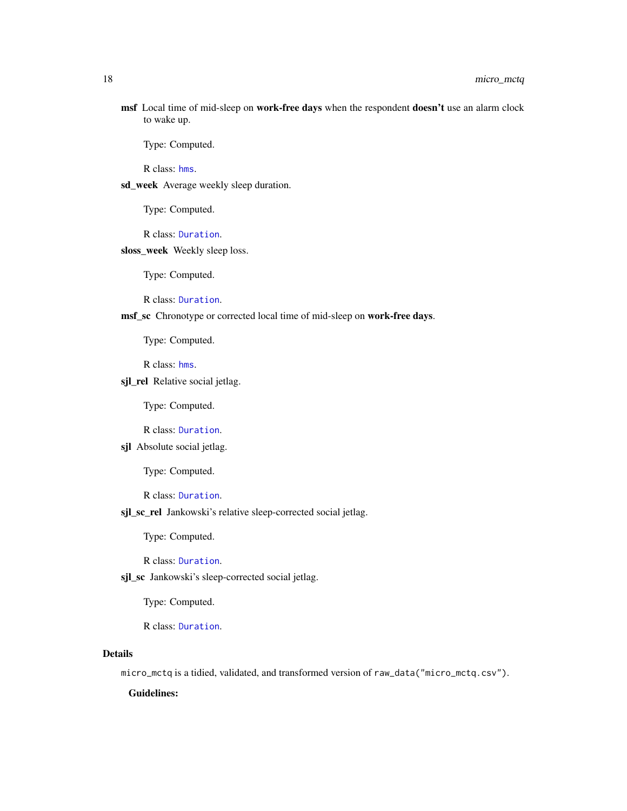msf Local time of mid-sleep on work-free days when the respondent doesn't use an alarm clock to wake up.

Type: Computed.

R class: [hms](#page-0-0).

sd\_week Average weekly sleep duration.

Type: Computed.

R class: [Duration](#page-0-0).

sloss\_week Weekly sleep loss.

Type: Computed.

R class: [Duration](#page-0-0).

msf\_sc Chronotype or corrected local time of mid-sleep on work-free days.

Type: Computed.

R class: [hms](#page-0-0).

sjl\_rel Relative social jetlag.

Type: Computed.

R class: [Duration](#page-0-0).

sjl Absolute social jetlag.

Type: Computed.

R class: [Duration](#page-0-0).

sjl\_sc\_rel Jankowski's relative sleep-corrected social jetlag.

Type: Computed.

R class: [Duration](#page-0-0).

sjl\_sc Jankowski's sleep-corrected social jetlag.

Type: Computed.

R class: [Duration](#page-0-0).

# Details

micro\_mctq is a tidied, validated, and transformed version of raw\_data("micro\_mctq.csv").

Guidelines: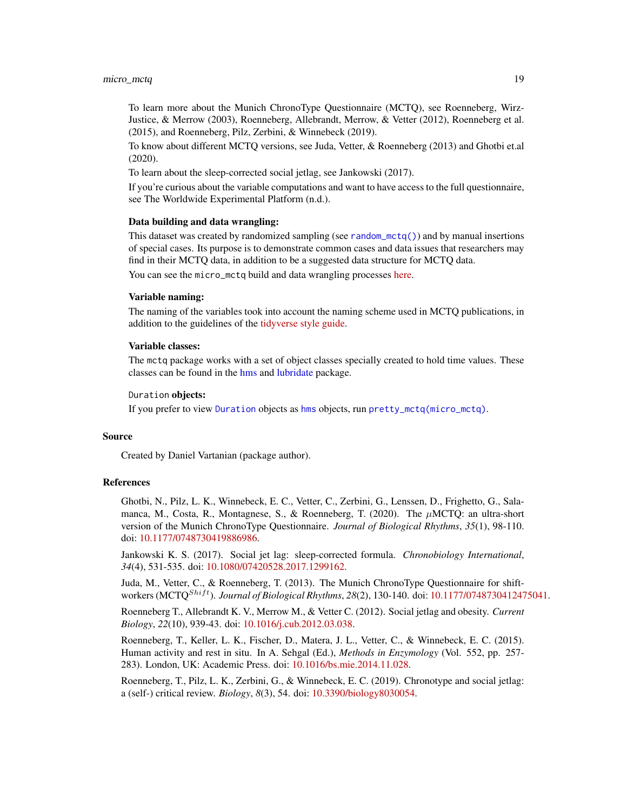## micro\_mctq 19

To learn more about the Munich ChronoType Questionnaire (MCTQ), see Roenneberg, Wirz-Justice, & Merrow (2003), Roenneberg, Allebrandt, Merrow, & Vetter (2012), Roenneberg et al. (2015), and Roenneberg, Pilz, Zerbini, & Winnebeck (2019).

To know about different MCTQ versions, see Juda, Vetter, & Roenneberg (2013) and Ghotbi et.al (2020).

To learn about the sleep-corrected social jetlag, see Jankowski (2017).

If you're curious about the variable computations and want to have access to the full questionnaire, see The Worldwide Experimental Platform (n.d.).

## Data building and data wrangling:

This dataset was created by randomized sampling (see [random\\_mctq\(\)](#page-33-1)) and by manual insertions of special cases. Its purpose is to demonstrate common cases and data issues that researchers may find in their MCTQ data, in addition to be a suggested data structure for MCTQ data.

You can see the micro\_mctq build and data wrangling processes [here.](https://github.com/ropensci/mctq/blob/main/data-raw/micro_mctq.R)

## Variable naming:

The naming of the variables took into account the naming scheme used in MCTQ publications, in addition to the guidelines of the [tidyverse style guide.](https://style.tidyverse.org/)

#### Variable classes:

The mctq package works with a set of object classes specially created to hold time values. These classes can be found in the [hms](#page-0-0) and [lubridate](#page-0-0) package.

## Duration objects:

If you prefer to view [Duration](#page-0-0) objects as [hms](#page-0-0) objects, run [pretty\\_mctq\(micro\\_mctq\)](#page-29-1).

#### Source

Created by Daniel Vartanian (package author).

## References

Ghotbi, N., Pilz, L. K., Winnebeck, E. C., Vetter, C., Zerbini, G., Lenssen, D., Frighetto, G., Salamanca, M., Costa, R., Montagnese, S., & Roenneberg, T. (2020). The  $\mu$ MCTQ: an ultra-short version of the Munich ChronoType Questionnaire. *Journal of Biological Rhythms*, *35*(1), 98-110. doi: [10.1177/0748730419886986.](https://doi.org/10.1177/0748730419886986)

Jankowski K. S. (2017). Social jet lag: sleep-corrected formula. *Chronobiology International*, *34*(4), 531-535. doi: [10.1080/07420528.2017.1299162.](https://doi.org/10.1080/07420528.2017.1299162)

Juda, M., Vetter, C., & Roenneberg, T. (2013). The Munich ChronoType Questionnaire for shiftworkers (MCTQ<sup>Shift</sup>). *Journal of Biological Rhythms*, 28(2), 130-140. doi: [10.1177/0748730412475041.](https://doi.org/10.1177/0748730412475041)

Roenneberg T., Allebrandt K. V., Merrow M., & Vetter C. (2012). Social jetlag and obesity. *Current Biology*, *22*(10), 939-43. doi: [10.1016/j.cub.2012.03.038.](https://doi.org/10.1016/j.cub.2012.03.038)

Roenneberg, T., Keller, L. K., Fischer, D., Matera, J. L., Vetter, C., & Winnebeck, E. C. (2015). Human activity and rest in situ. In A. Sehgal (Ed.), *Methods in Enzymology* (Vol. 552, pp. 257- 283). London, UK: Academic Press. doi: [10.1016/bs.mie.2014.11.028.](https://doi.org/10.1016/bs.mie.2014.11.028)

Roenneberg, T., Pilz, L. K., Zerbini, G., & Winnebeck, E. C. (2019). Chronotype and social jetlag: a (self-) critical review. *Biology*, *8*(3), 54. doi: [10.3390/biology8030054.](https://doi.org/10.3390/biology8030054)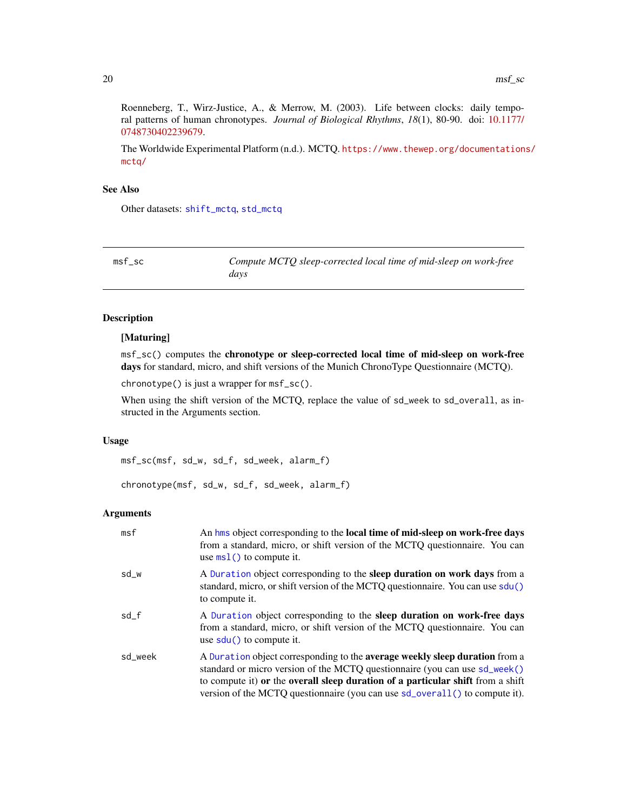<span id="page-19-0"></span>Roenneberg, T., Wirz-Justice, A., & Merrow, M. (2003). Life between clocks: daily temporal patterns of human chronotypes. *Journal of Biological Rhythms*, *18*(1), 80-90. doi: [10.1177/](https://doi.org/10.1177/0748730402239679) [0748730402239679.](https://doi.org/10.1177/0748730402239679)

The Worldwide Experimental Platform (n.d.). MCTQ. [https://www.thewep.org/documentation](https://www.thewep.org/documentations/mctq/)s/ [mctq/](https://www.thewep.org/documentations/mctq/)

#### See Also

Other datasets: [shift\\_mctq](#page-49-1), [std\\_mctq](#page-80-1)

<span id="page-19-1"></span>

| $msf\_sc$ | Compute MCTQ sleep-corrected local time of mid-sleep on work-free |
|-----------|-------------------------------------------------------------------|
|           | davs                                                              |

# Description

## [Maturing]

msf\_sc() computes the chronotype or sleep-corrected local time of mid-sleep on work-free days for standard, micro, and shift versions of the Munich ChronoType Questionnaire (MCTQ).

chronotype() is just a wrapper for msf\_sc().

When using the shift version of the MCTQ, replace the value of sd\_week to sd\_overall, as instructed in the Arguments section.

## Usage

msf\_sc(msf, sd\_w, sd\_f, sd\_week, alarm\_f)

chronotype(msf, sd\_w, sd\_f, sd\_week, alarm\_f)

#### Arguments

| msf     | An hms object corresponding to the <b>local time of mid-sleep on work-free days</b><br>from a standard, micro, or shift version of the MCTQ questionnaire. You can<br>use $msl()$ to compute it.                                                                                                                                          |
|---------|-------------------------------------------------------------------------------------------------------------------------------------------------------------------------------------------------------------------------------------------------------------------------------------------------------------------------------------------|
| $sd_w$  | A Duration object corresponding to the sleep duration on work days from a<br>standard, micro, or shift version of the MCTQ questionnaire. You can use sdu()<br>to compute it.                                                                                                                                                             |
| $sd_f$  | A Duration object corresponding to the sleep duration on work-free days<br>from a standard, micro, or shift version of the MCTQ questionnaire. You can<br>use $sdu()$ to compute it.                                                                                                                                                      |
| sd_week | A Duration object corresponding to the <b>average weekly sleep duration</b> from a<br>standard or micro version of the MCTQ questionnaire (you can use sd_week()<br>to compute it) or the <b>overall sleep duration of a particular shift</b> from a shift<br>version of the MCTQ questionnaire (you can use sd_overall() to compute it). |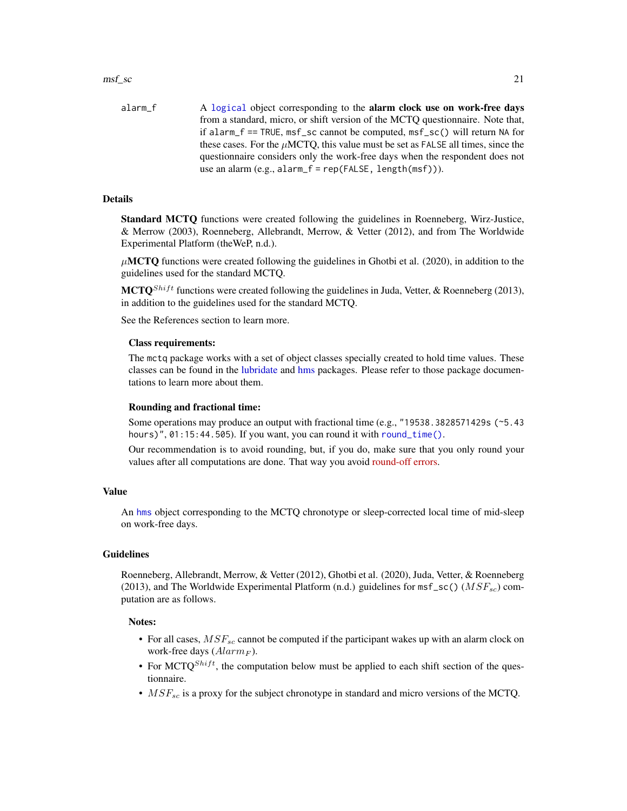alarm\_f A [logical](#page-0-0) object corresponding to the alarm clock use on work-free days from a standard, micro, or shift version of the MCTQ questionnaire. Note that, if alarm\_f == TRUE, msf\_sc cannot be computed, msf\_sc() will return NA for these cases. For the  $\mu$ MCTQ, this value must be set as FALSE all times, since the questionnaire considers only the work-free days when the respondent does not use an alarm (e.g., alarm\_f = rep(FALSE, length(msf))).

## Details

Standard MCTQ functions were created following the guidelines in Roenneberg, Wirz-Justice, & Merrow (2003), Roenneberg, Allebrandt, Merrow, & Vetter (2012), and from The Worldwide Experimental Platform (theWeP, n.d.).

 $\mu$ MCTO functions were created following the guidelines in Ghotbi et al. (2020), in addition to the guidelines used for the standard MCTQ.

MCTQ<sup>Shift</sup> functions were created following the guidelines in Juda, Vetter, & Roenneberg (2013), in addition to the guidelines used for the standard MCTQ.

See the References section to learn more.

## Class requirements:

The mctq package works with a set of object classes specially created to hold time values. These classes can be found in the [lubridate](#page-0-0) and [hms](#page-0-0) packages. Please refer to those package documentations to learn more about them.

#### Rounding and fractional time:

Some operations may produce an output with fractional time (e.g., "19538.3828571429s (~5.43 hours)", 01:15:44.505). If you want, you can round it with [round\\_time\(\)](#page-35-1).

Our recommendation is to avoid rounding, but, if you do, make sure that you only round your values after all computations are done. That way you avoid [round-off errors.](https://en.wikipedia.org/wiki/Round-off_error)

#### Value

An [hms](#page-0-0) object corresponding to the MCTQ chronotype or sleep-corrected local time of mid-sleep on work-free days.

#### Guidelines

Roenneberg, Allebrandt, Merrow, & Vetter (2012), Ghotbi et al. (2020), Juda, Vetter, & Roenneberg (2013), and The Worldwide Experimental Platform (n.d.) guidelines for  $msf\_sc$  ()  $(MSF_{sc})$  computation are as follows.

#### Notes:

- For all cases,  $MSF_{sc}$  cannot be computed if the participant wakes up with an alarm clock on work-free days  $(Alarm_F)$ .
- For MCTQ<sup>Shift</sup>, the computation below must be applied to each shift section of the questionnaire.
- $MSF_{sc}$  is a proxy for the subject chronotype in standard and micro versions of the MCTQ.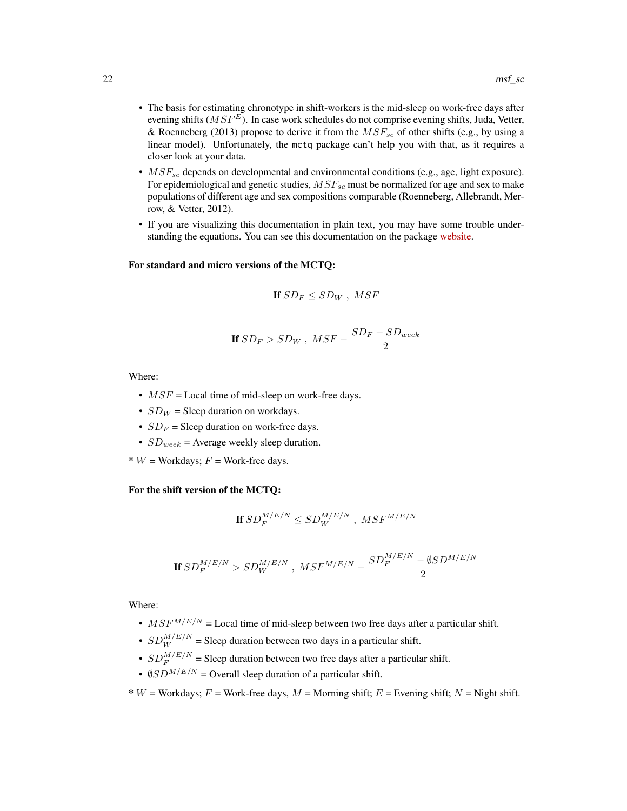- The basis for estimating chronotype in shift-workers is the mid-sleep on work-free days after evening shifts  $(MSF^E)$ . In case work schedules do not comprise evening shifts, Juda, Vetter, & Roenneberg (2013) propose to derive it from the  $MSF_{sc}$  of other shifts (e.g., by using a linear model). Unfortunately, the mctq package can't help you with that, as it requires a closer look at your data.
- $MSF_{sc}$  depends on developmental and environmental conditions (e.g., age, light exposure). For epidemiological and genetic studies,  $MSF_{sc}$  must be normalized for age and sex to make populations of different age and sex compositions comparable (Roenneberg, Allebrandt, Merrow, & Vetter, 2012).
- If you are visualizing this documentation in plain text, you may have some trouble understanding the equations. You can see this documentation on the package [website.](https://docs.ropensci.org/mctq/reference/)

# For standard and micro versions of the MCTQ:

If 
$$
SD_F \leq SD_W
$$
,  $MSF$ 

If 
$$
SD_F > SD_W
$$
,  $MSF - \frac{SD_F - SD_{week}}{2}$ 

Where:

- $MSF =$  Local time of mid-sleep on work-free days.
- $SD_W$  = Sleep duration on workdays.
- $SD_F$  = Sleep duration on work-free days.
- $SD_{week}$  = Average weekly sleep duration.

 $* W$  = Workdays;  $F$  = Work-free days.

# For the shift version of the MCTQ:

$$
\textbf{If}~SD^{M/E/N}_F \leq SD^{M/E/N}_W~,~MSF^{M/E/N}
$$

$$
\textbf{If} \ SD^{M/E/N}_{F} > SD^{M/E/N}_{W} \ , \ MSF^{M/E/N} - \frac{SD^{M/E/N}_{F} - \emptyset SD^{M/E/N}}{2}
$$

Where:

- $MSF^{M/E/N}$  = Local time of mid-sleep between two free days after a particular shift.
- $SD_W^{M/E/N}$  = Sleep duration between two days in a particular shift.
- $SD_F^{M/E/N}$  = Sleep duration between two free days after a particular shift.
- $\oint SD^{M/E/N}$  = Overall sleep duration of a particular shift.

\* W = Workdays;  $F$  = Work-free days,  $M$  = Morning shift;  $E$  = Evening shift;  $N$  = Night shift.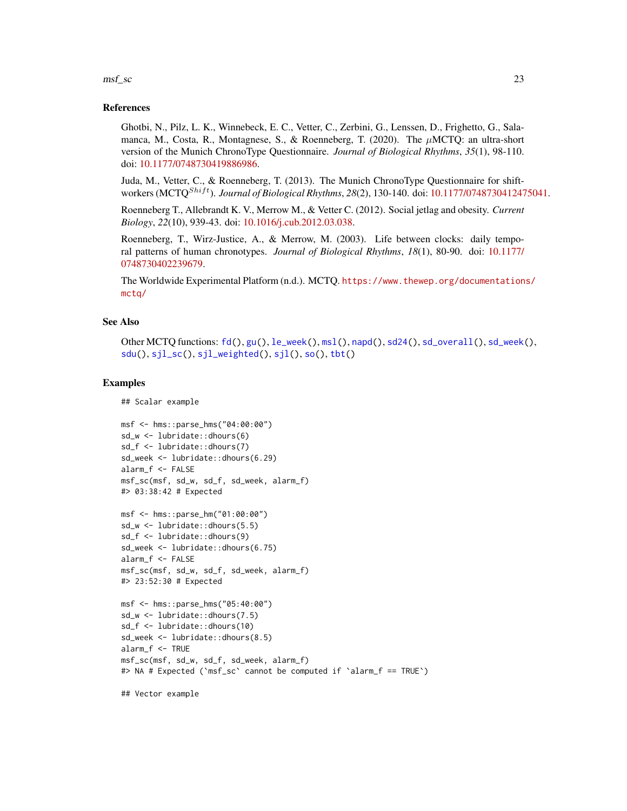#### $msf\_sc$  23

## References

Ghotbi, N., Pilz, L. K., Winnebeck, E. C., Vetter, C., Zerbini, G., Lenssen, D., Frighetto, G., Salamanca, M., Costa, R., Montagnese, S., & Roenneberg, T. (2020). The  $\mu$ MCTQ: an ultra-short version of the Munich ChronoType Questionnaire. *Journal of Biological Rhythms*, *35*(1), 98-110. doi: [10.1177/0748730419886986.](https://doi.org/10.1177/0748730419886986)

Juda, M., Vetter, C., & Roenneberg, T. (2013). The Munich ChronoType Questionnaire for shiftworkers (MCTQ<sup>Shift</sup>). *Journal of Biological Rhythms*, 28(2), 130-140. doi: [10.1177/0748730412475041.](https://doi.org/10.1177/0748730412475041)

Roenneberg T., Allebrandt K. V., Merrow M., & Vetter C. (2012). Social jetlag and obesity. *Current Biology*, *22*(10), 939-43. doi: [10.1016/j.cub.2012.03.038.](https://doi.org/10.1016/j.cub.2012.03.038)

Roenneberg, T., Wirz-Justice, A., & Merrow, M. (2003). Life between clocks: daily temporal patterns of human chronotypes. *Journal of Biological Rhythms*, *18*(1), 80-90. doi: [10.1177/](https://doi.org/10.1177/0748730402239679) [0748730402239679.](https://doi.org/10.1177/0748730402239679)

The Worldwide Experimental Platform (n.d.). MCTQ. [https://www.thewep.org/documentation](https://www.thewep.org/documentations/mctq/)s/ [mctq/](https://www.thewep.org/documentations/mctq/)

#### See Also

Other MCTQ functions: [fd\(](#page-7-1)), [gu\(](#page-9-1)), [le\\_week\(](#page-11-1)), [msl\(](#page-23-1)), [napd\(](#page-26-1)), [sd24\(](#page-37-1)), [sd\\_overall\(](#page-43-1)), [sd\\_week\(](#page-46-1)), [sdu\(](#page-40-1)), [sjl\\_sc\(](#page-66-1)), [sjl\\_weighted\(](#page-70-1)), [sjl\(](#page-61-1)), [so\(](#page-77-1)), [tbt\(](#page-91-1))

#### Examples

## Scalar example

```
msf <- hms::parse_hms("04:00:00")
sd_w <- lubridate::dhours(6)
sd_f <- lubridate::dhours(7)
sd_week <- lubridate::dhours(6.29)
alarm_f <- FALSE
msf_sc(msf, sd_w, sd_f, sd_week, alarm_f)
#> 03:38:42 # Expected
msf <- hms::parse_hm("01:00:00")
sd_w <- lubridate::dhours(5.5)
sd_f <- lubridate::dhours(9)
sd_week <- lubridate::dhours(6.75)
alarm_f <- FALSE
msf_sc(msf, sd_w, sd_f, sd_week, alarm_f)
#> 23:52:30 # Expected
msf <- hms::parse_hms("05:40:00")
sd_w <- lubridate::dhours(7.5)
sd_f <- lubridate::dhours(10)
sd_week <- lubridate::dhours(8.5)
alarm_f <- TRUE
msf_sc(msf, sd_w, sd_f, sd_week, alarm_f)
#> NA # Expected (`msf_sc` cannot be computed if `alarm_f == TRUE`)
```
## Vector example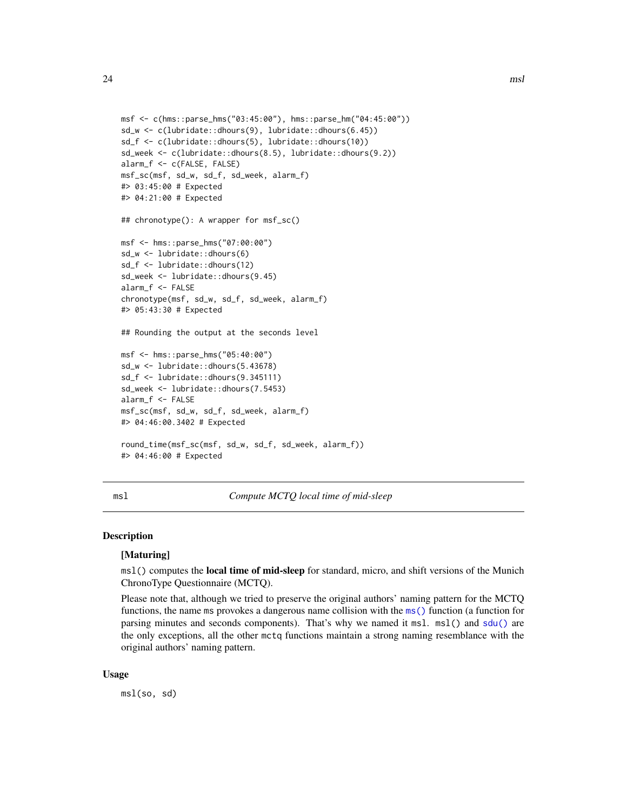```
msf <- c(hms::parse_hms("03:45:00"), hms::parse_hm("04:45:00"))
sd_w <- c(lubridate::dhours(9), lubridate::dhours(6.45))
sd_f <- c(lubridate::dhours(5), lubridate::dhours(10))
sd_week <- c(lubridate::dhours(8.5), lubridate::dhours(9.2))
alarm_f <- c(FALSE, FALSE)
msf_sc(msf, sd_w, sd_f, sd_week, alarm_f)
#> 03:45:00 # Expected
#> 04:21:00 # Expected
## chronotype(): A wrapper for msf_sc()
msf <- hms::parse_hms("07:00:00")
sd_w <- lubridate::dhours(6)
sd_f <- lubridate::dhours(12)
sd_week <- lubridate::dhours(9.45)
alarm_f <- FALSE
chronotype(msf, sd_w, sd_f, sd_week, alarm_f)
#> 05:43:30 # Expected
## Rounding the output at the seconds level
msf <- hms::parse_hms("05:40:00")
sd_w <- lubridate::dhours(5.43678)
sd_f <- lubridate::dhours(9.345111)
sd_week <- lubridate::dhours(7.5453)
alarm_f <- FALSE
msf_sc(msf, sd_w, sd_f, sd_week, alarm_f)
#> 04:46:00.3402 # Expected
round_time(msf_sc(msf, sd_w, sd_f, sd_week, alarm_f))
#> 04:46:00 # Expected
```
<span id="page-23-1"></span>msl *Compute MCTQ local time of mid-sleep*

## **Description**

# [Maturing]

msl() computes the **local time of mid-sleep** for standard, micro, and shift versions of the Munich ChronoType Questionnaire (MCTQ).

Please note that, although we tried to preserve the original authors' naming pattern for the MCTQ functions, the name ms provokes a dangerous name collision with the [ms\(\)](#page-0-0) function (a function for parsing minutes and seconds components). That's why we named it msl. msl() and [sdu\(\)](#page-40-1) are the only exceptions, all the other mctq functions maintain a strong naming resemblance with the original authors' naming pattern.

#### Usage

msl(so, sd)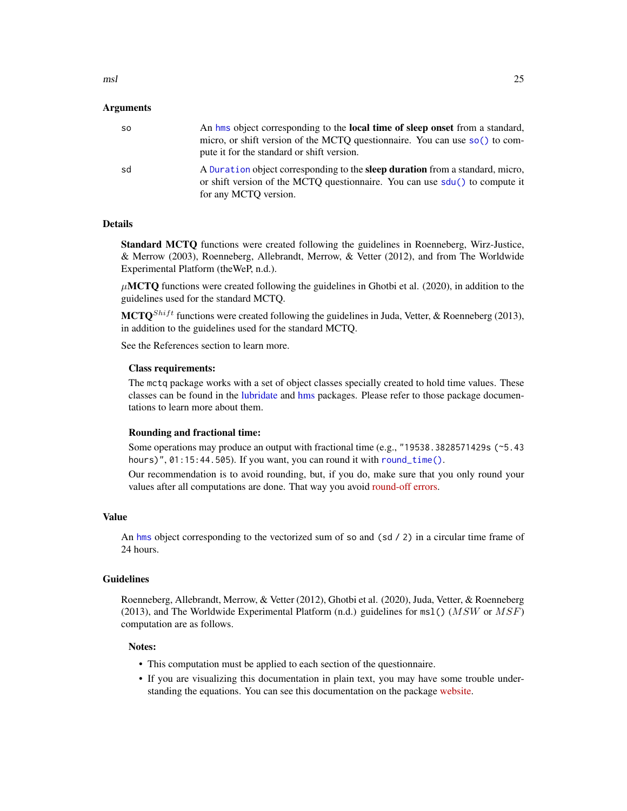## Arguments

| SO. | An hms object corresponding to the <b>local time of sleep onset</b> from a standard,<br>micro, or shift version of the MCTQ questionnaire. You can use so() to com-<br>pute it for the standard or shift version. |
|-----|-------------------------------------------------------------------------------------------------------------------------------------------------------------------------------------------------------------------|
| sd  | A Duration object corresponding to the <b>sleep duration</b> from a standard, micro,<br>or shift version of the MCTO questionnaire. You can use $sdu()$ to compute it<br>for any MCTQ version.                    |

#### Details

Standard MCTQ functions were created following the guidelines in Roenneberg, Wirz-Justice, & Merrow (2003), Roenneberg, Allebrandt, Merrow, & Vetter (2012), and from The Worldwide Experimental Platform (theWeP, n.d.).

 $\mu$ MCTQ functions were created following the guidelines in Ghotbi et al. (2020), in addition to the guidelines used for the standard MCTQ.

MCTO<sup>Shift</sup> functions were created following the guidelines in Juda, Vetter, & Roenneberg (2013), in addition to the guidelines used for the standard MCTQ.

See the References section to learn more.

#### Class requirements:

The mctq package works with a set of object classes specially created to hold time values. These classes can be found in the [lubridate](#page-0-0) and [hms](#page-0-0) packages. Please refer to those package documentations to learn more about them.

## Rounding and fractional time:

Some operations may produce an output with fractional time (e.g., "19538.3828571429s (~5.43 hours)", 01:15:44.505). If you want, you can round it with [round\\_time\(\)](#page-35-1).

Our recommendation is to avoid rounding, but, if you do, make sure that you only round your values after all computations are done. That way you avoid [round-off errors.](https://en.wikipedia.org/wiki/Round-off_error)

#### Value

An [hms](#page-0-0) object corresponding to the vectorized sum of so and  $(\text{sd}/2)$  in a circular time frame of 24 hours.

## Guidelines

Roenneberg, Allebrandt, Merrow, & Vetter (2012), Ghotbi et al. (2020), Juda, Vetter, & Roenneberg (2013), and The Worldwide Experimental Platform (n.d.) guidelines for  $ms1()$  ( $MSW$  or  $MSF$ ) computation are as follows.

## Notes:

- This computation must be applied to each section of the questionnaire.
- If you are visualizing this documentation in plain text, you may have some trouble understanding the equations. You can see this documentation on the package [website.](https://docs.ropensci.org/mctq/reference/)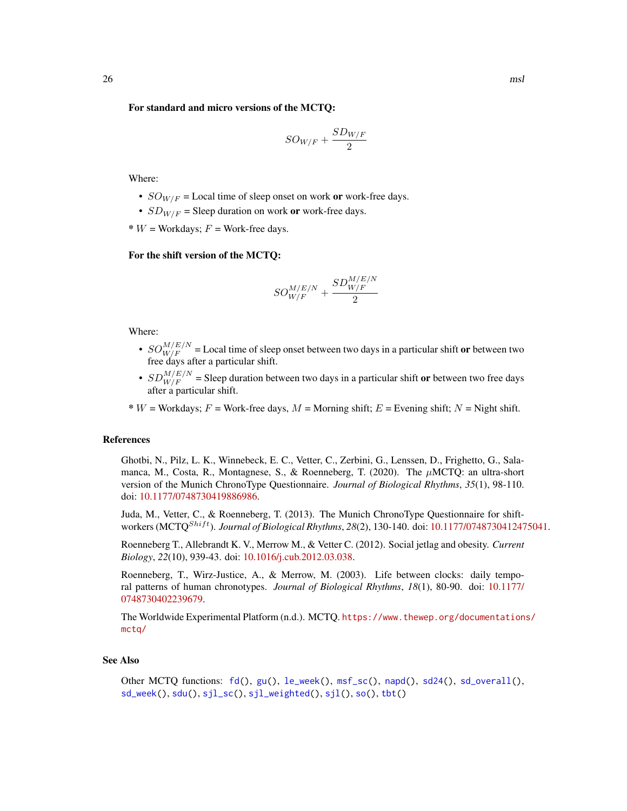#### For standard and micro versions of the MCTQ:

$$
SO_{W/F}+\frac{SD_{W/F}}{2}
$$

Where:

- $SO_{W/F}$  = Local time of sleep onset on work or work-free days.
- $SD_{W/F}$  = Sleep duration on work or work-free days.

 $* W =$  Workdays;  $F =$  Work-free days.

## For the shift version of the MCTQ:

$$
SO_{W/F}^{M/E/N}+\frac{SD_{W/F}^{M/E/N}}{2}
$$

Where:

- $SO_{W/F}^{M/E/N}$  = Local time of sleep onset between two days in a particular shift or between two free days after a particular shift.
- $SD_{W/F}^{M/E/N}$  = Sleep duration between two days in a particular shift or between two free days after a particular shift.

 $* W =$  Workdays;  $F =$  Work-free days,  $M =$  Morning shift;  $E =$  Evening shift;  $N =$  Night shift.

#### References

Ghotbi, N., Pilz, L. K., Winnebeck, E. C., Vetter, C., Zerbini, G., Lenssen, D., Frighetto, G., Salamanca, M., Costa, R., Montagnese, S., & Roenneberg, T. (2020). The  $\mu$ MCTQ: an ultra-short version of the Munich ChronoType Questionnaire. *Journal of Biological Rhythms*, *35*(1), 98-110. doi: [10.1177/0748730419886986.](https://doi.org/10.1177/0748730419886986)

Juda, M., Vetter, C., & Roenneberg, T. (2013). The Munich ChronoType Questionnaire for shiftworkers (MCTO<sup>Shift</sup>). *Journal of Biological Rhythms*, 28(2), 130-140. doi: [10.1177/0748730412475041.](https://doi.org/10.1177/0748730412475041)

Roenneberg T., Allebrandt K. V., Merrow M., & Vetter C. (2012). Social jetlag and obesity. *Current Biology*, *22*(10), 939-43. doi: [10.1016/j.cub.2012.03.038.](https://doi.org/10.1016/j.cub.2012.03.038)

Roenneberg, T., Wirz-Justice, A., & Merrow, M. (2003). Life between clocks: daily temporal patterns of human chronotypes. *Journal of Biological Rhythms*, *18*(1), 80-90. doi: [10.1177/](https://doi.org/10.1177/0748730402239679) [0748730402239679.](https://doi.org/10.1177/0748730402239679)

The Worldwide Experimental Platform (n.d.). MCTQ. [https://www.thewep.org/documentation](https://www.thewep.org/documentations/mctq/)s/ [mctq/](https://www.thewep.org/documentations/mctq/)

#### See Also

Other MCTQ functions: [fd\(](#page-7-1)), [gu\(](#page-9-1)), [le\\_week\(](#page-11-1)), [msf\\_sc\(](#page-19-1)), [napd\(](#page-26-1)), [sd24\(](#page-37-1)), [sd\\_overall\(](#page-43-1)), [sd\\_week\(](#page-46-1)), [sdu\(](#page-40-1)), [sjl\\_sc\(](#page-66-1)), [sjl\\_weighted\(](#page-70-1)), [sjl\(](#page-61-1)), [so\(](#page-77-1)), [tbt\(](#page-91-1))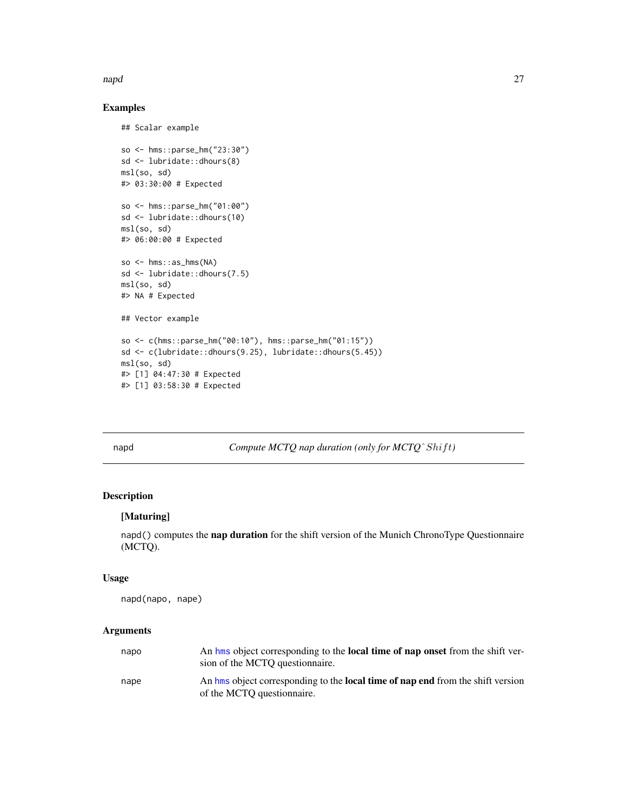#### <span id="page-26-0"></span>napd 27

# Examples

```
## Scalar example
so <- hms::parse_hm("23:30")
sd <- lubridate::dhours(8)
msl(so, sd)
#> 03:30:00 # Expected
so <- hms::parse_hm("01:00")
sd <- lubridate::dhours(10)
msl(so, sd)
#> 06:00:00 # Expected
so \le hms:: as hms(NA)
sd <- lubridate::dhours(7.5)
msl(so, sd)
#> NA # Expected
## Vector example
so <- c(hms::parse_hm("00:10"), hms::parse_hm("01:15"))
sd <- c(lubridate::dhours(9.25), lubridate::dhours(5.45))
msl(so, sd)
#> [1] 04:47:30 # Expected
#> [1] 03:58:30 # Expected
```
<span id="page-26-1"></span>napd *Compute MCTQ nap duration (only for MCTQ*<sup> $\sim$ </sup>Shift)

# Description

## [Maturing]

napd() computes the nap duration for the shift version of the Munich ChronoType Questionnaire (MCTQ).

## Usage

```
napd(napo, nape)
```
# Arguments

| napo | An hms object corresponding to the <b>local time of nap onset</b> from the shift ver-<br>sion of the MCTO question aire. |
|------|--------------------------------------------------------------------------------------------------------------------------|
| nape | An hms object corresponding to the <b>local time of nap end</b> from the shift version<br>of the MCTO questionnaire.     |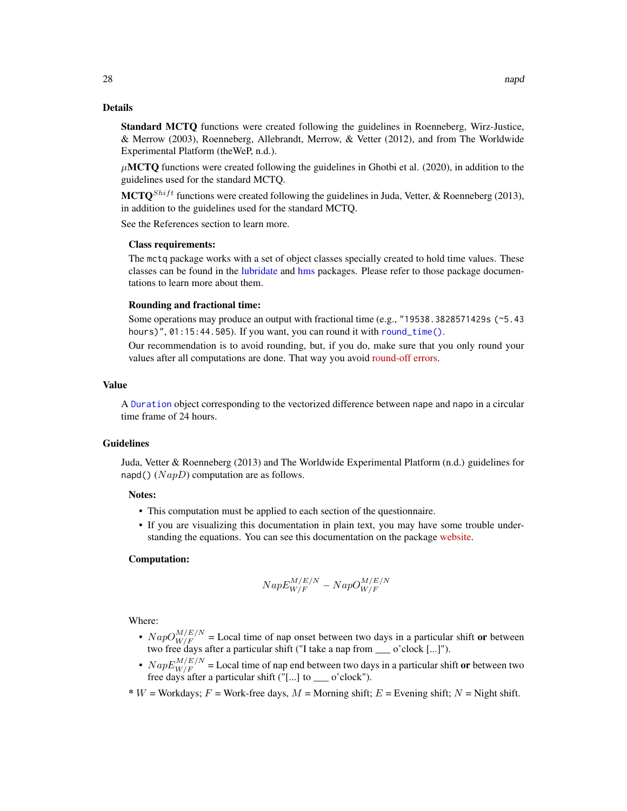## Details

Standard MCTQ functions were created following the guidelines in Roenneberg, Wirz-Justice, & Merrow (2003), Roenneberg, Allebrandt, Merrow, & Vetter (2012), and from The Worldwide Experimental Platform (theWeP, n.d.).

 $\mu$ MCTO functions were created following the guidelines in Ghotbi et al. (2020), in addition to the guidelines used for the standard MCTQ.

**MCTQ**<sup>Shift</sup> functions were created following the guidelines in Juda, Vetter, & Roenneberg (2013), in addition to the guidelines used for the standard MCTQ.

See the References section to learn more.

#### Class requirements:

The mctq package works with a set of object classes specially created to hold time values. These classes can be found in the [lubridate](#page-0-0) and [hms](#page-0-0) packages. Please refer to those package documentations to learn more about them.

#### Rounding and fractional time:

Some operations may produce an output with fractional time (e.g., "19538.3828571429s (~5.43 hours)", 01:15:44.505). If you want, you can round it with [round\\_time\(\)](#page-35-1).

Our recommendation is to avoid rounding, but, if you do, make sure that you only round your values after all computations are done. That way you avoid [round-off errors.](https://en.wikipedia.org/wiki/Round-off_error)

#### Value

A [Duration](#page-0-0) object corresponding to the vectorized difference between nape and napo in a circular time frame of 24 hours.

## Guidelines

Juda, Vetter & Roenneberg (2013) and The Worldwide Experimental Platform (n.d.) guidelines for napd()  $(NapD)$  computation are as follows.

#### Notes:

- This computation must be applied to each section of the questionnaire.
- If you are visualizing this documentation in plain text, you may have some trouble understanding the equations. You can see this documentation on the package [website.](https://docs.ropensci.org/mctq/reference/)

## Computation:

$$
NapE^{M/E/N}_{W/F} - NapO^{M/E/N}_{W/F}
$$

Where:

- $NapO^{M/E/N}_{W/F}$  = Local time of nap onset between two days in a particular shift or between two free days after a particular shift ("I take a nap from \_\_\_ o'clock [...]").
- $NapE_{W/F}^{M/E/N}$  = Local time of nap end between two days in a particular shift or between two free days after a particular shift ("[...] to \_\_\_ o'clock").
- \* W = Workdays;  $F$  = Work-free days,  $M$  = Morning shift;  $E$  = Evening shift;  $N$  = Night shift.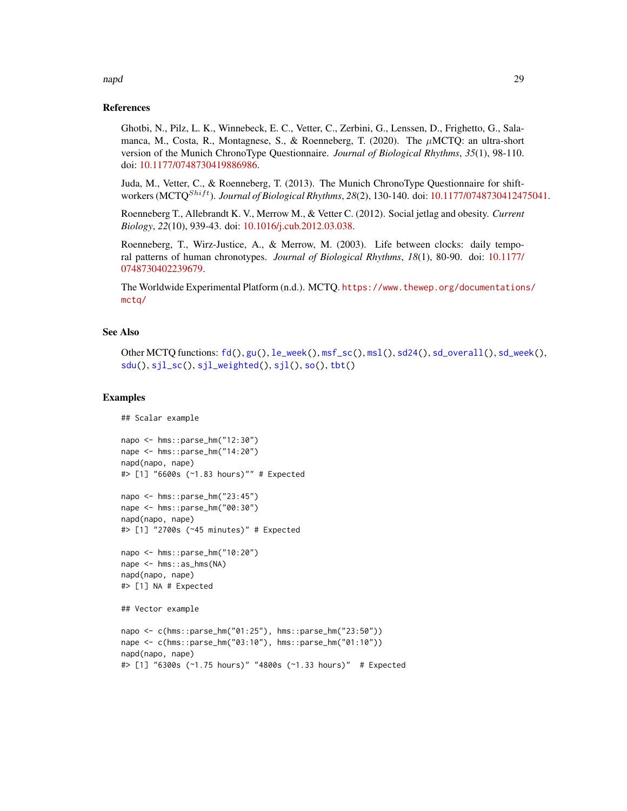# napd 29

## References

Ghotbi, N., Pilz, L. K., Winnebeck, E. C., Vetter, C., Zerbini, G., Lenssen, D., Frighetto, G., Salamanca, M., Costa, R., Montagnese, S., & Roenneberg, T. (2020). The  $\mu$ MCTQ: an ultra-short version of the Munich ChronoType Questionnaire. *Journal of Biological Rhythms*, *35*(1), 98-110. doi: [10.1177/0748730419886986.](https://doi.org/10.1177/0748730419886986)

Juda, M., Vetter, C., & Roenneberg, T. (2013). The Munich ChronoType Questionnaire for shiftworkers (MCTQ<sup>Shift</sup>). *Journal of Biological Rhythms*, 28(2), 130-140. doi: [10.1177/0748730412475041.](https://doi.org/10.1177/0748730412475041)

Roenneberg T., Allebrandt K. V., Merrow M., & Vetter C. (2012). Social jetlag and obesity. *Current Biology*, *22*(10), 939-43. doi: [10.1016/j.cub.2012.03.038.](https://doi.org/10.1016/j.cub.2012.03.038)

Roenneberg, T., Wirz-Justice, A., & Merrow, M. (2003). Life between clocks: daily temporal patterns of human chronotypes. *Journal of Biological Rhythms*, *18*(1), 80-90. doi: [10.1177/](https://doi.org/10.1177/0748730402239679) [0748730402239679.](https://doi.org/10.1177/0748730402239679)

The Worldwide Experimental Platform (n.d.). MCTQ. [https://www.thewep.org/documentation](https://www.thewep.org/documentations/mctq/)s/ [mctq/](https://www.thewep.org/documentations/mctq/)

## See Also

Other MCTQ functions: [fd\(](#page-7-1)), [gu\(](#page-9-1)), [le\\_week\(](#page-11-1)), [msf\\_sc\(](#page-19-1)), [msl\(](#page-23-1)), [sd24\(](#page-37-1)), [sd\\_overall\(](#page-43-1)), [sd\\_week\(](#page-46-1)), [sdu\(](#page-40-1)), [sjl\\_sc\(](#page-66-1)), [sjl\\_weighted\(](#page-70-1)), [sjl\(](#page-61-1)), [so\(](#page-77-1)), [tbt\(](#page-91-1))

#### Examples

```
## Scalar example
napo <- hms::parse_hm("12:30")
nape <- hms::parse_hm("14:20")
napd(napo, nape)
#> [1] "6600s (~1.83 hours)"" # Expected
napo <- hms::parse_hm("23:45")
nape <- hms::parse_hm("00:30")
napd(napo, nape)
#> [1] "2700s (~45 minutes)" # Expected
napo <- hms::parse_hm("10:20")
nape <- hms::as_hms(NA)
napd(napo, nape)
#> [1] NA # Expected
## Vector example
napo <- c(hms::parse_hm("01:25"), hms::parse_hm("23:50"))
nape <- c(hms::parse_hm("03:10"), hms::parse_hm("01:10"))
napd(napo, nape)
#> [1] "6300s (~1.75 hours)" "4800s (~1.33 hours)" # Expected
```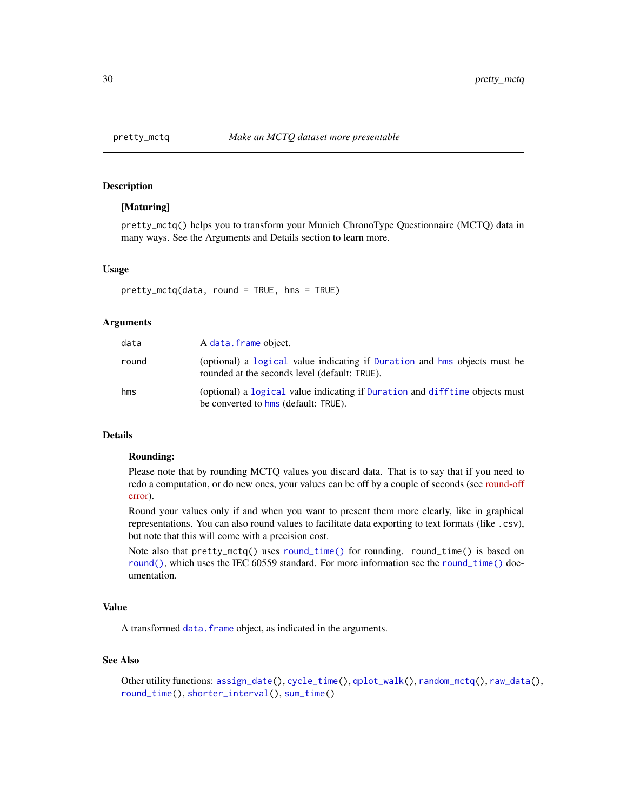# Description

## [Maturing]

pretty\_mctq() helps you to transform your Munich ChronoType Questionnaire (MCTQ) data in many ways. See the Arguments and Details section to learn more.

## Usage

pretty\_mctq(data, round = TRUE, hms = TRUE)

## **Arguments**

| data  | A data. frame object.                                                                                                      |
|-------|----------------------------------------------------------------------------------------------------------------------------|
| round | (optional) a logical value indicating if Duration and hms objects must be<br>rounded at the seconds level (default: TRUE). |
| hms   | (optional) a logical value indicating if Duration and difftime objects must<br>be converted to hms (default: TRUE).        |

# Details

## Rounding:

Please note that by rounding MCTQ values you discard data. That is to say that if you need to redo a computation, or do new ones, your values can be off by a couple of seconds (see [round-off](https://en.wikipedia.org/wiki/Round-off_error) [error\)](https://en.wikipedia.org/wiki/Round-off_error).

Round your values only if and when you want to present them more clearly, like in graphical representations. You can also round values to facilitate data exporting to text formats (like .csv), but note that this will come with a precision cost.

Note also that pretty\_mctq() uses [round\\_time\(\)](#page-35-1) for rounding. round\_time() is based on [round\(\)](#page-0-0), which uses the IEC 60559 standard. For more information see the [round\\_time\(\)](#page-35-1) documentation.

# Value

A transformed data. frame object, as indicated in the arguments.

# See Also

```
Other utility functions: assign_date(), cycle_time(), qplot_walk(), random_mctq(), raw_data(),
round_time(), shorter_interval(), sum_time()
```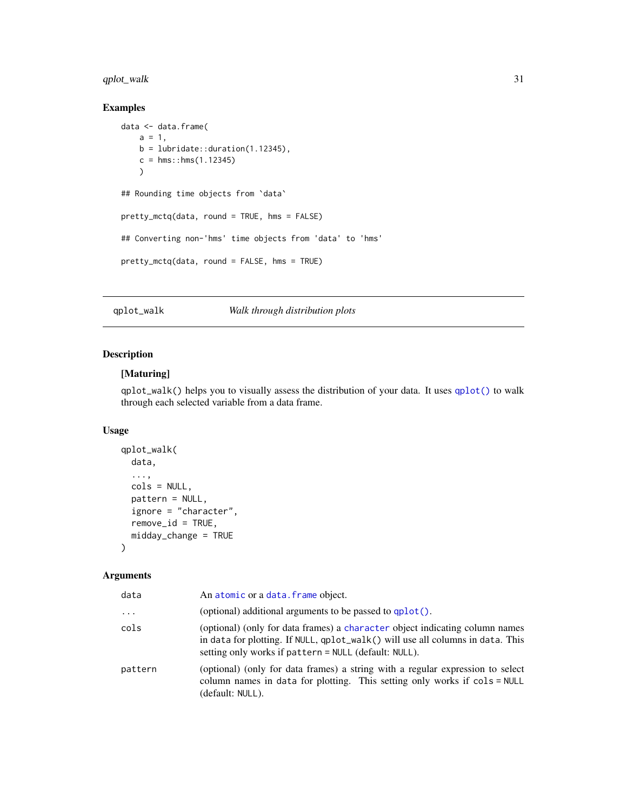# <span id="page-30-0"></span>qplot\_walk 31

# Examples

```
data <- data.frame(
   a = 1,
   b = lubridate::duration(1.12345),
   c = hms::hms(1.12345))
## Rounding time objects from `data`
pretty_mctq(data, round = TRUE, hms = FALSE)
## Converting non-'hms' time objects from 'data' to 'hms'
pretty_mctq(data, round = FALSE, hms = TRUE)
```
# <span id="page-30-1"></span>qplot\_walk *Walk through distribution plots*

# Description

# [Maturing]

qplot\_walk() helps you to visually assess the distribution of your data. It uses [qplot\(\)](#page-0-0) to walk through each selected variable from a data frame.

# Usage

```
qplot_walk(
  data,
  ...,
  cols = NULL,
 pattern = NULL,
  ignore = "character",
  remove_id = TRUE,
  midday_change = TRUE
)
```
## Arguments

| data     | An atomic or a data. frame object.                                                                                                                                                                                      |  |
|----------|-------------------------------------------------------------------------------------------------------------------------------------------------------------------------------------------------------------------------|--|
| $\cdots$ | (optional) additional arguments to be passed to $qplot()$ .                                                                                                                                                             |  |
| cols     | (optional) (only for data frames) a character object indicating column names<br>in data for plotting. If NULL, qp1ot_walk() will use all columns in data. This<br>setting only works if pattern = NULL (default: NULL). |  |
| pattern  | (optional) (only for data frames) a string with a regular expression to select<br>column names in data for plotting. This setting only works if cols = NULL<br>(default: NULL).                                         |  |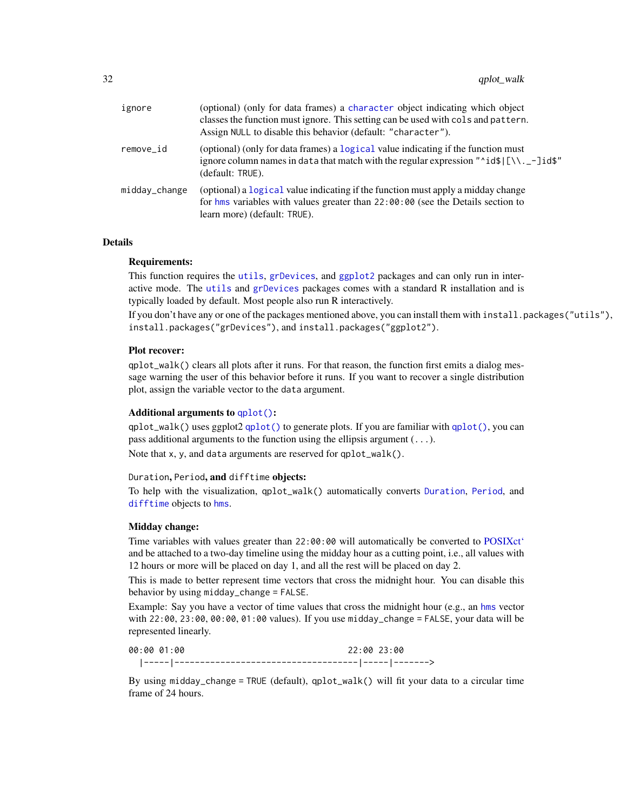| ignore        | (optional) (only for data frames) a character object indicating which object<br>classes the function must ignore. This setting can be used with cols and pattern.<br>Assign NULL to disable this behavior (default: "character").             |
|---------------|-----------------------------------------------------------------------------------------------------------------------------------------------------------------------------------------------------------------------------------------------|
| remove id     | (optional) (only for data frames) a logical value indicating if the function must<br>ignore column names in data that match with the regular expression " $\dot{\text{dist}}[\lceil \ \rangle \ \ldots \ - \text{dist}$ "<br>(default: TRUE). |
| midday_change | (optional) a logical value indicating if the function must apply a midday change<br>for hms variables with values greater than $22:00:00$ (see the Details section to<br>learn more) (default: TRUE).                                         |

## Details

#### Requirements:

This function requires the [utils](#page-0-0), [grDevices](#page-0-0), and [ggplot2](#page-0-0) packages and can only run in interactive mode. The [utils](#page-0-0) and [grDevices](#page-0-0) packages comes with a standard R installation and is typically loaded by default. Most people also run R interactively.

If you don't have any or one of the packages mentioned above, you can install them with install.packages("utils"), install.packages("grDevices"), and install.packages("ggplot2").

#### Plot recover:

 $qplot_walk()$  clears all plots after it runs. For that reason, the function first emits a dialog message warning the user of this behavior before it runs. If you want to recover a single distribution plot, assign the variable vector to the data argument.

#### Additional arguments to [qplot\(\)](#page-0-0):

 $qplot$  uses ggplot2  $qplot()$  to generate plots. If you are familiar with  $qplot(),$  you can pass additional arguments to the function using the ellipsis argument  $(\ldots)$ .

Note that x, y, and data arguments are reserved for qplot\_walk().

## Duration, Period, and difftime objects:

To help with the visualization, qplot\_walk() automatically converts [Duration](#page-0-0), [Period](#page-0-0), and [difftime](#page-0-0) objects to [hms](#page-0-0).

#### Midday change:

Time variables with values greater than 22:00:00 will automatically be converted to [POSIXct'](#page-0-0) and be attached to a two-day timeline using the midday hour as a cutting point, i.e., all values with 12 hours or more will be placed on day 1, and all the rest will be placed on day 2.

This is made to better represent time vectors that cross the midnight hour. You can disable this behavior by using midday\_change = FALSE.

Example: Say you have a vector of time values that cross the midnight hour (e.g., an [hms](#page-0-0) vector with  $22:00$ ,  $23:00$ ,  $00:00$ ,  $01:00$  values). If you use midday\_change = FALSE, your data will be represented linearly.

| 00:00 01:00 | 22:00223:00 |  |
|-------------|-------------|--|
|             |             |  |

By using midday\_change = TRUE (default), qplot\_walk() will fit your data to a circular time frame of 24 hours.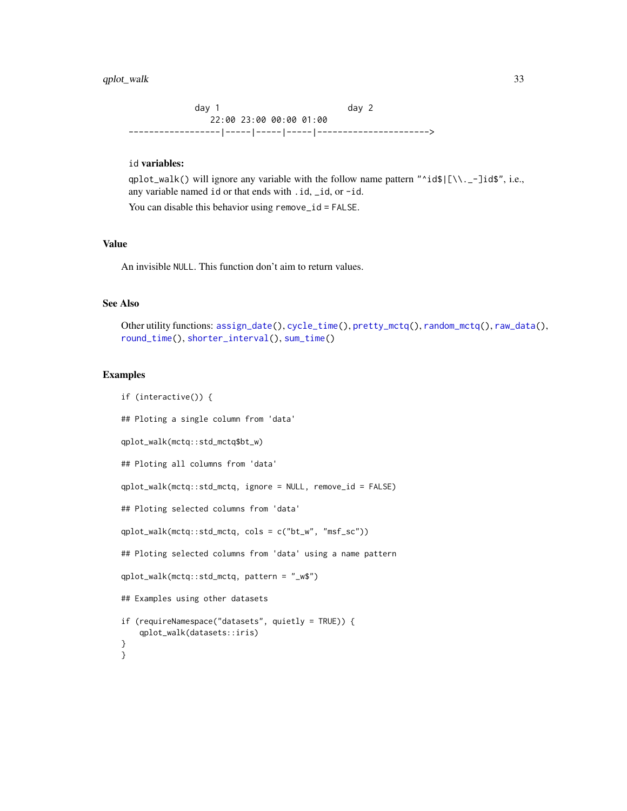day 1 day 2 22:00 23:00 00:00 01:00 ------------------|-----|-----|-----|---------------------->

# id variables:

qplot\_walk() will ignore any variable with the follow name pattern "^id\$|[\\.\_-]id\$", i.e., any variable named id or that ends with .id, \_id, or -id.

You can disable this behavior using remove\_id = FALSE.

# Value

An invisible NULL. This function don't aim to return values.

## See Also

Other utility functions: [assign\\_date\(](#page-2-1)), [cycle\\_time\(](#page-4-1)), [pretty\\_mctq\(](#page-29-1)), [random\\_mctq\(](#page-33-1)), [raw\\_data\(](#page-34-1)), [round\\_time\(](#page-35-1)), [shorter\\_interval\(](#page-58-1)), [sum\\_time\(](#page-87-1))

#### Examples

```
if (interactive()) {
## Ploting a single column from 'data'
qplot_walk(mctq::std_mctq$bt_w)
## Ploting all columns from 'data'
qplot_walk(mctq::std_mctq, ignore = NULL, remove_id = FALSE)
## Ploting selected columns from 'data'
qplot_walk(mctq::std_mctq, cols = c("bt_w", "msf_sc"))
## Ploting selected columns from 'data' using a name pattern
qplot_walk(mctq::std_mctq, pattern = "_w$")
## Examples using other datasets
if (requireNamespace("datasets", quietly = TRUE)) {
    qplot_walk(datasets::iris)
}
}
```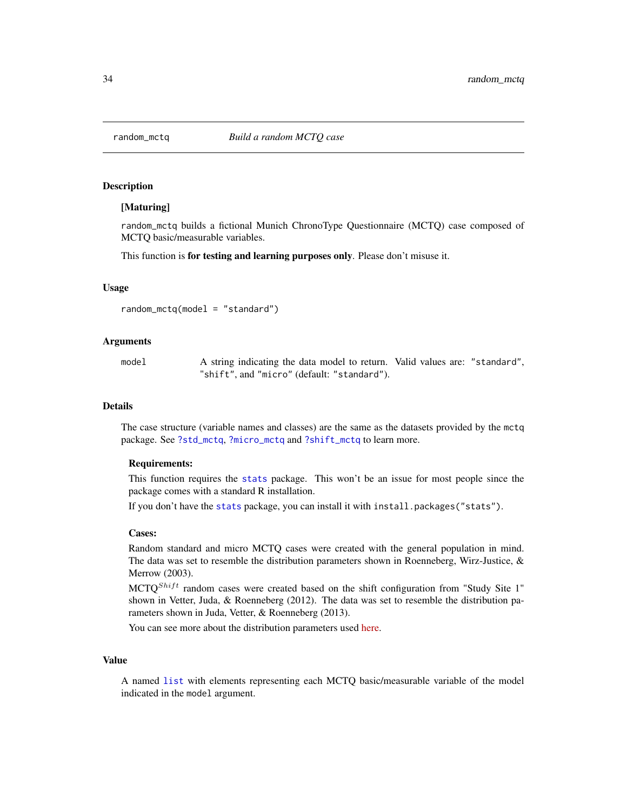<span id="page-33-1"></span><span id="page-33-0"></span>

## Description

## [Maturing]

random\_mctq builds a fictional Munich ChronoType Questionnaire (MCTQ) case composed of MCTQ basic/measurable variables.

This function is for testing and learning purposes only. Please don't misuse it.

# Usage

random\_mctq(model = "standard")

## Arguments

model A string indicating the data model to return. Valid values are: "standard", "shift", and "micro" (default: "standard").

## Details

The case structure (variable names and classes) are the same as the datasets provided by the mctq package. See [?std\\_mctq](#page-80-1), [?micro\\_mctq](#page-15-1) and [?shift\\_mctq](#page-49-1) to learn more.

## Requirements:

This function requires the [stats](#page-0-0) package. This won't be an issue for most people since the package comes with a standard R installation.

If you don't have the [stats](#page-0-0) package, you can install it with install.packages("stats").

## Cases:

Random standard and micro MCTQ cases were created with the general population in mind. The data was set to resemble the distribution parameters shown in Roenneberg, Wirz-Justice, & Merrow (2003).

 $MCTO^{Shift}$  random cases were created based on the shift configuration from "Study Site 1" shown in Vetter, Juda, & Roenneberg (2012). The data was set to resemble the distribution parameters shown in Juda, Vetter, & Roenneberg (2013).

You can see more about the distribution parameters used [here.](https://github.com/ropensci/mctq/blob/main/data-raw/random_mctq.R)

# Value

A named [list](#page-0-0) with elements representing each MCTQ basic/measurable variable of the model indicated in the model argument.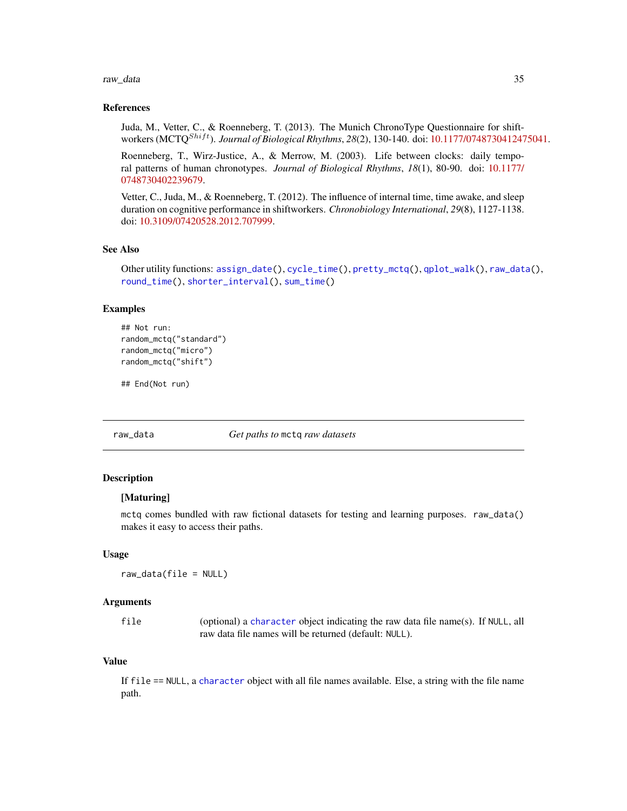#### <span id="page-34-0"></span>raw\_data 35

## References

Juda, M., Vetter, C., & Roenneberg, T. (2013). The Munich ChronoType Questionnaire for shiftworkers (MCTQ<sup>Shift</sup>). *Journal of Biological Rhythms*, 28(2), 130-140. doi: [10.1177/0748730412475041.](https://doi.org/10.1177/0748730412475041)

Roenneberg, T., Wirz-Justice, A., & Merrow, M. (2003). Life between clocks: daily temporal patterns of human chronotypes. *Journal of Biological Rhythms*, *18*(1), 80-90. doi: [10.1177/](https://doi.org/10.1177/0748730402239679) [0748730402239679.](https://doi.org/10.1177/0748730402239679)

Vetter, C., Juda, M., & Roenneberg, T. (2012). The influence of internal time, time awake, and sleep duration on cognitive performance in shiftworkers. *Chronobiology International*, *29*(8), 1127-1138. doi: [10.3109/07420528.2012.707999.](https://doi.org/10.3109/07420528.2012.707999)

#### See Also

Other utility functions: [assign\\_date\(](#page-2-1)), [cycle\\_time\(](#page-4-1)), [pretty\\_mctq\(](#page-29-1)), [qplot\\_walk\(](#page-30-1)), [raw\\_data\(](#page-34-1)), [round\\_time\(](#page-35-1)), [shorter\\_interval\(](#page-58-1)), [sum\\_time\(](#page-87-1))

# Examples

```
## Not run:
random_mctq("standard")
random_mctq("micro")
random_mctq("shift")
```
## End(Not run)

<span id="page-34-1"></span>raw\_data *Get paths to* mctq *raw datasets*

#### **Description**

## [Maturing]

mctq comes bundled with raw fictional datasets for testing and learning purposes. raw\_data() makes it easy to access their paths.

#### Usage

raw\_data(file = NULL)

#### Arguments

file (optional) a [character](#page-0-0) object indicating the raw data file name(s). If NULL, all raw data file names will be returned (default: NULL).

#### Value

If file == NULL, a [character](#page-0-0) object with all file names available. Else, a string with the file name path.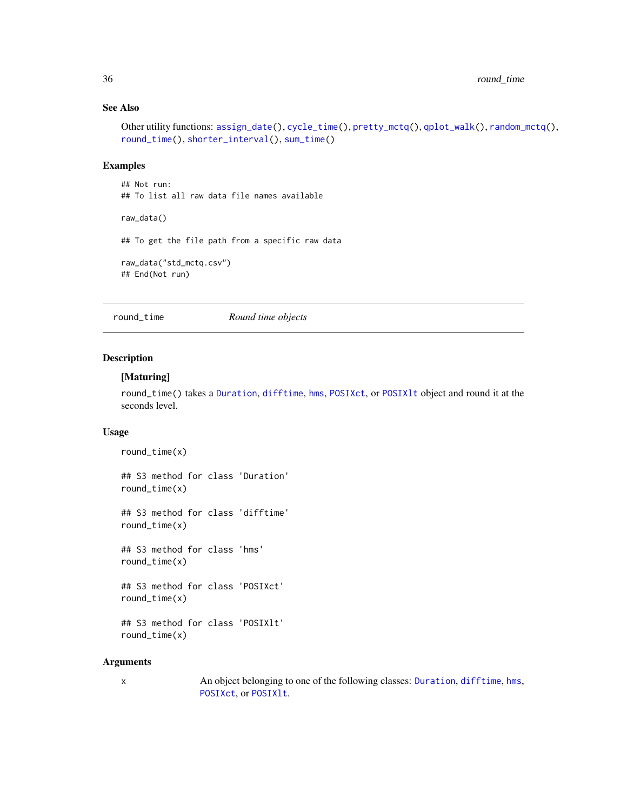# See Also

```
Other utility functions: assign_date(), cycle_time(), pretty_mctq(), qplot_walk(), random_mctq(),
round_time(), shorter_interval(), sum_time()
```
## Examples

## Not run: ## To list all raw data file names available

raw\_data()

## To get the file path from a specific raw data

raw\_data("std\_mctq.csv") ## End(Not run)

<span id="page-35-1"></span>round\_time *Round time objects*

# Description

# [Maturing]

round\_time() takes a [Duration](#page-0-0), [difftime](#page-0-0), [hms](#page-0-0), [POSIXct](#page-0-0), or [POSIXlt](#page-0-0) object and round it at the seconds level.

#### Usage

```
round_time(x)
## S3 method for class 'Duration'
round_time(x)
## S3 method for class 'difftime'
round_time(x)
## S3 method for class 'hms'
round_time(x)
## S3 method for class 'POSIXct'
round_time(x)
## S3 method for class 'POSIXlt'
round_time(x)
```
## **Arguments**

x An object belonging to one of the following classes: [Duration](#page-0-0), [difftime](#page-0-0), [hms](#page-0-0), [POSIXct](#page-0-0), or [POSIXlt](#page-0-0).

<span id="page-35-0"></span>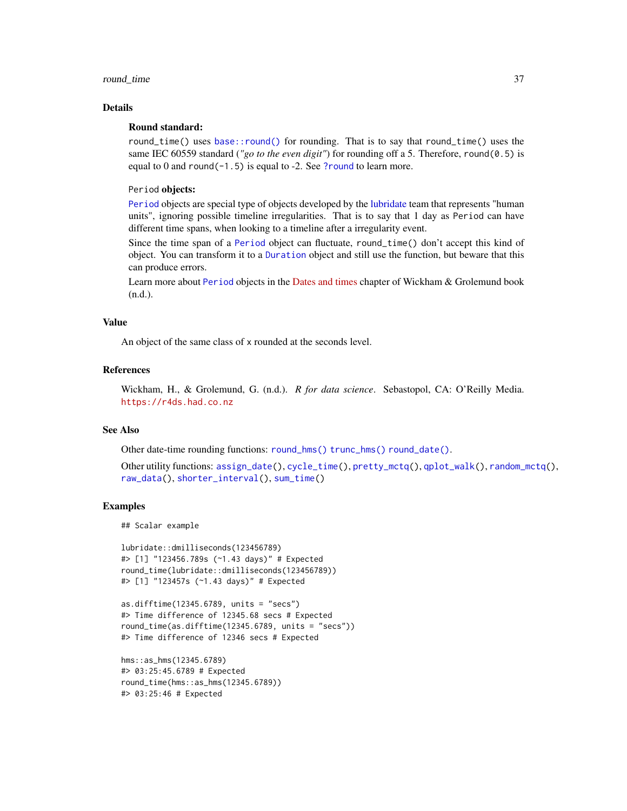## round\_time 37

## Details

# Round standard:

round\_time() uses [base::round\(\)](#page-0-0) for rounding. That is to say that round\_time() uses the same IEC 60559 standard (*"go to the even digit"*) for rounding off a 5. Therefore, round(0.5) is equal to 0 and round( $-1.5$ ) is equal to  $-2$ . See [?round](#page-0-0) to learn more.

## Period objects:

[Period](#page-0-0) objects are special type of objects developed by the [lubridate](#page-0-0) team that represents "human units", ignoring possible timeline irregularities. That is to say that 1 day as Period can have different time spans, when looking to a timeline after a irregularity event.

Since the time span of a [Period](#page-0-0) object can fluctuate, round\_time() don't accept this kind of object. You can transform it to a [Duration](#page-0-0) object and still use the function, but beware that this can produce errors.

Learn more about [Period](#page-0-0) objects in the [Dates and times](https://r4ds.had.co.nz/dates-and-times.html#periods) chapter of Wickham & Grolemund book (n.d.).

## Value

An object of the same class of x rounded at the seconds level.

### References

Wickham, H., & Grolemund, G. (n.d.). *R for data science*. Sebastopol, CA: O'Reilly Media. <https://r4ds.had.co.nz>

### See Also

Other date-time rounding functions: [round\\_hms\(\)](#page-0-0) [trunc\\_hms\(\)](#page-0-0) [round\\_date\(\)](#page-0-0).

```
Other utility functions: assign_date(), cycle_time(), pretty_mctq(), qplot_walk(), random_mctq(),
raw_data(), shorter_interval(), sum_time()
```
### Examples

## Scalar example

```
lubridate::dmilliseconds(123456789)
#> [1] "123456.789s (~1.43 days)" # Expected
round_time(lubridate::dmilliseconds(123456789))
#> [1] "123457s (~1.43 days)" # Expected
```

```
as.difftime(12345.6789, units = "secs")
#> Time difference of 12345.68 secs # Expected
round_time(as.difftime(12345.6789, units = "secs"))
#> Time difference of 12346 secs # Expected
```

```
hms::as_hms(12345.6789)
#> 03:25:45.6789 # Expected
round_time(hms::as_hms(12345.6789))
#> 03:25:46 # Expected
```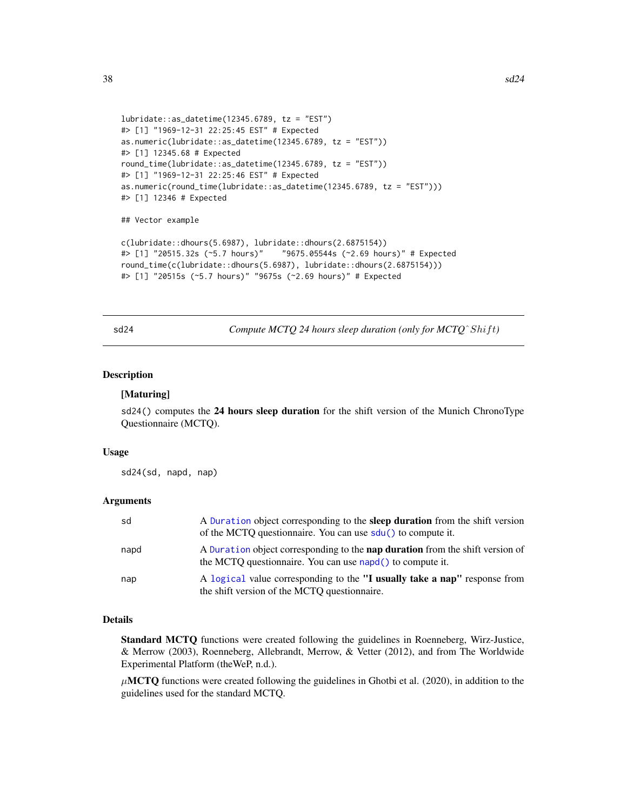```
lubridate::as_datetime(12345.6789, tz = "EST")
#> [1] "1969-12-31 22:25:45 EST" # Expected
as.numeric(lubridate::as_datetime(12345.6789, tz = "EST"))
#> [1] 12345.68 # Expected
round_time(lubridate::as_datetime(12345.6789, tz = "EST"))
#> [1] "1969-12-31 22:25:46 EST" # Expected
as.numeric(round_time(lubridate::as_datetime(12345.6789, tz = "EST")))
#> [1] 12346 # Expected
## Vector example
c(lubridate::dhours(5.6987), lubridate::dhours(2.6875154))
#> [1] "20515.32s (~5.7 hours)" "9675.05544s (~2.69 hours)" # Expected
round_time(c(lubridate::dhours(5.6987), lubridate::dhours(2.6875154)))
#> [1] "20515s (~5.7 hours)" "9675s (~2.69 hours)" # Expected
```
<span id="page-37-0"></span>sd24 *Compute MCTQ 24 hours sleep duration (only for MCTQ***<sup>** $\sim$ **</sup>Shift)** 

#### **Description**

#### [Maturing]

sd24() computes the 24 hours sleep duration for the shift version of the Munich ChronoType Questionnaire (MCTQ).

#### Usage

sd24(sd, napd, nap)

#### Arguments

| sd   | A Duration object corresponding to the <b>sleep duration</b> from the shift version<br>of the MCTQ questionnaire. You can use sdu() to compute it. |
|------|----------------------------------------------------------------------------------------------------------------------------------------------------|
| napd | A Duration object corresponding to the <b>nap duration</b> from the shift version of<br>the MCTQ questionnaire. You can use napd() to compute it.  |
| nap  | A logical value corresponding to the "I usually take a nap" response from<br>the shift version of the MCTQ questionnaire.                          |

## Details

Standard MCTQ functions were created following the guidelines in Roenneberg, Wirz-Justice, & Merrow (2003), Roenneberg, Allebrandt, Merrow, & Vetter (2012), and from The Worldwide Experimental Platform (theWeP, n.d.).

 $\mu$ MCTQ functions were created following the guidelines in Ghotbi et al. (2020), in addition to the guidelines used for the standard MCTQ.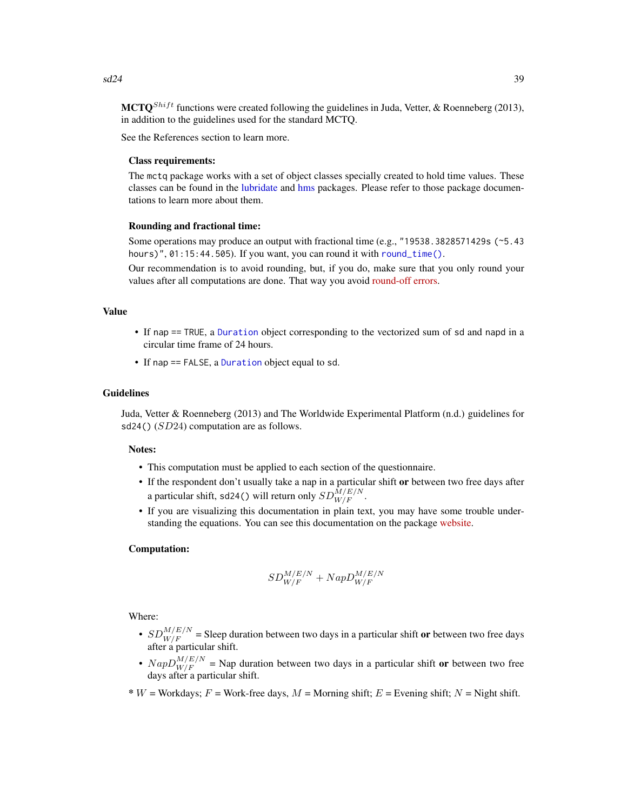**MCTQ**<sup>Shift</sup> functions were created following the guidelines in Juda, Vetter, & Roenneberg (2013), in addition to the guidelines used for the standard MCTQ.

See the References section to learn more.

### Class requirements:

The mctq package works with a set of object classes specially created to hold time values. These classes can be found in the [lubridate](#page-0-0) and [hms](#page-0-0) packages. Please refer to those package documentations to learn more about them.

#### Rounding and fractional time:

Some operations may produce an output with fractional time (e.g., "19538.3828571429s (~5.43 hours)", 01:15:44.505). If you want, you can round it with [round\\_time\(\)](#page-35-0).

Our recommendation is to avoid rounding, but, if you do, make sure that you only round your values after all computations are done. That way you avoid [round-off errors.](https://en.wikipedia.org/wiki/Round-off_error)

## Value

- If nap == TRUE, a [Duration](#page-0-0) object corresponding to the vectorized sum of sd and napd in a circular time frame of 24 hours.
- If nap == FALSE, a [Duration](#page-0-0) object equal to sd.

### Guidelines

Juda, Vetter & Roenneberg (2013) and The Worldwide Experimental Platform (n.d.) guidelines for  $sd24() (SD24)$  computation are as follows.

### Notes:

- This computation must be applied to each section of the questionnaire.
- If the respondent don't usually take a nap in a particular shift or between two free days after a particular shift, sd24() will return only  $SD^{M/E/N}_{W/F}$ .
- If you are visualizing this documentation in plain text, you may have some trouble understanding the equations. You can see this documentation on the package [website.](https://docs.ropensci.org/mctq/reference/)

#### Computation:

$$
SD_{W/F}^{M/E/N} + NapD_{W/F}^{M/E/N}
$$

#### Where:

- $SD_{W/F}^{M/E/N}$  = Sleep duration between two days in a particular shift or between two free days after a particular shift.
- $NapD_{W/F}^{M/E/N}$  = Nap duration between two days in a particular shift or between two free days after a particular shift.
- \* W = Workdays;  $F$  = Work-free days,  $M$  = Morning shift;  $E$  = Evening shift;  $N$  = Night shift.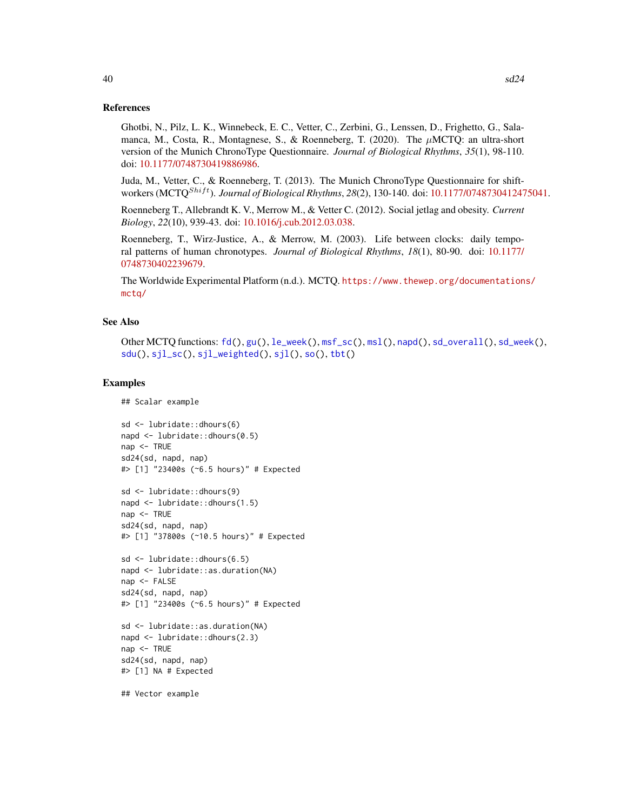### References

Ghotbi, N., Pilz, L. K., Winnebeck, E. C., Vetter, C., Zerbini, G., Lenssen, D., Frighetto, G., Salamanca, M., Costa, R., Montagnese, S., & Roenneberg, T. (2020). The  $\mu$ MCTQ: an ultra-short version of the Munich ChronoType Questionnaire. *Journal of Biological Rhythms*, *35*(1), 98-110. doi: [10.1177/0748730419886986.](https://doi.org/10.1177/0748730419886986)

Juda, M., Vetter, C., & Roenneberg, T. (2013). The Munich ChronoType Questionnaire for shiftworkers (MCTQ<sup>Shift</sup>). *Journal of Biological Rhythms*, 28(2), 130-140. doi: [10.1177/0748730412475041.](https://doi.org/10.1177/0748730412475041)

Roenneberg T., Allebrandt K. V., Merrow M., & Vetter C. (2012). Social jetlag and obesity. *Current Biology*, *22*(10), 939-43. doi: [10.1016/j.cub.2012.03.038.](https://doi.org/10.1016/j.cub.2012.03.038)

Roenneberg, T., Wirz-Justice, A., & Merrow, M. (2003). Life between clocks: daily temporal patterns of human chronotypes. *Journal of Biological Rhythms*, *18*(1), 80-90. doi: [10.1177/](https://doi.org/10.1177/0748730402239679) [0748730402239679.](https://doi.org/10.1177/0748730402239679)

The Worldwide Experimental Platform (n.d.). MCTQ. [https://www.thewep.org/documentation](https://www.thewep.org/documentations/mctq/)s/ [mctq/](https://www.thewep.org/documentations/mctq/)

#### See Also

Other MCTQ functions: [fd\(](#page-7-0)), [gu\(](#page-9-0)), [le\\_week\(](#page-11-0)), [msf\\_sc\(](#page-19-0)), [msl\(](#page-23-0)), [napd\(](#page-26-0)), [sd\\_overall\(](#page-43-0)), [sd\\_week\(](#page-46-0)), [sdu\(](#page-40-0)), [sjl\\_sc\(](#page-66-0)), [sjl\\_weighted\(](#page-70-0)), [sjl\(](#page-61-0)), [so\(](#page-77-0)), [tbt\(](#page-91-0))

#### Examples

```
## Scalar example
```

```
sd <- lubridate::dhours(6)
napd <- lubridate::dhours(0.5)
nap <- TRUE
sd24(sd, napd, nap)
#> [1] "23400s (~6.5 hours)" # Expected
sd <- lubridate::dhours(9)
napd <- lubridate::dhours(1.5)
nap <- TRUE
sd24(sd, napd, nap)
#> [1] "37800s (~10.5 hours)" # Expected
sd <- lubridate::dhours(6.5)
napd <- lubridate::as.duration(NA)
nap <- FALSE
sd24(sd, napd, nap)
#> [1] "23400s (~6.5 hours)" # Expected
sd <- lubridate::as.duration(NA)
napd <- lubridate::dhours(2.3)
nap <- TRUE
sd24(sd, napd, nap)
#> [1] NA # Expected
## Vector example
```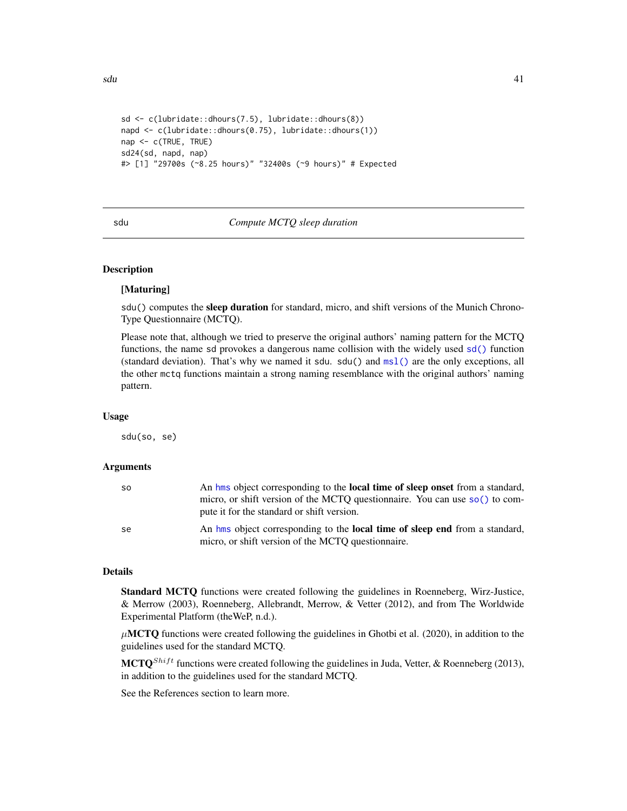```
sd <- c(lubridate::dhours(7.5), lubridate::dhours(8))
napd <- c(lubridate::dhours(0.75), lubridate::dhours(1))
nap <- c(TRUE, TRUE)
sd24(sd, napd, nap)
#> [1] "29700s (~8.25 hours)" "32400s (~9 hours)" # Expected
```
### <span id="page-40-0"></span>sdu *Compute MCTQ sleep duration*

# Description

## [Maturing]

sdu() computes the sleep duration for standard, micro, and shift versions of the Munich Chrono-Type Questionnaire (MCTQ).

Please note that, although we tried to preserve the original authors' naming pattern for the MCTQ functions, the name sd provokes a dangerous name collision with the widely used [sd\(\)](#page-0-0) function (standard deviation). That's why we named it sdu. sdu() and [msl\(\)](#page-23-0) are the only exceptions, all the other mctq functions maintain a strong naming resemblance with the original authors' naming pattern.

### Usage

sdu(so, se)

### Arguments

| <b>SO</b> | An hms object corresponding to the local time of sleep onset from a standard,      |
|-----------|------------------------------------------------------------------------------------|
|           | micro, or shift version of the MCTO questionnaire. You can use so() to com-        |
|           | pute it for the standard or shift version.                                         |
| se        | An hms object corresponding to the <b>local time of sleep end</b> from a standard, |
|           | micro, or shift version of the MCTQ questionnaire.                                 |

### Details

Standard MCTQ functions were created following the guidelines in Roenneberg, Wirz-Justice, & Merrow (2003), Roenneberg, Allebrandt, Merrow, & Vetter (2012), and from The Worldwide Experimental Platform (theWeP, n.d.).

 $\mu$ MCTQ functions were created following the guidelines in Ghotbi et al. (2020), in addition to the guidelines used for the standard MCTQ.

**MCTQ**<sup>Shift</sup> functions were created following the guidelines in Juda, Vetter, & Roenneberg (2013), in addition to the guidelines used for the standard MCTQ.

See the References section to learn more.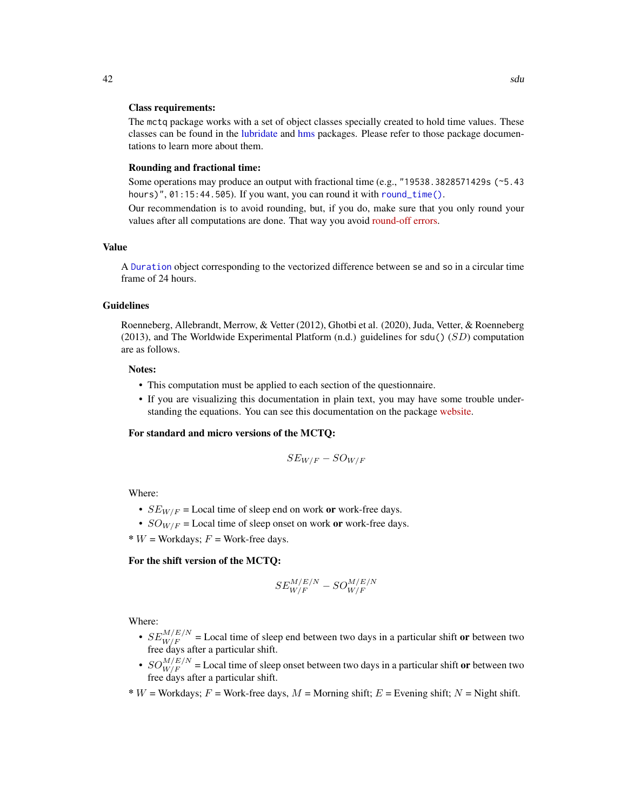### Class requirements:

The mctq package works with a set of object classes specially created to hold time values. These classes can be found in the [lubridate](#page-0-0) and [hms](#page-0-0) packages. Please refer to those package documentations to learn more about them.

## Rounding and fractional time:

Some operations may produce an output with fractional time (e.g., "19538.3828571429s (~5.43 hours)", 01:15:44.505). If you want, you can round it with [round\\_time\(\)](#page-35-0).

Our recommendation is to avoid rounding, but, if you do, make sure that you only round your values after all computations are done. That way you avoid [round-off errors.](https://en.wikipedia.org/wiki/Round-off_error)

# Value

A [Duration](#page-0-0) object corresponding to the vectorized difference between se and so in a circular time frame of 24 hours.

## Guidelines

Roenneberg, Allebrandt, Merrow, & Vetter (2012), Ghotbi et al. (2020), Juda, Vetter, & Roenneberg (2013), and The Worldwide Experimental Platform (n.d.) guidelines for sdu()  $(SD)$  computation are as follows.

#### Notes:

- This computation must be applied to each section of the questionnaire.
- If you are visualizing this documentation in plain text, you may have some trouble understanding the equations. You can see this documentation on the package [website.](https://docs.ropensci.org/mctq/reference/)

## For standard and micro versions of the MCTQ:

$$
SE_{W/F} - SO_{W/F}
$$

Where:

- $SE_{W/F}$  = Local time of sleep end on work or work-free days.
- $SO_{W/F}$  = Local time of sleep onset on work or work-free days.
- $* W$  = Workdays;  $F$  = Work-free days.

### For the shift version of the MCTQ:

$$
SE^{M/E/N}_{W/F}-SO^{M/E/N}_{W/F}
$$

Where:

- $SE_{W/F}^{M/E/N}$  = Local time of sleep end between two days in a particular shift or between two free days after a particular shift.
- $SO_{W/F}^{M/E/N}$  = Local time of sleep onset between two days in a particular shift or between two free days after a particular shift.
- \* W = Workdays;  $F$  = Work-free days,  $M$  = Morning shift;  $E$  = Evening shift;  $N$  = Night shift.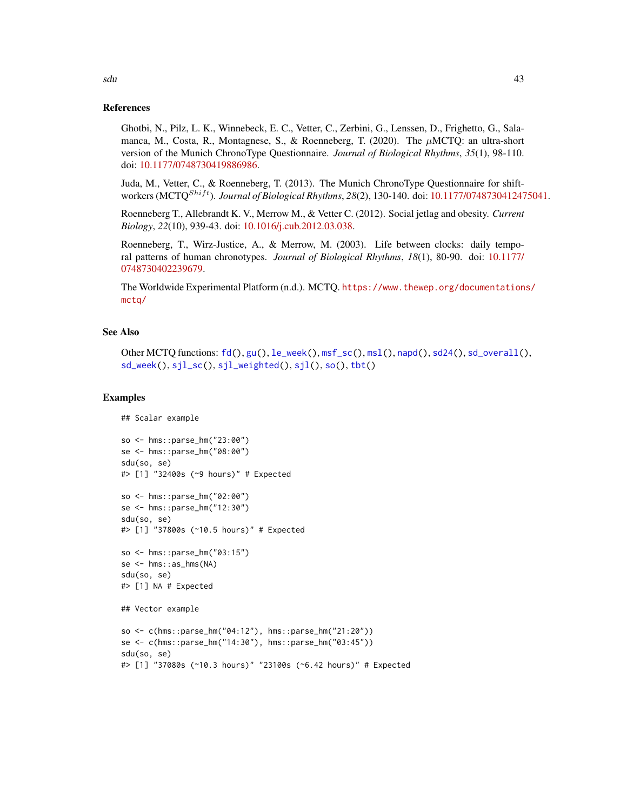### References

Ghotbi, N., Pilz, L. K., Winnebeck, E. C., Vetter, C., Zerbini, G., Lenssen, D., Frighetto, G., Salamanca, M., Costa, R., Montagnese, S., & Roenneberg, T. (2020). The  $\mu$ MCTQ: an ultra-short version of the Munich ChronoType Questionnaire. *Journal of Biological Rhythms*, *35*(1), 98-110. doi: [10.1177/0748730419886986.](https://doi.org/10.1177/0748730419886986)

Juda, M., Vetter, C., & Roenneberg, T. (2013). The Munich ChronoType Questionnaire for shiftworkers (MCTQ<sup>Shift</sup>). *Journal of Biological Rhythms*, 28(2), 130-140. doi: [10.1177/0748730412475041.](https://doi.org/10.1177/0748730412475041)

Roenneberg T., Allebrandt K. V., Merrow M., & Vetter C. (2012). Social jetlag and obesity. *Current Biology*, *22*(10), 939-43. doi: [10.1016/j.cub.2012.03.038.](https://doi.org/10.1016/j.cub.2012.03.038)

Roenneberg, T., Wirz-Justice, A., & Merrow, M. (2003). Life between clocks: daily temporal patterns of human chronotypes. *Journal of Biological Rhythms*, *18*(1), 80-90. doi: [10.1177/](https://doi.org/10.1177/0748730402239679) [0748730402239679.](https://doi.org/10.1177/0748730402239679)

The Worldwide Experimental Platform (n.d.). MCTQ. [https://www.thewep.org/documentation](https://www.thewep.org/documentations/mctq/)s/ [mctq/](https://www.thewep.org/documentations/mctq/)

### See Also

Other MCTQ functions: [fd\(](#page-7-0)), [gu\(](#page-9-0)), [le\\_week\(](#page-11-0)), [msf\\_sc\(](#page-19-0)), [msl\(](#page-23-0)), [napd\(](#page-26-0)), [sd24\(](#page-37-0)), [sd\\_overall\(](#page-43-0)), [sd\\_week\(](#page-46-0)), [sjl\\_sc\(](#page-66-0)), [sjl\\_weighted\(](#page-70-0)), [sjl\(](#page-61-0)), [so\(](#page-77-0)), [tbt\(](#page-91-0))

#### Examples

```
## Scalar example
so <- hms::parse_hm("23:00")
se <- hms::parse_hm("08:00")
sdu(so, se)
#> [1] "32400s (~9 hours)" # Expected
so <- hms::parse_hm("02:00")
se <- hms::parse_hm("12:30")
sdu(so, se)
#> [1] "37800s (~10.5 hours)" # Expected
so <- hms::parse_hm("03:15")
se <- hms::as_hms(NA)
sdu(so, se)
#> [1] NA # Expected
## Vector example
so <- c(hms::parse_hm("04:12"), hms::parse_hm("21:20"))
se <- c(hms::parse_hm("14:30"), hms::parse_hm("03:45"))
sdu(so, se)
#> [1] "37080s (~10.3 hours)" "23100s (~6.42 hours)" # Expected
```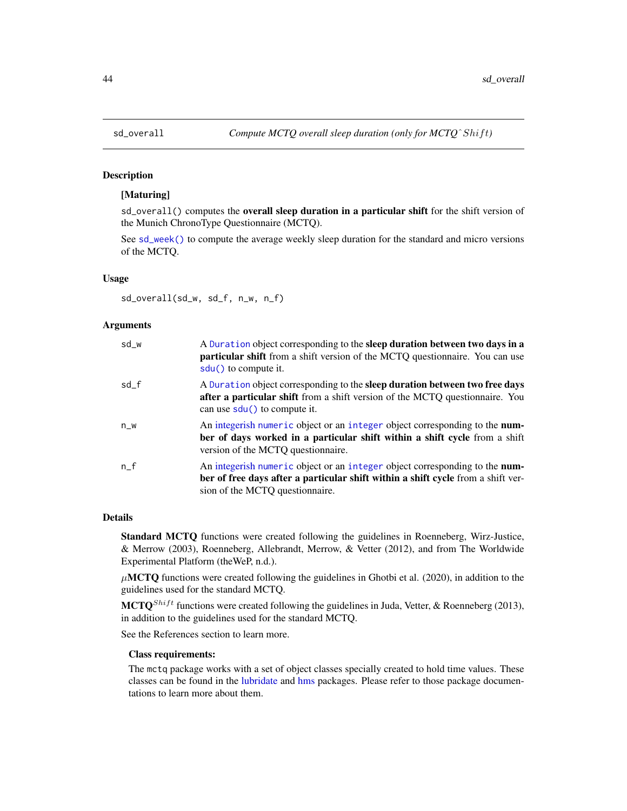## **Description**

## [Maturing]

sd\_overall() computes the **overall sleep duration in a particular shift** for the shift version of the Munich ChronoType Questionnaire (MCTQ).

See [sd\\_week\(\)](#page-46-0) to compute the average weekly sleep duration for the standard and micro versions of the MCTQ.

### Usage

sd\_overall(sd\_w, sd\_f, n\_w, n\_f)

## **Arguments**

| sd_w | A Duration object corresponding to the sleep duration between two days in a<br><b>particular shift</b> from a shift version of the MCTQ questionnaire. You can use<br>sdu() to compute it.                |
|------|-----------------------------------------------------------------------------------------------------------------------------------------------------------------------------------------------------------|
| sd f | A Duration object corresponding to the <b>sleep duration between two free days</b><br><b>after a particular shift</b> from a shift version of the MCTQ questionnaire. You<br>can use sdu() to compute it. |
| n w  | An integerish numeric object or an integer object corresponding to the num-<br>ber of days worked in a particular shift within a shift cycle from a shift<br>version of the MCTQ questionnaire.           |
| n f  | An integerish numeric object or an integer object corresponding to the num-<br>ber of free days after a particular shift within a shift cycle from a shift ver-<br>sion of the MCTQ questionnaire.        |

## Details

Standard MCTQ functions were created following the guidelines in Roenneberg, Wirz-Justice, & Merrow (2003), Roenneberg, Allebrandt, Merrow, & Vetter (2012), and from The Worldwide Experimental Platform (theWeP, n.d.).

 $\mu$ MCTQ functions were created following the guidelines in Ghotbi et al. (2020), in addition to the guidelines used for the standard MCTQ.

MCTO<sup>Shift</sup> functions were created following the guidelines in Juda, Vetter, & Roenneberg (2013), in addition to the guidelines used for the standard MCTQ.

See the References section to learn more.

### Class requirements:

The mctq package works with a set of object classes specially created to hold time values. These classes can be found in the [lubridate](#page-0-0) and [hms](#page-0-0) packages. Please refer to those package documentations to learn more about them.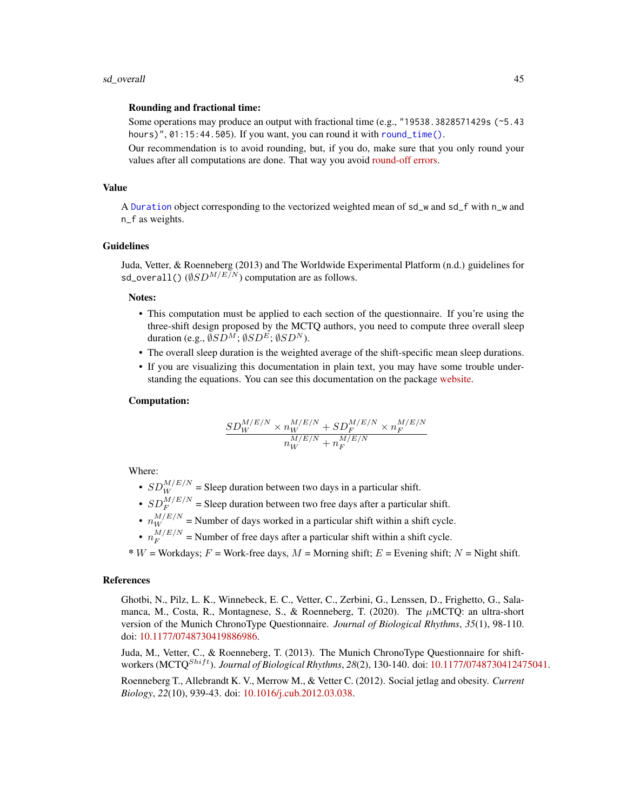#### sd\_overall and the state of the state of the state of the state of the state of the state of the state of the state of the state of the state of the state of the state of the state of the state of the state of the state of

### Rounding and fractional time:

Some operations may produce an output with fractional time (e.g., "19538.3828571429s (~5.43 hours)", 01:15:44.505). If you want, you can round it with [round\\_time\(\)](#page-35-0).

Our recommendation is to avoid rounding, but, if you do, make sure that you only round your values after all computations are done. That way you avoid [round-off errors.](https://en.wikipedia.org/wiki/Round-off_error)

### Value

A [Duration](#page-0-0) object corresponding to the vectorized weighted mean of sd\_w and sd\_f with n\_w and n\_f as weights.

#### Guidelines

Juda, Vetter, & Roenneberg (2013) and The Worldwide Experimental Platform (n.d.) guidelines for sd\_overall()  $(\emptyset SD^{M/E/N})$  computation are as follows.

# Notes:

- This computation must be applied to each section of the questionnaire. If you're using the three-shift design proposed by the MCTQ authors, you need to compute three overall sleep duration (e.g.,  $\emptyset SD^M$ ;  $\emptyset SD^E$ ;  $\emptyset SD^N$ ).
- The overall sleep duration is the weighted average of the shift-specific mean sleep durations.
- If you are visualizing this documentation in plain text, you may have some trouble understanding the equations. You can see this documentation on the package [website.](https://docs.ropensci.org/mctq/reference/)

#### Computation:

$$
\frac{SD^{M/E/N}_W\times n^{M/E/N}_W + SD^{M/E/N}_F\times n^{M/E/N}_F}{n^{M/E/N}_W + n^{M/E/N}_F}
$$

Where:

- $SD_W^{M/E/N}$  = Sleep duration between two days in a particular shift.
- $SD<sub>F</sub><sup>M/E/N</sup>$  = Sleep duration between two free days after a particular shift.
- $n_{W}^{M/E/N}$  = Number of days worked in a particular shift within a shift cycle.
- $\cdot\;n_F^{M/E/N}$  $F_F^{M/E/N}$  = Number of free days after a particular shift within a shift cycle.

 $* W =$  Workdays;  $F =$  Work-free days,  $M =$  Morning shift;  $E =$  Evening shift;  $N =$  Night shift.

### References

Ghotbi, N., Pilz, L. K., Winnebeck, E. C., Vetter, C., Zerbini, G., Lenssen, D., Frighetto, G., Salamanca, M., Costa, R., Montagnese, S., & Roenneberg, T. (2020). The  $\mu$ MCTQ: an ultra-short version of the Munich ChronoType Questionnaire. *Journal of Biological Rhythms*, *35*(1), 98-110. doi: [10.1177/0748730419886986.](https://doi.org/10.1177/0748730419886986)

Juda, M., Vetter, C., & Roenneberg, T. (2013). The Munich ChronoType Questionnaire for shiftworkers (MCTQ<sup>Shift</sup>). *Journal of Biological Rhythms*, 28(2), 130-140. doi: [10.1177/0748730412475041.](https://doi.org/10.1177/0748730412475041)

Roenneberg T., Allebrandt K. V., Merrow M., & Vetter C. (2012). Social jetlag and obesity. *Current Biology*, *22*(10), 939-43. doi: [10.1016/j.cub.2012.03.038.](https://doi.org/10.1016/j.cub.2012.03.038)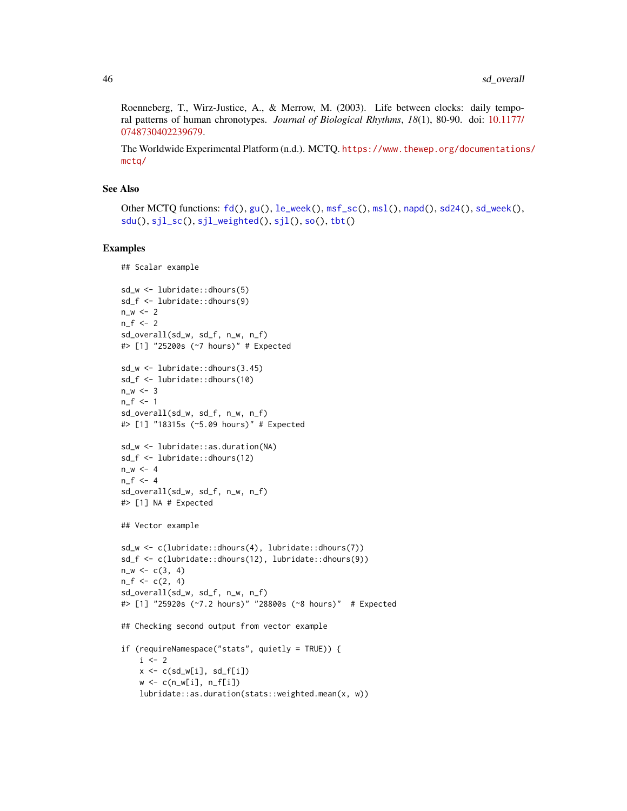Roenneberg, T., Wirz-Justice, A., & Merrow, M. (2003). Life between clocks: daily temporal patterns of human chronotypes. *Journal of Biological Rhythms*, *18*(1), 80-90. doi: [10.1177/](https://doi.org/10.1177/0748730402239679) [0748730402239679.](https://doi.org/10.1177/0748730402239679)

The Worldwide Experimental Platform (n.d.). MCTQ. [https://www.thewep.org/documentation](https://www.thewep.org/documentations/mctq/)s/ [mctq/](https://www.thewep.org/documentations/mctq/)

#### See Also

Other MCTQ functions: [fd\(](#page-7-0)), [gu\(](#page-9-0)), [le\\_week\(](#page-11-0)), [msf\\_sc\(](#page-19-0)), [msl\(](#page-23-0)), [napd\(](#page-26-0)), [sd24\(](#page-37-0)), [sd\\_week\(](#page-46-0)), [sdu\(](#page-40-0)), [sjl\\_sc\(](#page-66-0)), [sjl\\_weighted\(](#page-70-0)), [sjl\(](#page-61-0)), [so\(](#page-77-0)), [tbt\(](#page-91-0))

#### Examples

```
## Scalar example
sd_w <- lubridate::dhours(5)
sd_f <- lubridate::dhours(9)
n_w < -2n_f < -2sd_overall(sd_w, sd_f, n_w, n_f)
#> [1] "25200s (~7 hours)" # Expected
sd_w <- lubridate::dhours(3.45)
sd_f <- lubridate::dhours(10)
n_w < -3n_f < -1sd_overall(sd_w, sd_f, n_w, n_f)
#> [1] "18315s (~5.09 hours)" # Expected
sd_w <- lubridate::as.duration(NA)
sd_f <- lubridate::dhours(12)
n_w < -4n_f < -4sd_overall(sd_w, sd_f, n_w, n_f)
#> [1] NA # Expected
## Vector example
sd_w <- c(lubridate::dhours(4), lubridate::dhours(7))
sd_f <- c(lubridate::dhours(12), lubridate::dhours(9))
n_w < -c(3, 4)n_f < -c(2, 4)sd_overall(sd_w, sd_f, n_w, n_f)
#> [1] "25920s (~7.2 hours)" "28800s (~8 hours)" # Expected
## Checking second output from vector example
if (requireNamespace("stats", quietly = TRUE)) {
    i \leq 2x \leftarrow c(sd_w[i], sd_f[i])w \leq c(n_w[i], n_f[i])lubridate::as.duration(stats::weighted.mean(x, w))
```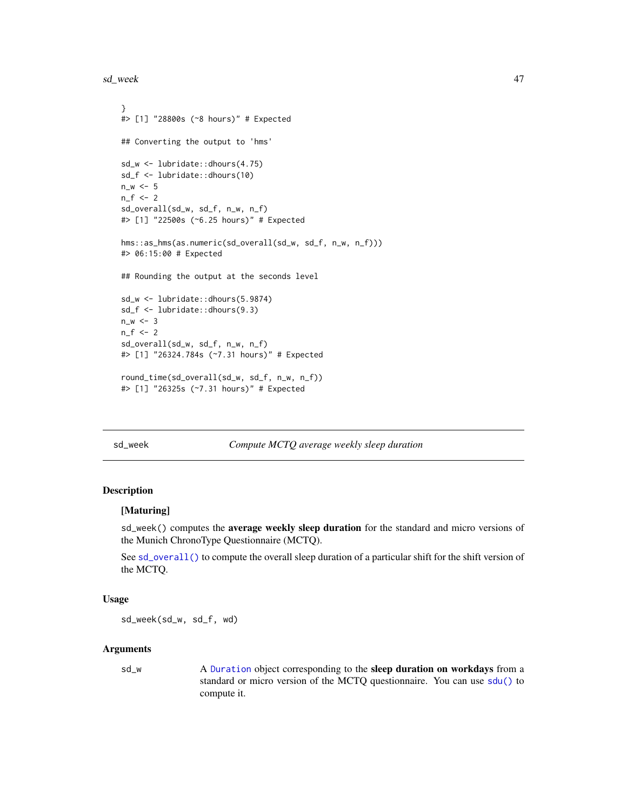sd\_week 47

```
}
#> [1] "28800s (~8 hours)" # Expected
## Converting the output to 'hms'
sd_w <- lubridate::dhours(4.75)
sd_f <- lubridate::dhours(10)
n_w < -5n_f < -2sd_overall(sd_w, sd_f, n_w, n_f)
#> [1] "22500s (~6.25 hours)" # Expected
hms::as_hms(as.numeric(sd_overall(sd_w, sd_f, n_w, n_f)))
#> 06:15:00 # Expected
## Rounding the output at the seconds level
sd_w <- lubridate::dhours(5.9874)
sd_f <- lubridate::dhours(9.3)
n_w < -3n_f < -2sd_overall(sd_w, sd_f, n_w, n_f)
#> [1] "26324.784s (~7.31 hours)" # Expected
round_time(sd_overall(sd_w, sd_f, n_w, n_f))
#> [1] "26325s (~7.31 hours)" # Expected
```
<span id="page-46-0"></span>sd\_week *Compute MCTQ average weekly sleep duration*

# **Description**

#### [Maturing]

sd\_week() computes the average weekly sleep duration for the standard and micro versions of the Munich ChronoType Questionnaire (MCTQ).

See [sd\\_overall\(\)](#page-43-0) to compute the overall sleep duration of a particular shift for the shift version of the MCTQ.

#### Usage

sd\_week(sd\_w, sd\_f, wd)

#### Arguments

sd\_w A [Duration](#page-0-0) object corresponding to the **sleep duration on workdays** from a standard or micro version of the MCTQ questionnaire. You can use [sdu\(\)](#page-40-0) to compute it.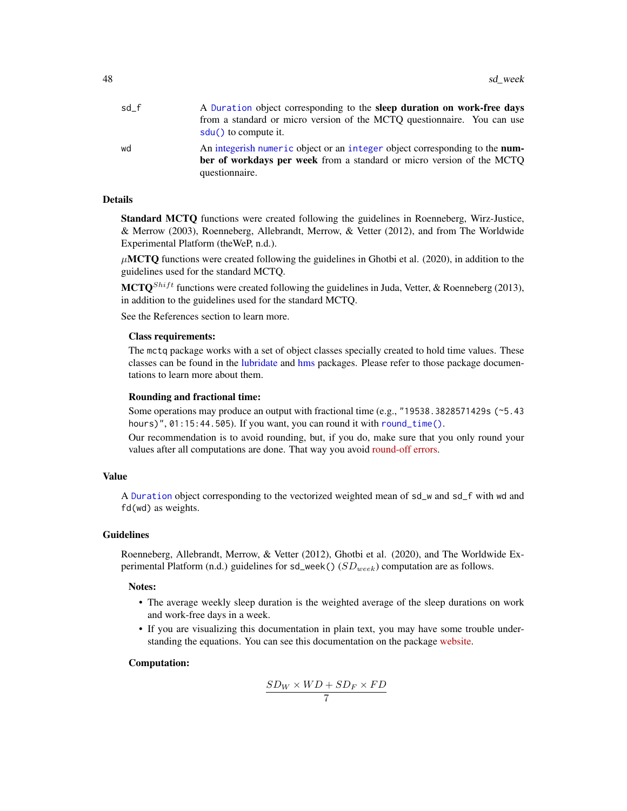| sd f | A Duration object corresponding to the sleep duration on work-free days     |
|------|-----------------------------------------------------------------------------|
|      | from a standard or micro version of the MCTQ questionnaire. You can use     |
|      | $sdu()$ to compute it.                                                      |
| wd   | An integerish numeric object or an integer object corresponding to the num- |
|      | ber of workdays per week from a standard or micro version of the MCTQ       |
|      | questionnaire.                                                              |
|      |                                                                             |

## Details

Standard MCTQ functions were created following the guidelines in Roenneberg, Wirz-Justice, & Merrow (2003), Roenneberg, Allebrandt, Merrow, & Vetter (2012), and from The Worldwide Experimental Platform (theWeP, n.d.).

 $\mu$ MCTQ functions were created following the guidelines in Ghotbi et al. (2020), in addition to the guidelines used for the standard MCTQ.

**MCTQ**<sup>Shift</sup> functions were created following the guidelines in Juda, Vetter, & Roenneberg (2013), in addition to the guidelines used for the standard MCTQ.

See the References section to learn more.

## Class requirements:

The mctq package works with a set of object classes specially created to hold time values. These classes can be found in the [lubridate](#page-0-0) and [hms](#page-0-0) packages. Please refer to those package documentations to learn more about them.

#### Rounding and fractional time:

Some operations may produce an output with fractional time (e.g., "19538.3828571429s (~5.43 hours)", 01:15:44.505). If you want, you can round it with [round\\_time\(\)](#page-35-0).

Our recommendation is to avoid rounding, but, if you do, make sure that you only round your values after all computations are done. That way you avoid [round-off errors.](https://en.wikipedia.org/wiki/Round-off_error)

### Value

A [Duration](#page-0-0) object corresponding to the vectorized weighted mean of sd\_w and sd\_f with wd and fd(wd) as weights.

#### Guidelines

Roenneberg, Allebrandt, Merrow, & Vetter (2012), Ghotbi et al. (2020), and The Worldwide Experimental Platform (n.d.) guidelines for sd\_week()  $(SD_{week})$  computation are as follows.

#### Notes:

- The average weekly sleep duration is the weighted average of the sleep durations on work and work-free days in a week.
- If you are visualizing this documentation in plain text, you may have some trouble understanding the equations. You can see this documentation on the package [website.](https://docs.ropensci.org/mctq/reference/)

#### Computation:

$$
\frac{SD_W \times WD + SD_F \times FD}{7}
$$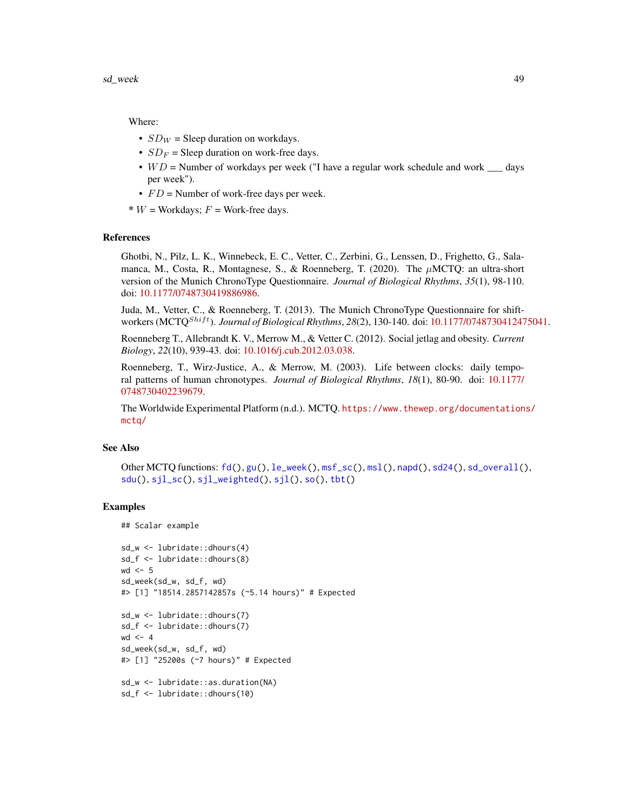#### Where:

- $SD_W$  = Sleep duration on workdays.
- $SD_F$  = Sleep duration on work-free days.
- $WD =$  Number of workdays per week ("I have a regular work schedule and work  $\_\_\_\_$  days per week").
- $FD =$  Number of work-free days per week.
- $* W =$  Workdays;  $F =$  Work-free days.

#### References

Ghotbi, N., Pilz, L. K., Winnebeck, E. C., Vetter, C., Zerbini, G., Lenssen, D., Frighetto, G., Salamanca, M., Costa, R., Montagnese, S., & Roenneberg, T. (2020). The  $\mu$ MCTQ: an ultra-short version of the Munich ChronoType Questionnaire. *Journal of Biological Rhythms*, *35*(1), 98-110. doi: [10.1177/0748730419886986.](https://doi.org/10.1177/0748730419886986)

Juda, M., Vetter, C., & Roenneberg, T. (2013). The Munich ChronoType Questionnaire for shiftworkers (MCTQ<sup>Shift</sup>). *Journal of Biological Rhythms*, 28(2), 130-140. doi: [10.1177/0748730412475041.](https://doi.org/10.1177/0748730412475041)

Roenneberg T., Allebrandt K. V., Merrow M., & Vetter C. (2012). Social jetlag and obesity. *Current Biology*, *22*(10), 939-43. doi: [10.1016/j.cub.2012.03.038.](https://doi.org/10.1016/j.cub.2012.03.038)

Roenneberg, T., Wirz-Justice, A., & Merrow, M. (2003). Life between clocks: daily temporal patterns of human chronotypes. *Journal of Biological Rhythms*, *18*(1), 80-90. doi: [10.1177/](https://doi.org/10.1177/0748730402239679) [0748730402239679.](https://doi.org/10.1177/0748730402239679)

The Worldwide Experimental Platform (n.d.). MCTQ. [https://www.thewep.org/documentation](https://www.thewep.org/documentations/mctq/)s/ [mctq/](https://www.thewep.org/documentations/mctq/)

#### See Also

Other MCTQ functions: [fd\(](#page-7-0)), [gu\(](#page-9-0)), [le\\_week\(](#page-11-0)), [msf\\_sc\(](#page-19-0)), [msl\(](#page-23-0)), [napd\(](#page-26-0)), [sd24\(](#page-37-0)), [sd\\_overall\(](#page-43-0)), [sdu\(](#page-40-0)), [sjl\\_sc\(](#page-66-0)), [sjl\\_weighted\(](#page-70-0)), [sjl\(](#page-61-0)), [so\(](#page-77-0)), [tbt\(](#page-91-0))

### Examples

```
## Scalar example
```

```
sd_w <- lubridate::dhours(4)
sd_f <- lubridate::dhours(8)
wd < -5sd_week(sd_w, sd_f, wd)
#> [1] "18514.2857142857s (~5.14 hours)" # Expected
sd_w <- lubridate::dhours(7)
sd_f <- lubridate::dhours(7)
wd < -4sd_week(sd_w, sd_f, wd)
#> [1] "25200s (~7 hours)" # Expected
sd_w <- lubridate::as.duration(NA)
sd_f <- lubridate::dhours(10)
```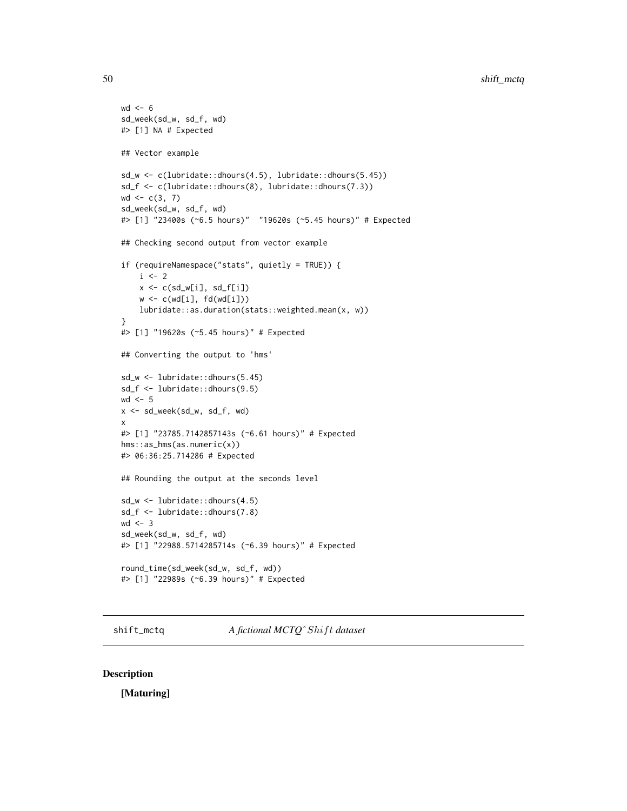```
wd < -6sd_week(sd_w, sd_f, wd)
#> [1] NA # Expected
## Vector example
sd_w <- c(lubridate::dhours(4.5), lubridate::dhours(5.45))
sd_f <- c(lubridate::dhours(8), lubridate::dhours(7.3))
wd < -c(3, 7)sd_week(sd_w, sd_f, wd)
#> [1] "23400s (~6.5 hours)" "19620s (~5.45 hours)" # Expected
## Checking second output from vector example
if (requireNamespace("stats", quietly = TRUE)) {
    i \leq 2x \leftarrow c(sd_w[i], sd_f[i])w <- c(wd[i], fd(wd[i]))
   lubridate::as.duration(stats::weighted.mean(x, w))
}
#> [1] "19620s (~5.45 hours)" # Expected
## Converting the output to 'hms'
sd_w <- lubridate::dhours(5.45)
sd_f <- lubridate::dhours(9.5)
wd < -5x <- sd_week(sd_w, sd_f, wd)
x
#> [1] "23785.7142857143s (~6.61 hours)" # Expected
hms::as_hms(as.numeric(x))
#> 06:36:25.714286 # Expected
## Rounding the output at the seconds level
sd_w <- lubridate::dhours(4.5)
sd_f <- lubridate::dhours(7.8)
wd < - 3sd_week(sd_w, sd_f, wd)
#> [1] "22988.5714285714s (~6.39 hours)" # Expected
round_time(sd_week(sd_w, sd_f, wd))
#> [1] "22989s (~6.39 hours)" # Expected
```
shift\_mctq *A fictional MCTQ*<sup> $\land$ </sup>Shift *dataset* 

## Description

[Maturing]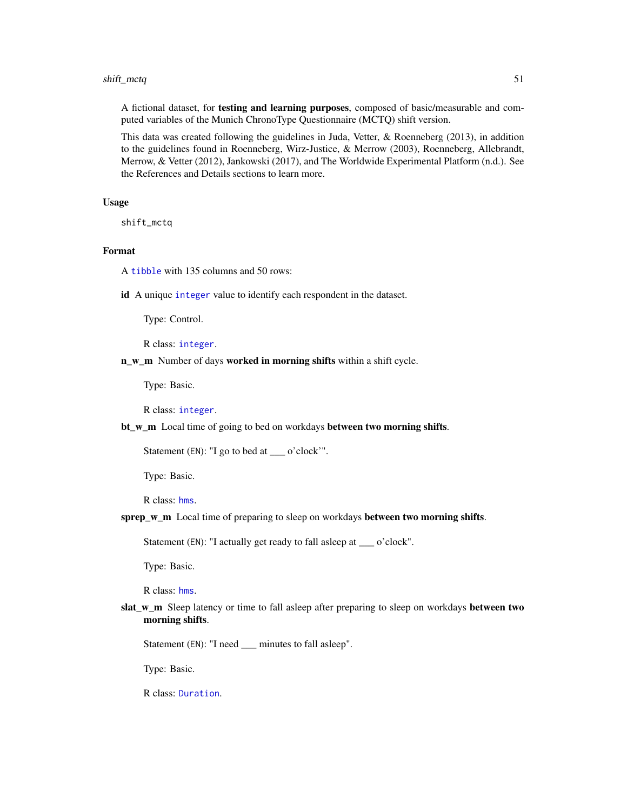# shift\_mctq 51

A fictional dataset, for testing and learning purposes, composed of basic/measurable and computed variables of the Munich ChronoType Questionnaire (MCTQ) shift version.

This data was created following the guidelines in Juda, Vetter, & Roenneberg (2013), in addition to the guidelines found in Roenneberg, Wirz-Justice, & Merrow (2003), Roenneberg, Allebrandt, Merrow, & Vetter (2012), Jankowski (2017), and The Worldwide Experimental Platform (n.d.). See the References and Details sections to learn more.

### Usage

shift\_mctq

## Format

A [tibble](#page-0-0) with 135 columns and 50 rows:

id A unique [integer](#page-0-0) value to identify each respondent in the dataset.

Type: Control.

R class: [integer](#page-0-0).

n\_w\_m Number of days worked in morning shifts within a shift cycle.

Type: Basic.

R class: [integer](#page-0-0).

bt\_w\_m Local time of going to bed on workdays between two morning shifts.

Statement (EN): "I go to bed at \_\_\_ o'clock'".

Type: Basic.

R class: [hms](#page-0-0).

sprep\_w\_m Local time of preparing to sleep on workdays between two morning shifts.

Statement (EN): "I actually get ready to fall asleep at \_\_\_ o'clock".

Type: Basic.

R class: [hms](#page-0-0).

slat\_w\_m Sleep latency or time to fall asleep after preparing to sleep on workdays between two morning shifts.

Statement (EN): "I need \_\_\_ minutes to fall asleep".

Type: Basic.

R class: [Duration](#page-0-0).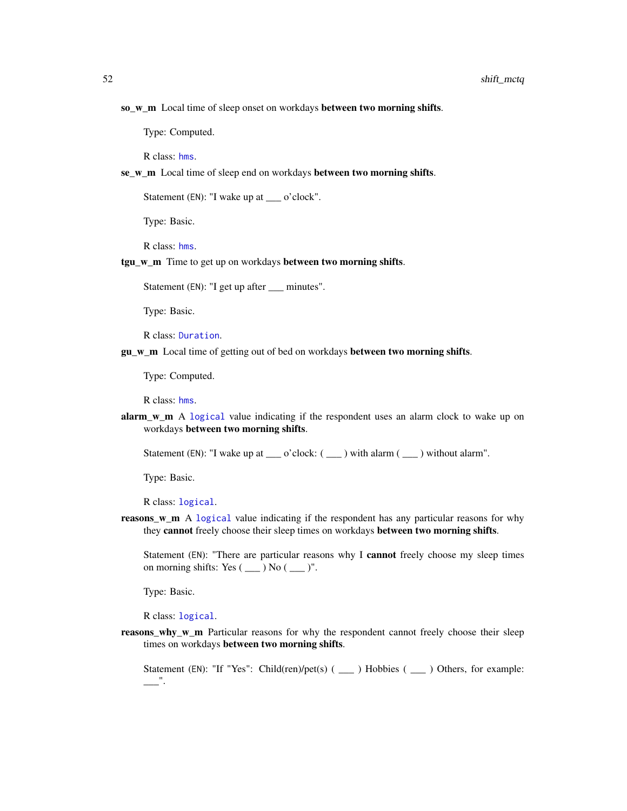so\_w\_m Local time of sleep onset on workdays between two morning shifts.

Type: Computed.

R class: [hms](#page-0-0).

se\_w\_m Local time of sleep end on workdays between two morning shifts.

Statement (EN): "I wake up at \_\_\_ o'clock".

Type: Basic.

R class: [hms](#page-0-0).

tgu\_w\_m Time to get up on workdays between two morning shifts.

Statement (EN): "I get up after \_\_\_ minutes".

Type: Basic.

R class: [Duration](#page-0-0).

gu\_w\_m Local time of getting out of bed on workdays between two morning shifts.

Type: Computed.

R class: [hms](#page-0-0).

 $\textbf{alarm\_w\_m}$  A [logical](#page-0-0) value indicating if the respondent uses an alarm clock to wake up on workdays between two morning shifts.

Statement (EN): "I wake up at  $\equiv$  o'clock:  $(\equiv)$  with alarm  $(\equiv)$  without alarm".

Type: Basic.

R class: [logical](#page-0-0).

reasons\_w\_m A [logical](#page-0-0) value indicating if the respondent has any particular reasons for why they cannot freely choose their sleep times on workdays between two morning shifts.

Statement (EN): "There are particular reasons why I cannot freely choose my sleep times on morning shifts: Yes  $(\_\_)$  No  $(\_\_)$ ".

Type: Basic.

R class: [logical](#page-0-0).

reasons why w m Particular reasons for why the respondent cannot freely choose their sleep times on workdays between two morning shifts.

Statement (EN): "If "Yes": Child(ren)/pet(s) ( \_\_\_ ) Hobbies ( \_\_\_ ) Others, for example:  $\overline{\phantom{a}}$ .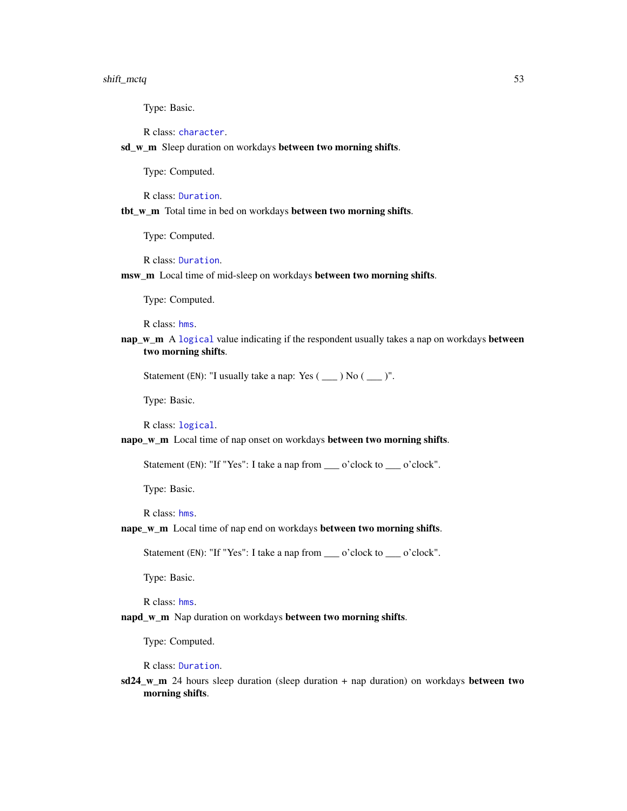Type: Basic.

R class: [character](#page-0-0).

sd\_w\_m Sleep duration on workdays between two morning shifts.

Type: Computed.

R class: [Duration](#page-0-0).

tbt\_w\_m Total time in bed on workdays between two morning shifts.

Type: Computed.

R class: [Duration](#page-0-0).

msw\_m Local time of mid-sleep on workdays between two morning shifts.

Type: Computed.

R class: [hms](#page-0-0).

nap\_w\_m A [logical](#page-0-0) value indicating if the respondent usually takes a nap on workdays between two morning shifts.

Statement (EN): "I usually take a nap: Yes ( \_\_\_ ) No ( \_\_\_ )".

Type: Basic.

R class: [logical](#page-0-0).

napo\_w\_m Local time of nap onset on workdays between two morning shifts.

Statement (EN): "If "Yes": I take a nap from \_\_\_ o'clock to \_\_\_ o'clock".

Type: Basic.

R class: [hms](#page-0-0).

### nape\_w\_m Local time of nap end on workdays between two morning shifts.

Statement (EN): "If "Yes": I take a nap from \_\_\_ o'clock to \_\_\_ o'clock".

Type: Basic.

R class: [hms](#page-0-0).

napd\_w\_m Nap duration on workdays between two morning shifts.

Type: Computed.

R class: [Duration](#page-0-0).

sd24\_w\_m 24 hours sleep duration (sleep duration + nap duration) on workdays between two morning shifts.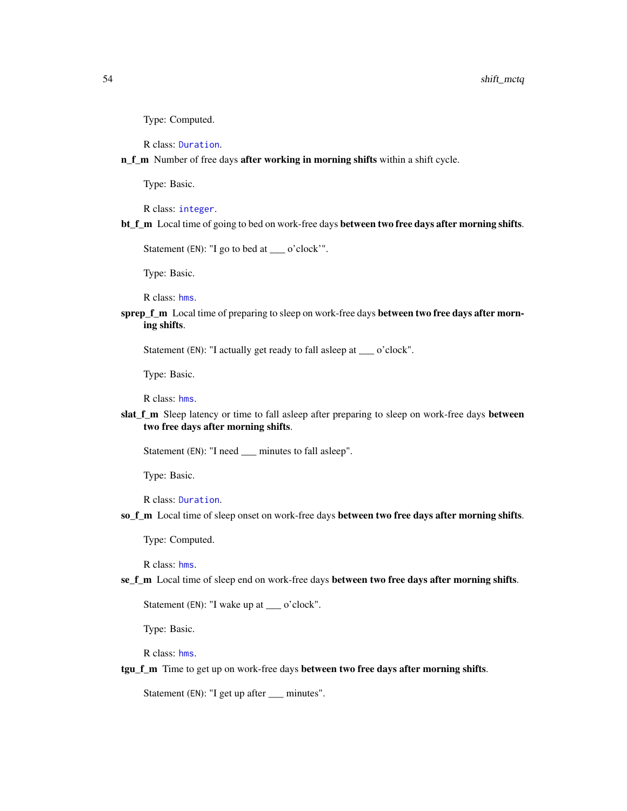Type: Computed.

R class: [Duration](#page-0-0).

n\_f\_m Number of free days after working in morning shifts within a shift cycle.

Type: Basic.

R class: [integer](#page-0-0).

bt\_f\_m Local time of going to bed on work-free days between two free days after morning shifts.

Statement (EN): "I go to bed at \_\_\_ o'clock'".

Type: Basic.

R class: [hms](#page-0-0).

sprep\_f\_m Local time of preparing to sleep on work-free days between two free days after morning shifts.

Statement (EN): "I actually get ready to fall asleep at \_\_\_ o'clock".

Type: Basic.

R class: [hms](#page-0-0).

slat\_f\_m Sleep latency or time to fall asleep after preparing to sleep on work-free days between two free days after morning shifts.

Statement (EN): "I need \_\_\_ minutes to fall asleep".

Type: Basic.

R class: [Duration](#page-0-0).

so\_f\_m Local time of sleep onset on work-free days between two free days after morning shifts.

Type: Computed.

R class: [hms](#page-0-0).

se\_f\_m Local time of sleep end on work-free days between two free days after morning shifts.

Statement (EN): "I wake up at \_\_\_ o'clock".

Type: Basic.

R class: [hms](#page-0-0).

tgu\_f\_m Time to get up on work-free days between two free days after morning shifts.

Statement (EN): "I get up after \_\_\_ minutes".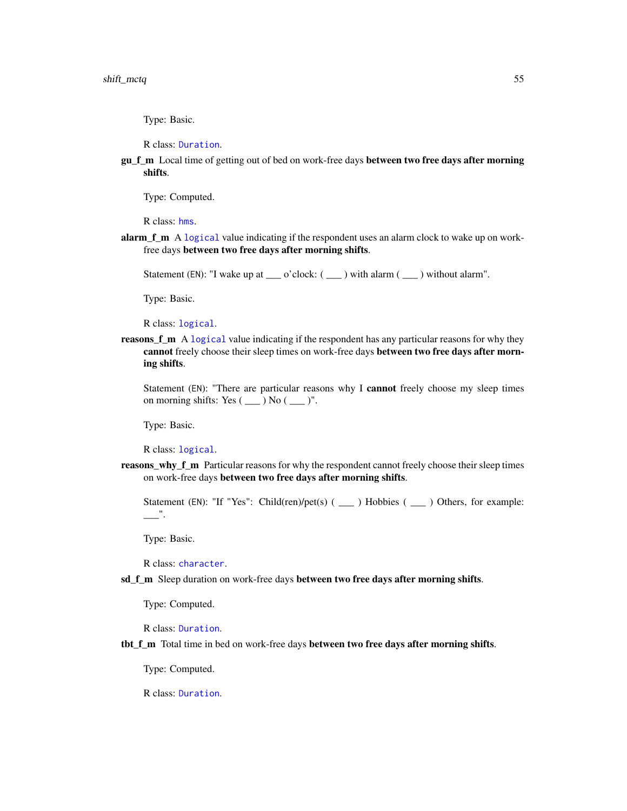Type: Basic.

R class: [Duration](#page-0-0).

gu\_f\_m Local time of getting out of bed on work-free days between two free days after morning shifts.

Type: Computed.

R class: [hms](#page-0-0).

**alarm**  $f$  m A [logical](#page-0-0) value indicating if the respondent uses an alarm clock to wake up on workfree days between two free days after morning shifts.

Statement (EN): "I wake up at \_\_\_ o'clock: ( \_\_\_ ) with alarm ( \_\_\_ ) without alarm".

Type: Basic.

R class: [logical](#page-0-0).

reasons f\_m A [logical](#page-0-0) value indicating if the respondent has any particular reasons for why they cannot freely choose their sleep times on work-free days between two free days after morning shifts.

Statement (EN): "There are particular reasons why I cannot freely choose my sleep times on morning shifts: Yes  $(\_\_)$  No  $(\_\_)$ ".

Type: Basic.

R class: [logical](#page-0-0).

**reasons\_why\_f\_m** Particular reasons for why the respondent cannot freely choose their sleep times on work-free days between two free days after morning shifts.

Statement (EN): "If "Yes": Child(ren)/pet(s) ( \_\_\_ ) Hobbies ( \_\_\_ ) Others, for example: \_\_\_".

Type: Basic.

R class: [character](#page-0-0).

sd\_f\_m Sleep duration on work-free days between two free days after morning shifts.

Type: Computed.

R class: [Duration](#page-0-0).

tht\_f\_m Total time in bed on work-free days between two free days after morning shifts.

Type: Computed.

R class: [Duration](#page-0-0).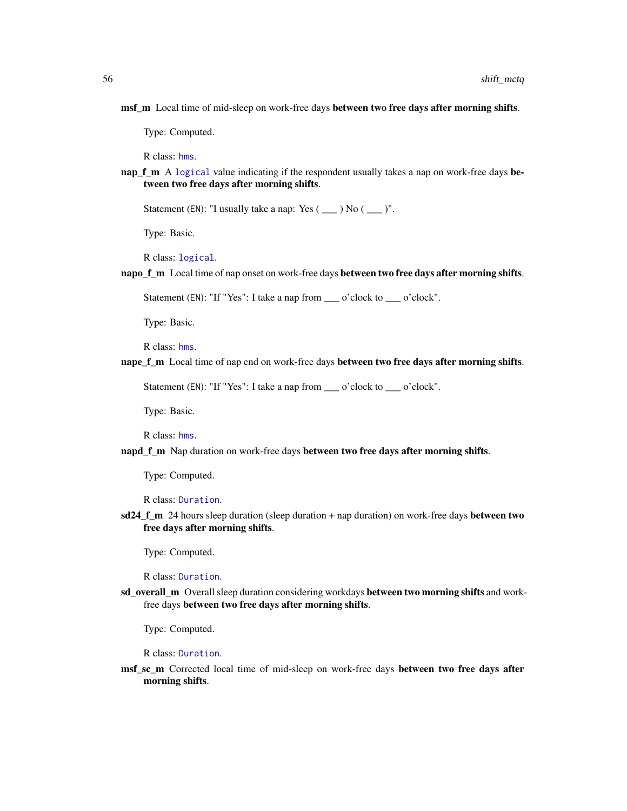msf\_m Local time of mid-sleep on work-free days between two free days after morning shifts.

Type: Computed.

R class: [hms](#page-0-0).

nap\_f\_m A [logical](#page-0-0) value indicating if the respondent usually takes a nap on work-free days between two free days after morning shifts.

Statement (EN): "I usually take a nap: Yes  $(\_\_)$  No  $(\_\_)$ ".

Type: Basic.

R class: [logical](#page-0-0).

napo\_f\_m Local time of nap onset on work-free days between two free days after morning shifts.

Statement (EN): "If "Yes": I take a nap from \_\_\_ o'clock to \_\_\_ o'clock".

Type: Basic.

R class: [hms](#page-0-0).

nape f m Local time of nap end on work-free days between two free days after morning shifts.

Statement (EN): "If "Yes": I take a nap from \_\_\_ o'clock to \_\_\_ o'clock".

Type: Basic.

R class: [hms](#page-0-0).

napd f\_m Nap duration on work-free days between two free days after morning shifts.

Type: Computed.

R class: [Duration](#page-0-0).

 $sd24_f$  m 24 hours sleep duration (sleep duration + nap duration) on work-free days between two free days after morning shifts.

Type: Computed.

R class: [Duration](#page-0-0).

sd\_overall\_m Overall sleep duration considering workdays between two morning shifts and workfree days between two free days after morning shifts.

Type: Computed.

R class: [Duration](#page-0-0).

msf\_sc\_m Corrected local time of mid-sleep on work-free days between two free days after morning shifts.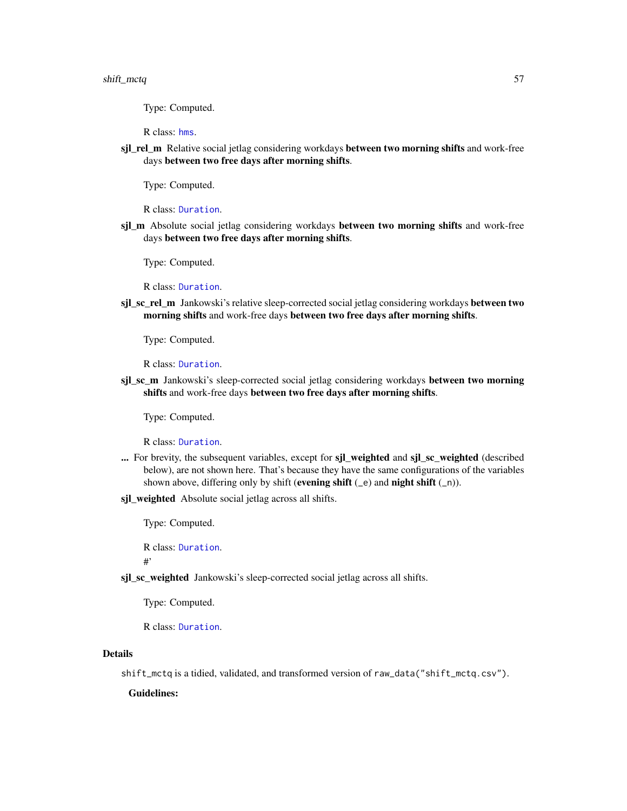Type: Computed.

R class: [hms](#page-0-0).

sil rel m Relative social jetlag considering workdays between two morning shifts and work-free days between two free days after morning shifts.

Type: Computed.

R class: [Duration](#page-0-0).

sjl\_m Absolute social jetlag considering workdays between two morning shifts and work-free days between two free days after morning shifts.

Type: Computed.

R class: [Duration](#page-0-0).

sjl\_sc\_rel\_m Jankowski's relative sleep-corrected social jetlag considering workdays between two morning shifts and work-free days between two free days after morning shifts.

Type: Computed.

R class: [Duration](#page-0-0).

sjl\_sc\_m Jankowski's sleep-corrected social jetlag considering workdays between two morning shifts and work-free days between two free days after morning shifts.

Type: Computed.

R class: [Duration](#page-0-0).

... For brevity, the subsequent variables, except for sil\_weighted and sil\_sc\_weighted (described below), are not shown here. That's because they have the same configurations of the variables shown above, differing only by shift (evening shift  $( _e)$  and night shift  $( _n)$ ).

sjl\_weighted Absolute social jetlag across all shifts.

Type: Computed.

R class: [Duration](#page-0-0). #'

sjl\_sc\_weighted Jankowski's sleep-corrected social jetlag across all shifts.

Type: Computed.

R class: [Duration](#page-0-0).

#### Details

shift\_mctq is a tidied, validated, and transformed version of raw\_data("shift\_mctq.csv").

Guidelines: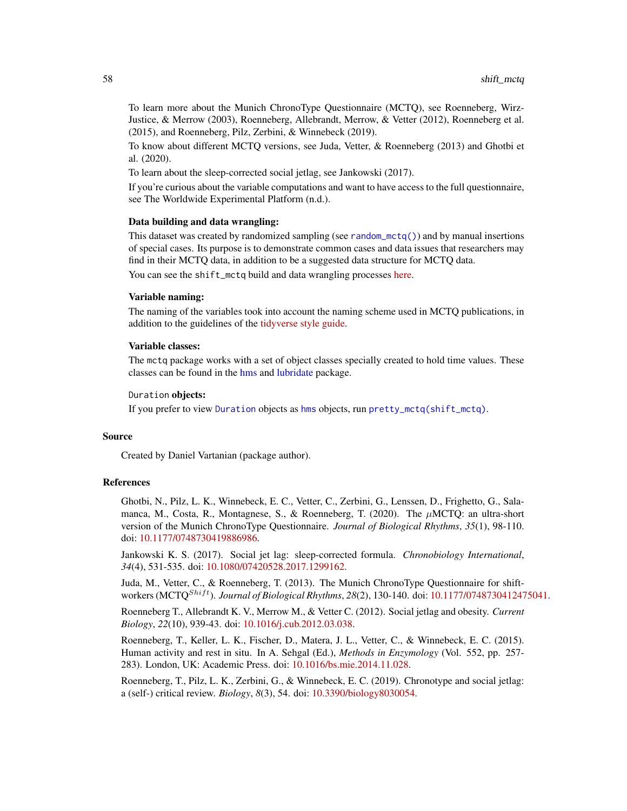To learn more about the Munich ChronoType Questionnaire (MCTQ), see Roenneberg, Wirz-Justice, & Merrow (2003), Roenneberg, Allebrandt, Merrow, & Vetter (2012), Roenneberg et al. (2015), and Roenneberg, Pilz, Zerbini, & Winnebeck (2019).

To know about different MCTQ versions, see Juda, Vetter, & Roenneberg (2013) and Ghotbi et al. (2020).

To learn about the sleep-corrected social jetlag, see Jankowski (2017).

If you're curious about the variable computations and want to have access to the full questionnaire, see The Worldwide Experimental Platform (n.d.).

#### Data building and data wrangling:

This dataset was created by randomized sampling (see [random\\_mctq\(\)](#page-33-0)) and by manual insertions of special cases. Its purpose is to demonstrate common cases and data issues that researchers may find in their MCTQ data, in addition to be a suggested data structure for MCTQ data.

You can see the shift\_mctq build and data wrangling processes [here.](https://github.com/ropensci/mctq/blob/main/data-raw/shift_mctq.R)

### Variable naming:

The naming of the variables took into account the naming scheme used in MCTQ publications, in addition to the guidelines of the [tidyverse style guide.](https://style.tidyverse.org/)

### Variable classes:

The mctq package works with a set of object classes specially created to hold time values. These classes can be found in the [hms](#page-0-0) and [lubridate](#page-0-0) package.

### Duration objects:

If you prefer to view [Duration](#page-0-0) objects as [hms](#page-0-0) objects, run [pretty\\_mctq\(shift\\_mctq\)](#page-29-0).

### Source

Created by Daniel Vartanian (package author).

#### References

Ghotbi, N., Pilz, L. K., Winnebeck, E. C., Vetter, C., Zerbini, G., Lenssen, D., Frighetto, G., Salamanca, M., Costa, R., Montagnese, S., & Roenneberg, T. (2020). The  $\mu$ MCTQ: an ultra-short version of the Munich ChronoType Questionnaire. *Journal of Biological Rhythms*, *35*(1), 98-110. doi: [10.1177/0748730419886986.](https://doi.org/10.1177/0748730419886986)

Jankowski K. S. (2017). Social jet lag: sleep-corrected formula. *Chronobiology International*, *34*(4), 531-535. doi: [10.1080/07420528.2017.1299162.](https://doi.org/10.1080/07420528.2017.1299162)

Juda, M., Vetter, C., & Roenneberg, T. (2013). The Munich ChronoType Questionnaire for shiftworkers (MCTQ<sup>Shift</sup>). *Journal of Biological Rhythms*, 28(2), 130-140. doi: [10.1177/0748730412475041.](https://doi.org/10.1177/0748730412475041)

Roenneberg T., Allebrandt K. V., Merrow M., & Vetter C. (2012). Social jetlag and obesity. *Current Biology*, *22*(10), 939-43. doi: [10.1016/j.cub.2012.03.038.](https://doi.org/10.1016/j.cub.2012.03.038)

Roenneberg, T., Keller, L. K., Fischer, D., Matera, J. L., Vetter, C., & Winnebeck, E. C. (2015). Human activity and rest in situ. In A. Sehgal (Ed.), *Methods in Enzymology* (Vol. 552, pp. 257- 283). London, UK: Academic Press. doi: [10.1016/bs.mie.2014.11.028.](https://doi.org/10.1016/bs.mie.2014.11.028)

Roenneberg, T., Pilz, L. K., Zerbini, G., & Winnebeck, E. C. (2019). Chronotype and social jetlag: a (self-) critical review. *Biology*, *8*(3), 54. doi: [10.3390/biology8030054.](https://doi.org/10.3390/biology8030054)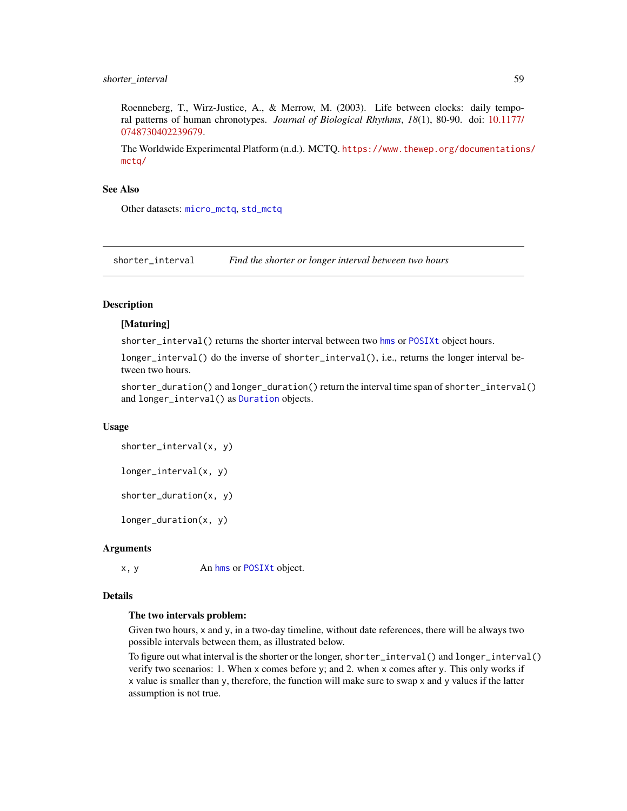# shorter\_interval 59

Roenneberg, T., Wirz-Justice, A., & Merrow, M. (2003). Life between clocks: daily temporal patterns of human chronotypes. *Journal of Biological Rhythms*, *18*(1), 80-90. doi: [10.1177/](https://doi.org/10.1177/0748730402239679) [0748730402239679.](https://doi.org/10.1177/0748730402239679)

The Worldwide Experimental Platform (n.d.). MCTQ. [https://www.thewep.org/documentation](https://www.thewep.org/documentations/mctq/)s/ [mctq/](https://www.thewep.org/documentations/mctq/)

### See Also

Other datasets: [micro\\_mctq](#page-15-0), [std\\_mctq](#page-80-0)

<span id="page-58-0"></span>shorter\_interval *Find the shorter or longer interval between two hours*

## Description

#### [Maturing]

shorter\_interval() returns the shorter interval between two [hms](#page-0-0) or [POSIXt](#page-0-0) object hours.

longer\_interval() do the inverse of shorter\_interval(), i.e., returns the longer interval between two hours.

shorter\_duration() and longer\_duration() return the interval time span of shorter\_interval() and longer\_interval() as [Duration](#page-0-0) objects.

### Usage

shorter\_interval(x, y)

longer\_interval(x, y)

shorter\_duration(x, y)

longer\_duration(x, y)

#### Arguments

x, y An [hms](#page-0-0) or [POSIXt](#page-0-0) object.

### Details

#### The two intervals problem:

Given two hours, x and y, in a two-day timeline, without date references, there will be always two possible intervals between them, as illustrated below.

To figure out what interval is the shorter or the longer, shorter\_interval() and longer\_interval() verify two scenarios: 1. When x comes before y; and 2. when x comes after y. This only works if x value is smaller than y, therefore, the function will make sure to swap x and y values if the latter assumption is not true.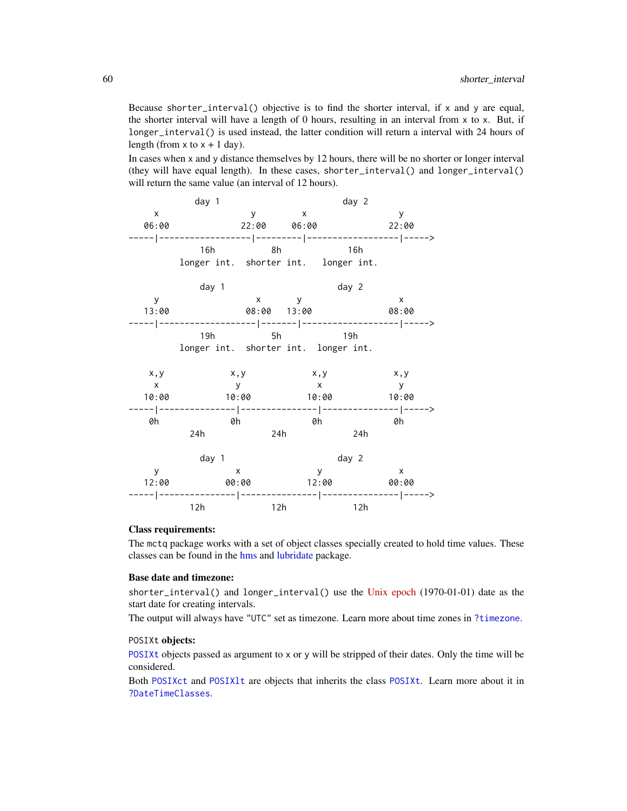Because shorter\_interval() objective is to find the shorter interval, if  $x$  and  $y$  are equal, the shorter interval will have a length of 0 hours, resulting in an interval from x to x. But, if longer\_interval() is used instead, the latter condition will return a interval with 24 hours of length (from  $x$  to  $x + 1$  day).

In cases when x and y distance themselves by 12 hours, there will be no shorter or longer interval (they will have equal length). In these cases, shorter\_interval() and longer\_interval() will return the same value (an interval of 12 hours).



#### Class requirements:

The mctq package works with a set of object classes specially created to hold time values. These classes can be found in the [hms](#page-0-0) and [lubridate](#page-0-0) package.

#### Base date and timezone:

shorter\_interval() and longer\_interval() use the [Unix epoch](https://en.wikipedia.org/wiki/Unix_time) (1970-01-01) date as the start date for creating intervals.

The output will always have "UTC" set as timezone. Learn more about time zones in [?timezone](#page-0-0).

### POSIXt objects:

[POSIXt](#page-0-0) objects passed as argument to x or y will be stripped of their dates. Only the time will be considered.

Both [POSIXct](#page-0-0) and [POSIXlt](#page-0-0) are objects that inherits the class [POSIXt](#page-0-0). Learn more about it in [?DateTimeClasses](#page-0-0).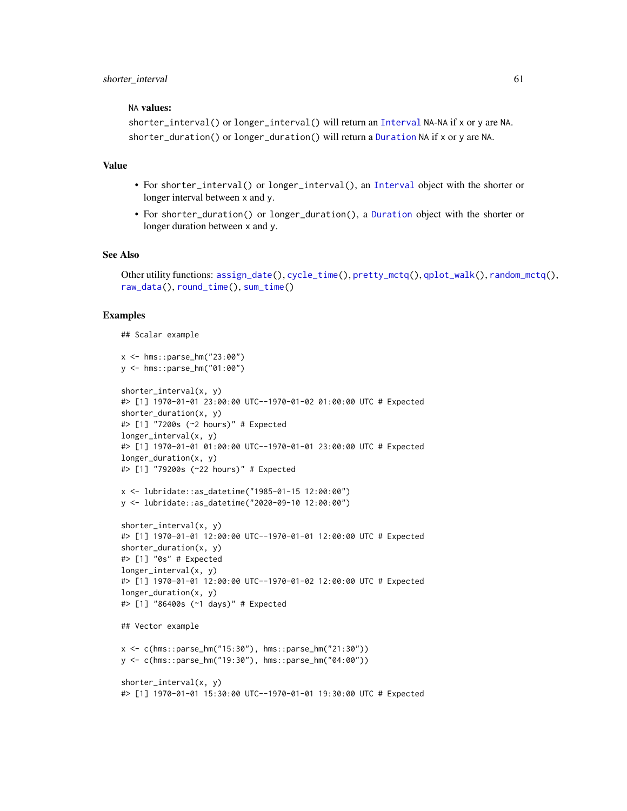### NA values:

```
shorter_interval() or longer_interval() will return an Interval NA-NA if x or y are NA.
shorter_duration() or longer_duration() will return a Duration NA if x or y are NA.
```
## Value

- For shorter\_interval() or longer\_interval(), an [Interval](#page-0-0) object with the shorter or longer interval between x and y.
- For shorter\_duration() or longer\_duration(), a [Duration](#page-0-0) object with the shorter or longer duration between x and y.

### See Also

Other utility functions: [assign\\_date\(](#page-2-0)), [cycle\\_time\(](#page-4-0)), [pretty\\_mctq\(](#page-29-0)), [qplot\\_walk\(](#page-30-0)), [random\\_mctq\(](#page-33-0)), [raw\\_data\(](#page-34-0)), [round\\_time\(](#page-35-0)), [sum\\_time\(](#page-87-0))

### Examples

```
## Scalar example
```

```
x <- hms::parse_hm("23:00")
y <- hms::parse_hm("01:00")
```

```
shorter_interval(x, y)
#> [1] 1970-01-01 23:00:00 UTC--1970-01-02 01:00:00 UTC # Expected
shorter_duration(x, y)
#> [1] "7200s (~2 hours)" # Expected
longer_interval(x, y)
#> [1] 1970-01-01 01:00:00 UTC--1970-01-01 23:00:00 UTC # Expected
longer_duration(x, y)
#> [1] "79200s (~22 hours)" # Expected
```

```
x <- lubridate::as_datetime("1985-01-15 12:00:00")
y <- lubridate::as_datetime("2020-09-10 12:00:00")
```

```
shorter_interval(x, y)
#> [1] 1970-01-01 12:00:00 UTC--1970-01-01 12:00:00 UTC # Expected
shorter_duration(x, y)
#> [1] "0s" # Expected
longer_interval(x, y)
#> [1] 1970-01-01 12:00:00 UTC--1970-01-02 12:00:00 UTC # Expected
longer_duration(x, y)
#> [1] "86400s (~1 days)" # Expected
```

```
## Vector example
```

```
x <- c(hms::parse_hm("15:30"), hms::parse_hm("21:30"))
y <- c(hms::parse_hm("19:30"), hms::parse_hm("04:00"))
shorter_interval(x, y)
```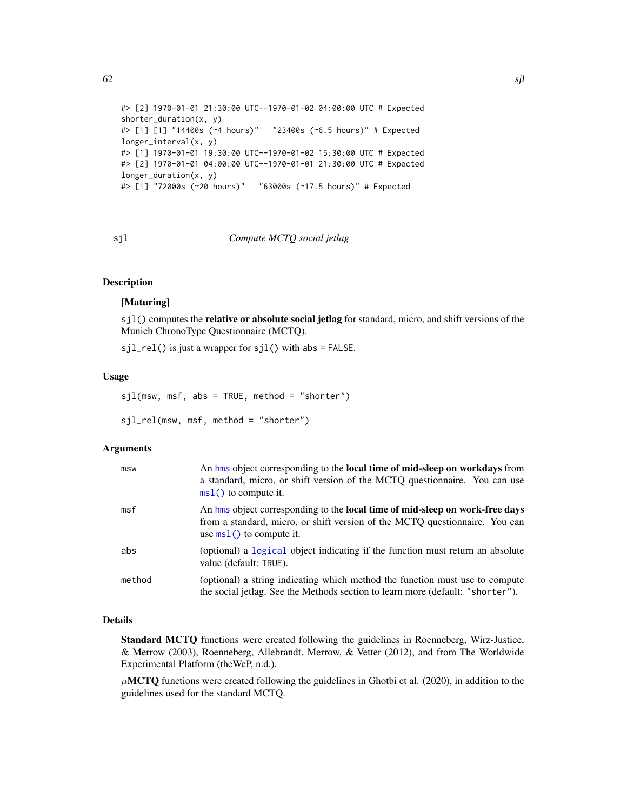```
#> [2] 1970-01-01 21:30:00 UTC--1970-01-02 04:00:00 UTC # Expected
shorter_duration(x, y)
#> [1] [1] "14400s (~4 hours)" "23400s (~6.5 hours)" # Expected
longer_interval(x, y)
#> [1] 1970-01-01 19:30:00 UTC--1970-01-02 15:30:00 UTC # Expected
#> [2] 1970-01-01 04:00:00 UTC--1970-01-01 21:30:00 UTC # Expected
longer_duration(x, y)
#> [1] "72000s (~20 hours)" "63000s (~17.5 hours)" # Expected
```
<span id="page-61-0"></span>

### sjl *Compute MCTQ social jetlag*

# Description

#### [Maturing]

sjl() computes the relative or absolute social jetlag for standard, micro, and shift versions of the Munich ChronoType Questionnaire (MCTQ).

sjl\_rel() is just a wrapper for sjl() with abs = FALSE.

## Usage

 $sjl(msw, msf, abs = TRUE, method = "shorter")$ 

sjl\_rel(msw, msf, method = "shorter")

#### Arguments

| msw    | An hms object corresponding to the local time of mid-sleep on workdays from<br>a standard, micro, or shift version of the MCTQ questionnaire. You can use<br>$ms1()$ to compute it.              |
|--------|--------------------------------------------------------------------------------------------------------------------------------------------------------------------------------------------------|
| msf    | An hms object corresponding to the <b>local time of mid-sleep on work-free days</b><br>from a standard, micro, or shift version of the MCTQ questionnaire. You can<br>use $ms1()$ to compute it. |
| abs    | (optional) a logical object indicating if the function must return an absolute<br>value (default: TRUE).                                                                                         |
| method | (optional) a string indicating which method the function must use to compute<br>the social jetlag. See the Methods section to learn more (default: "shorter").                                   |

## Details

Standard MCTQ functions were created following the guidelines in Roenneberg, Wirz-Justice, & Merrow (2003), Roenneberg, Allebrandt, Merrow, & Vetter (2012), and from The Worldwide Experimental Platform (theWeP, n.d.).

 $\mu$ MCTQ functions were created following the guidelines in Ghotbi et al. (2020), in addition to the guidelines used for the standard MCTQ.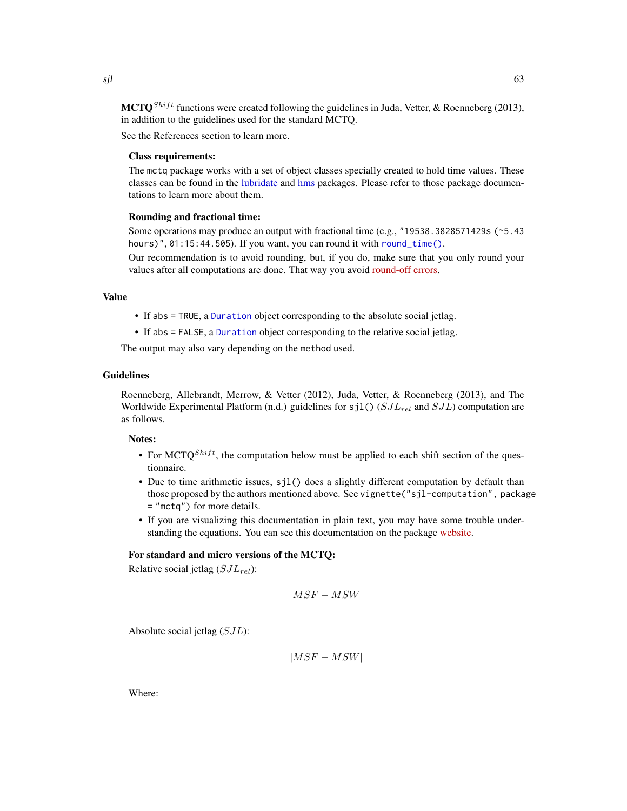**MCTQ**<sup>Shift</sup> functions were created following the guidelines in Juda, Vetter, & Roenneberg (2013), in addition to the guidelines used for the standard MCTQ.

See the References section to learn more.

#### Class requirements:

The mctq package works with a set of object classes specially created to hold time values. These classes can be found in the [lubridate](#page-0-0) and [hms](#page-0-0) packages. Please refer to those package documentations to learn more about them.

#### Rounding and fractional time:

Some operations may produce an output with fractional time (e.g., "19538.3828571429s (~5.43 hours)", 01:15:44.505). If you want, you can round it with [round\\_time\(\)](#page-35-0).

Our recommendation is to avoid rounding, but, if you do, make sure that you only round your values after all computations are done. That way you avoid [round-off errors.](https://en.wikipedia.org/wiki/Round-off_error)

### Value

- If abs = TRUE, a [Duration](#page-0-0) object corresponding to the absolute social jetlag.
- If abs = FALSE, a [Duration](#page-0-0) object corresponding to the relative social jetlag.

The output may also vary depending on the method used.

#### Guidelines

Roenneberg, Allebrandt, Merrow, & Vetter (2012), Juda, Vetter, & Roenneberg (2013), and The Worldwide Experimental Platform (n.d.) guidelines for sjl() ( $SJL_{rel}$  and  $SJL$ ) computation are as follows.

#### Notes:

- For MCTQ<sup>Shift</sup>, the computation below must be applied to each shift section of the questionnaire.
- Due to time arithmetic issues, sjl() does a slightly different computation by default than those proposed by the authors mentioned above. See vignette("sjl-computation", package = "mctq") for more details.
- If you are visualizing this documentation in plain text, you may have some trouble understanding the equations. You can see this documentation on the package [website.](https://docs.ropensci.org/mctq/reference/)

#### For standard and micro versions of the MCTQ:

Relative social jetlag  $(SJL_{rel})$ :

$$
MSF-MSW
$$

Absolute social jetlag  $(SJL)$ :

 $|MSF - MSW|$ 

Where: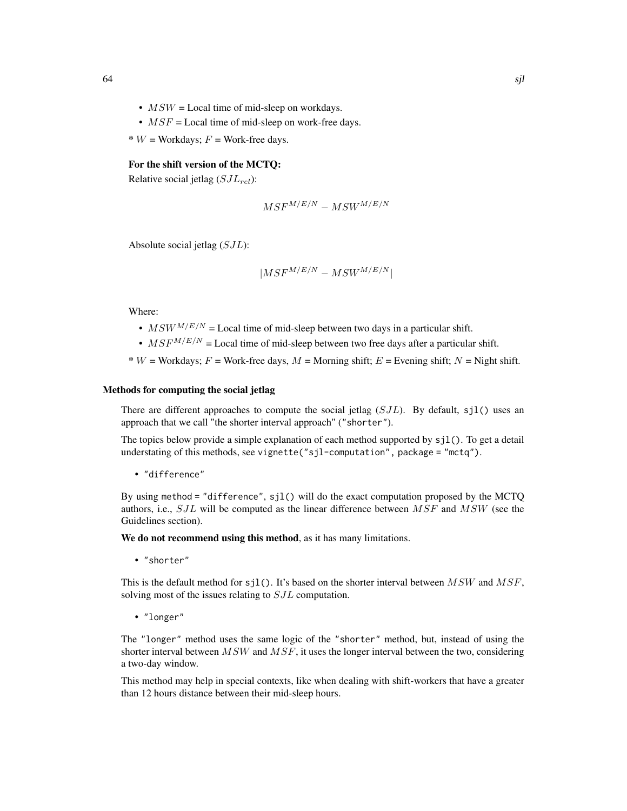- $MSW = Local$  time of mid-sleep on workdays.
- $MSF =$  Local time of mid-sleep on work-free days.
- $* W =$  Workdays;  $F =$  Work-free days.

## For the shift version of the MCTQ:

Relative social jetlag  $(SJL_{rel})$ :

$$
MSF^{M/E/N}-MSW^{M/E/N} \nonumber \\
$$

Absolute social jetlag  $(SJL)$ :

$$
\vert MSF^{M/E/N} - MSW^{M/E/N} \vert
$$

Where:

- $MSW^{M/E/N}$  = Local time of mid-sleep between two days in a particular shift.
- $MSF^{M/E/N}$  = Local time of mid-sleep between two free days after a particular shift.
- \* W = Workdays;  $F$  = Work-free days,  $M$  = Morning shift;  $E$  = Evening shift;  $N$  = Night shift.

## Methods for computing the social jetlag

There are different approaches to compute the social jetlag  $(SJL)$ . By default, sjl() uses an approach that we call "the shorter interval approach" ("shorter").

The topics below provide a simple explanation of each method supported by sjl(). To get a detail understating of this methods, see vignette("sjl-computation", package = "mctq").

• "difference"

By using method = "difference",  $sjl()$  will do the exact computation proposed by the MCTQ authors, i.e.,  $SJ<sub>L</sub>$  will be computed as the linear difference between  $MSF$  and  $MSW$  (see the Guidelines section).

We do not recommend using this method, as it has many limitations.

• "shorter"

This is the default method for sjl(). It's based on the shorter interval between  $MSW$  and  $MSF$ , solving most of the issues relating to  $SJL$  computation.

• "longer"

The "longer" method uses the same logic of the "shorter" method, but, instead of using the shorter interval between  $MSW$  and  $MSF$ , it uses the longer interval between the two, considering a two-day window.

This method may help in special contexts, like when dealing with shift-workers that have a greater than 12 hours distance between their mid-sleep hours.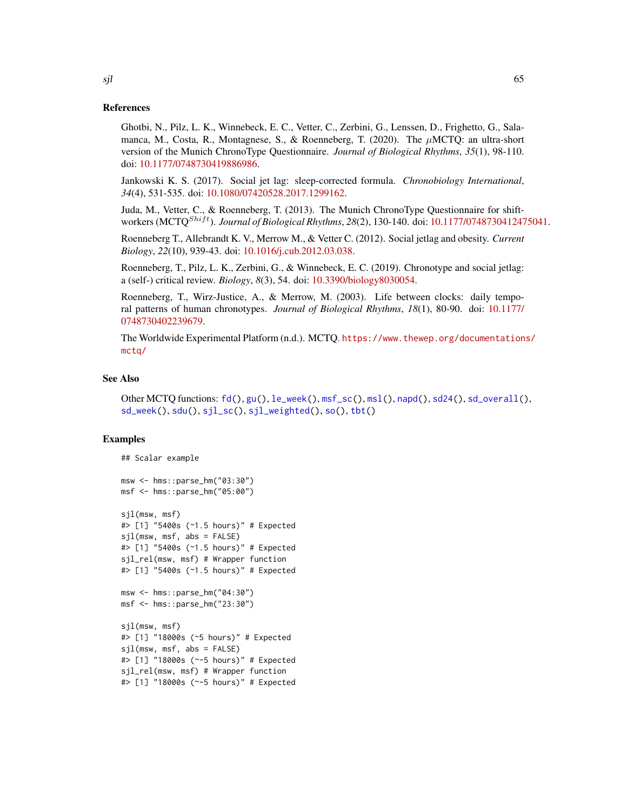### References

Ghotbi, N., Pilz, L. K., Winnebeck, E. C., Vetter, C., Zerbini, G., Lenssen, D., Frighetto, G., Salamanca, M., Costa, R., Montagnese, S., & Roenneberg, T. (2020). The  $\mu$ MCTQ: an ultra-short version of the Munich ChronoType Questionnaire. *Journal of Biological Rhythms*, *35*(1), 98-110. doi: [10.1177/0748730419886986.](https://doi.org/10.1177/0748730419886986)

Jankowski K. S. (2017). Social jet lag: sleep-corrected formula. *Chronobiology International*, *34*(4), 531-535. doi: [10.1080/07420528.2017.1299162.](https://doi.org/10.1080/07420528.2017.1299162)

Juda, M., Vetter, C., & Roenneberg, T. (2013). The Munich ChronoType Questionnaire for shiftworkers (MCTO<sup>Shift</sup>). *Journal of Biological Rhythms*, 28(2), 130-140. doi: [10.1177/0748730412475041.](https://doi.org/10.1177/0748730412475041)

Roenneberg T., Allebrandt K. V., Merrow M., & Vetter C. (2012). Social jetlag and obesity. *Current Biology*, *22*(10), 939-43. doi: [10.1016/j.cub.2012.03.038.](https://doi.org/10.1016/j.cub.2012.03.038)

Roenneberg, T., Pilz, L. K., Zerbini, G., & Winnebeck, E. C. (2019). Chronotype and social jetlag: a (self-) critical review. *Biology*, *8*(3), 54. doi: [10.3390/biology8030054.](https://doi.org/10.3390/biology8030054)

Roenneberg, T., Wirz-Justice, A., & Merrow, M. (2003). Life between clocks: daily temporal patterns of human chronotypes. *Journal of Biological Rhythms*, *18*(1), 80-90. doi: [10.1177/](https://doi.org/10.1177/0748730402239679) [0748730402239679.](https://doi.org/10.1177/0748730402239679)

The Worldwide Experimental Platform (n.d.). MCTQ. [https://www.thewep.org/documentation](https://www.thewep.org/documentations/mctq/)s/ [mctq/](https://www.thewep.org/documentations/mctq/)

#### See Also

```
Other MCTQ functions: fd(), gu(), le_week(), msf_sc(), msl(), napd(), sd24(), sd_overall(),
sd_week(), sdu(), sjl_sc(), sjl_weighted(), so(), tbt()
```
#### Examples

```
## Scalar example
msw <- hms::parse_hm("03:30")
msf <- hms::parse_hm("05:00")
sjl(msw, msf)
#> [1] "5400s (~1.5 hours)" # Expected
sil(msw, msf, abs = FALSE)#> [1] "5400s (~1.5 hours)" # Expected
sjl_rel(msw, msf) # Wrapper function
#> [1] "5400s (~1.5 hours)" # Expected
msw <- hms::parse_hm("04:30")
msf <- hms::parse_hm("23:30")
sjl(msw, msf)
#> [1] "18000s (~5 hours)" # Expected
sil(msw, msf, abs = FALSE)#> [1] "18000s (~-5 hours)" # Expected
sjl_rel(msw, msf) # Wrapper function
#> [1] "18000s (~-5 hours)" # Expected
```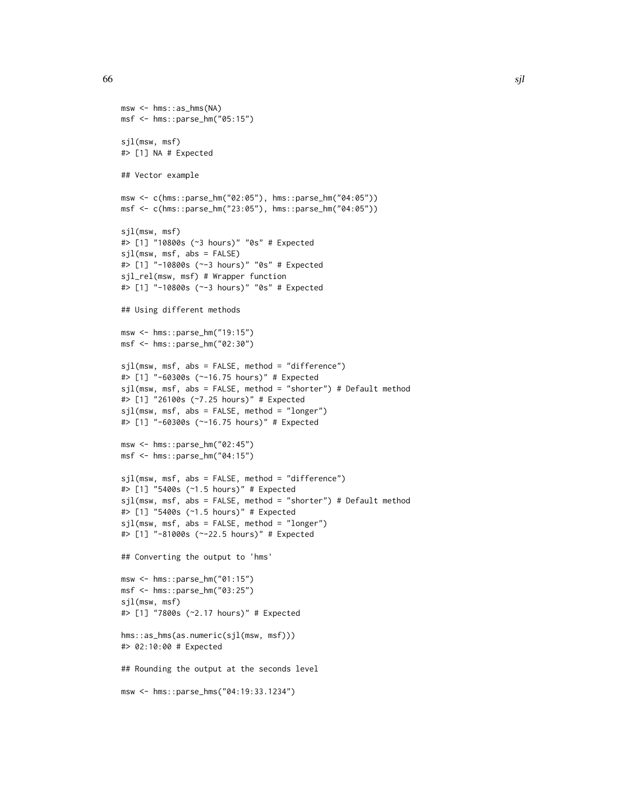```
\frac{1}{100} silence the system of the system of the system of the system of the system of the system of the system of the system of the system of the system of the system of the system of the system of the system of the s
```

```
msw <- c(hms::parse_hm("02:05"), hms::parse_hm("04:05"))
msf <- c(hms::parse_hm("23:05"), hms::parse_hm("04:05"))
```

```
sjl(msw, msf)
#> [1] "10800s (~3 hours)" "0s" # Expected
sjl(msw, msf, abs = FALSE)#> [1] "-10800s (~-3 hours)" "0s" # Expected
sjl_rel(msw, msf) # Wrapper function
#> [1] "-10800s (~-3 hours)" "0s" # Expected
```
## Using different methods

msw <- hms::as\_hms(NA) msf <- hms::parse\_hm("05:15")

sjl(msw, msf) #> [1] NA # Expected

## Vector example

```
msw <- hms::parse_hm("19:15")
msf <- hms::parse_hm("02:30")
```

```
sjl(msw, msf, abs = FALSE, method = "difference")
#> [1] "-60300s (~-16.75 hours)" # Expected
sjl(msw, msf, abs = FALSE, method = "shorter") # Default method
#> [1] "26100s (~7.25 hours)" # Expected
sjl(msw, msf, abs = FALSE, method = "longer")
#> [1] "-60300s (~-16.75 hours)" # Expected
```

```
msw <- hms::parse_hm("02:45")
msf <- hms::parse_hm("04:15")
```

```
sjl(msw, msf, abs = FALSE, method = "difference")
#> [1] "5400s (~1.5 hours)" # Expected
sjl(msw, msf, abs = FALSE, method = "shorter") # Default method
#> [1] "5400s (~1.5 hours)" # Expected
sjl(msw, msf, abs = FALSE, method = "longer")
#> [1] "-81000s (~-22.5 hours)" # Expected
```
## Converting the output to 'hms'

```
msw <- hms::parse_hm("01:15")
msf <- hms::parse_hm("03:25")
sjl(msw, msf)
#> [1] "7800s (~2.17 hours)" # Expected
```

```
hms::as_hms(as.numeric(sjl(msw, msf)))
#> 02:10:00 # Expected
```
## Rounding the output at the seconds level

```
msw <- hms::parse_hms("04:19:33.1234")
```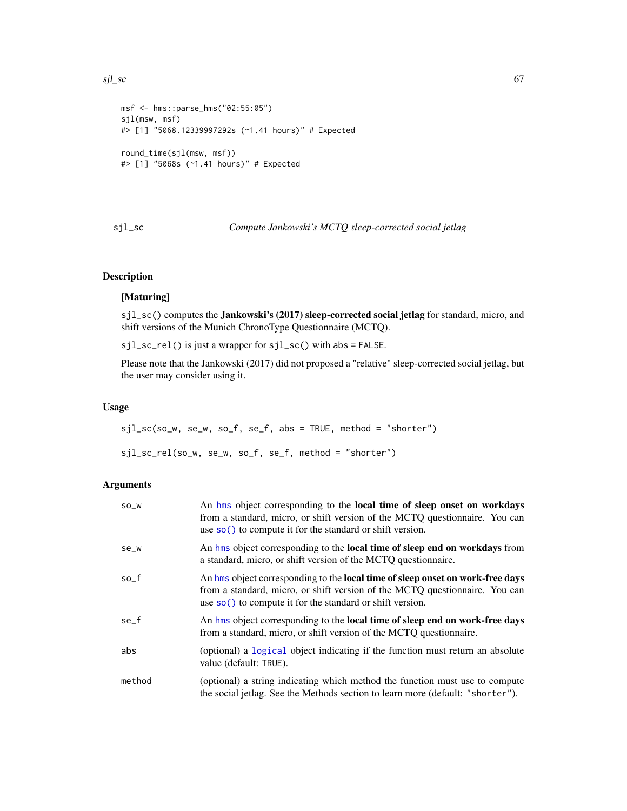#### $sl\_sc$  67

```
msf <- hms::parse_hms("02:55:05")
sjl(msw, msf)
#> [1] "5068.12339997292s (~1.41 hours)" # Expected
round_time(sjl(msw, msf))
#> [1] "5068s (~1.41 hours)" # Expected
```
### <span id="page-66-0"></span>sjl\_sc *Compute Jankowski's MCTQ sleep-corrected social jetlag*

# Description

### [Maturing]

sjl\_sc() computes the Jankowski's (2017) sleep-corrected social jetlag for standard, micro, and shift versions of the Munich ChronoType Questionnaire (MCTQ).

sjl\_sc\_rel() is just a wrapper for sjl\_sc() with abs = FALSE.

Please note that the Jankowski (2017) did not proposed a "relative" sleep-corrected social jetlag, but the user may consider using it.

### Usage

sjl\_sc(so\_w, se\_w, so\_f, se\_f, abs = TRUE, method = "shorter")

sjl\_sc\_rel(so\_w, se\_w, so\_f, se\_f, method = "shorter")

# Arguments

| SO_W   | An hms object corresponding to the <b>local time of sleep onset on workdays</b><br>from a standard, micro, or shift version of the MCTQ questionnaire. You can<br>use $so()$ to compute it for the standard or shift version.       |
|--------|-------------------------------------------------------------------------------------------------------------------------------------------------------------------------------------------------------------------------------------|
| se_w   | An hms object corresponding to the <b>local time of sleep end on workdays</b> from<br>a standard, micro, or shift version of the MCTQ questionnaire.                                                                                |
| so f   | An hms object corresponding to the <b>local time of sleep onset on work-free days</b><br>from a standard, micro, or shift version of the MCTQ questionnaire. You can<br>use $so()$ to compute it for the standard or shift version. |
| se f   | An hms object corresponding to the <b>local time of sleep end on work-free days</b><br>from a standard, micro, or shift version of the MCTQ questionnaire.                                                                          |
| abs    | (optional) a logical object indicating if the function must return an absolute<br>value (default: TRUE).                                                                                                                            |
| method | (optional) a string indicating which method the function must use to compute<br>the social jetlag. See the Methods section to learn more (default: "shorter").                                                                      |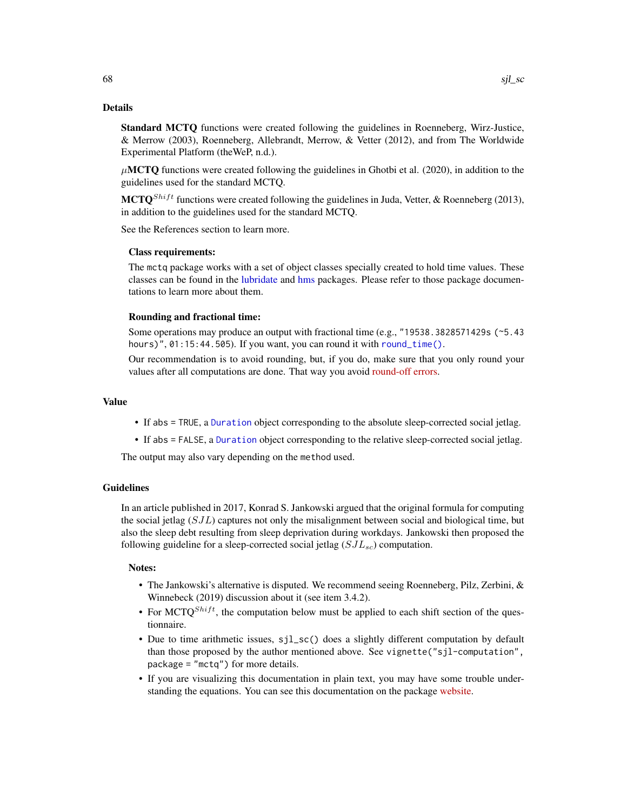### Details

Standard MCTQ functions were created following the guidelines in Roenneberg, Wirz-Justice, & Merrow (2003), Roenneberg, Allebrandt, Merrow, & Vetter (2012), and from The Worldwide Experimental Platform (theWeP, n.d.).

 $\mu$ MCTQ functions were created following the guidelines in Ghotbi et al. (2020), in addition to the guidelines used for the standard MCTQ.

**MCTO**<sup>*Shift*</sup> functions were created following the guidelines in Juda, Vetter, & Roenneberg (2013), in addition to the guidelines used for the standard MCTQ.

See the References section to learn more.

## Class requirements:

The mctq package works with a set of object classes specially created to hold time values. These classes can be found in the [lubridate](#page-0-0) and [hms](#page-0-0) packages. Please refer to those package documentations to learn more about them.

### Rounding and fractional time:

Some operations may produce an output with fractional time (e.g., "19538.3828571429s (~5.43 hours)", 01:15:44.505). If you want, you can round it with [round\\_time\(\)](#page-35-0).

Our recommendation is to avoid rounding, but, if you do, make sure that you only round your values after all computations are done. That way you avoid [round-off errors.](https://en.wikipedia.org/wiki/Round-off_error)

#### Value

- If abs = TRUE, a [Duration](#page-0-0) object corresponding to the absolute sleep-corrected social jetlag.
- If abs = FALSE, a [Duration](#page-0-0) object corresponding to the relative sleep-corrected social jetlag.

The output may also vary depending on the method used.

### Guidelines

In an article published in 2017, Konrad S. Jankowski argued that the original formula for computing the social jetlag  $(SJL)$  captures not only the misalignment between social and biological time, but also the sleep debt resulting from sleep deprivation during workdays. Jankowski then proposed the following guideline for a sleep-corrected social jetlag  $(SJL<sub>sc</sub>)$  computation.

### Notes:

- The Jankowski's alternative is disputed. We recommend seeing Roenneberg, Pilz, Zerbini, & Winnebeck (2019) discussion about it (see item 3.4.2).
- For MCTQ<sup>Shift</sup>, the computation below must be applied to each shift section of the questionnaire.
- Due to time arithmetic issues, sjl\_sc() does a slightly different computation by default than those proposed by the author mentioned above. See vignette("sjl-computation", package = "mctq") for more details.
- If you are visualizing this documentation in plain text, you may have some trouble understanding the equations. You can see this documentation on the package [website.](https://docs.ropensci.org/mctq/reference/)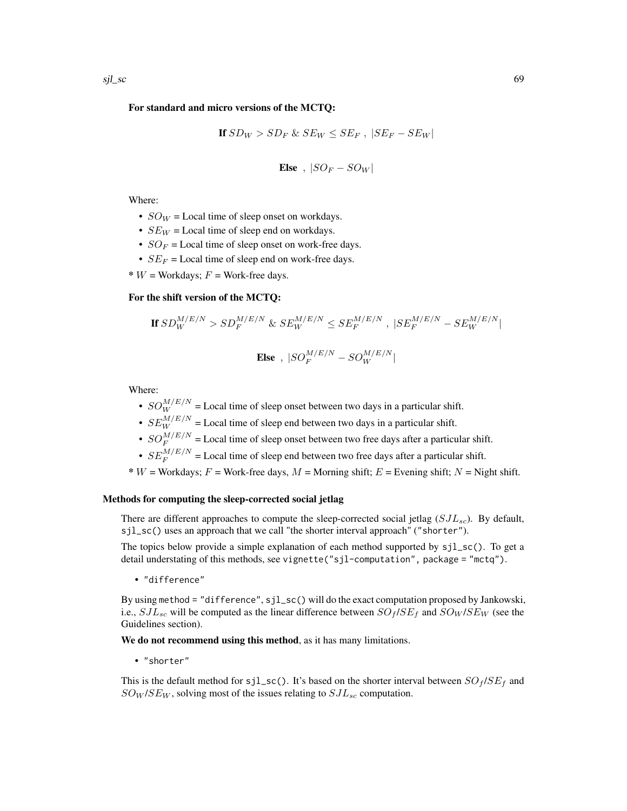### For standard and micro versions of the MCTQ:

If 
$$
SD_W > SD_F
$$
 &  $SE_W \leq SE_F$ ,  $|SE_F - SE_W|$ 

**Else**, 
$$
|SO_F - SO_W|
$$

Where:

- $SO_W =$  Local time of sleep onset on workdays.
- $SE_W$  = Local time of sleep end on workdays.
- $SO_F$  = Local time of sleep onset on work-free days.
- $SE_F$  = Local time of sleep end on work-free days.
- $* W =$  Workdays;  $F =$  Work-free days.

## For the shift version of the MCTQ:

If 
$$
SD_W^{M/E/N} > SD_F^{M/E/N}
$$
 &  $SE_W^{M/E/N} \leq SE_F^{M/E/N}$ ,  $|SE_F^{M/E/N} - SE_W^{M/E/N}|$    
\n**Else** ,  $|SO_F^{M/E/N} - SO_W^{M/E/N}|$ 

Where:

- $SO_W^{M/E/N}$  = Local time of sleep onset between two days in a particular shift.
- $SE_{W}^{M/E/N}$  = Local time of sleep end between two days in a particular shift.
- $SO_F^{M/E/N}$  = Local time of sleep onset between two free days after a particular shift.
- $SE_F^{M/E/N}$  = Local time of sleep end between two free days after a particular shift.
- $* W =$  Workdays;  $F =$  Work-free days,  $M =$  Morning shift;  $E =$  Evening shift;  $N =$  Night shift.

#### Methods for computing the sleep-corrected social jetlag

There are different approaches to compute the sleep-corrected social jetlag  $(SJ_{c})$ . By default, sjl\_sc() uses an approach that we call "the shorter interval approach" ("shorter").

The topics below provide a simple explanation of each method supported by sjl\_sc(). To get a detail understating of this methods, see vignette("sjl-computation", package = "mctq").

• "difference"

By using method = "difference",  $sil$  =  $sc()$  will do the exact computation proposed by Jankowski, i.e.,  $SJ_{s_c}$  will be computed as the linear difference between  $S O_f / S E_f$  and  $S O_W / S E_W$  (see the Guidelines section).

We do not recommend using this method, as it has many limitations.

• "shorter"

This is the default method for sjl\_sc(). It's based on the shorter interval between  $SO_f / SE_f$  and  $SO_W / SE_W$ , solving most of the issues relating to  $SJ_{esc}$  computation.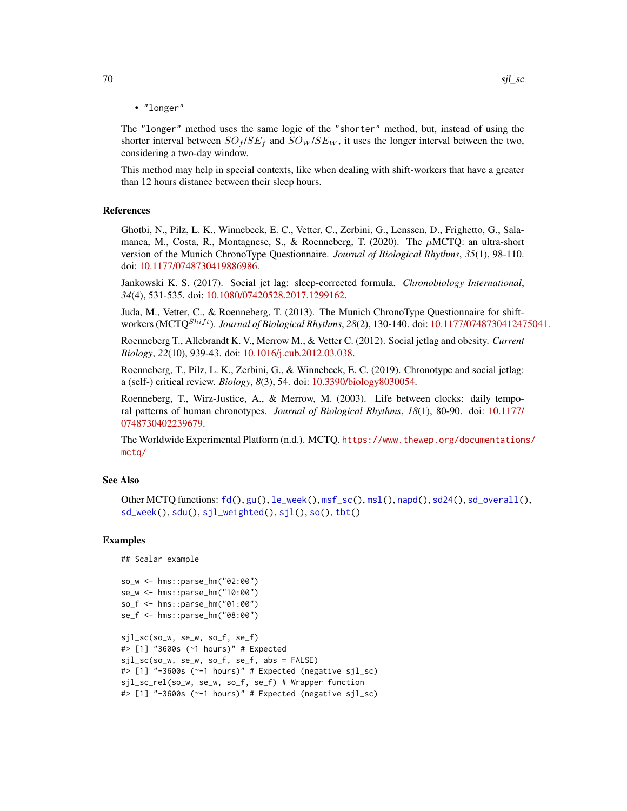The "longer" method uses the same logic of the "shorter" method, but, instead of using the shorter interval between  $SO_f / SE_f$  and  $SO_W / SE_W$ , it uses the longer interval between the two, considering a two-day window.

This method may help in special contexts, like when dealing with shift-workers that have a greater than 12 hours distance between their sleep hours.

#### References

Ghotbi, N., Pilz, L. K., Winnebeck, E. C., Vetter, C., Zerbini, G., Lenssen, D., Frighetto, G., Salamanca, M., Costa, R., Montagnese, S., & Roenneberg, T. (2020). The  $\mu$ MCTQ: an ultra-short version of the Munich ChronoType Questionnaire. *Journal of Biological Rhythms*, *35*(1), 98-110. doi: [10.1177/0748730419886986.](https://doi.org/10.1177/0748730419886986)

Jankowski K. S. (2017). Social jet lag: sleep-corrected formula. *Chronobiology International*, *34*(4), 531-535. doi: [10.1080/07420528.2017.1299162.](https://doi.org/10.1080/07420528.2017.1299162)

Juda, M., Vetter, C., & Roenneberg, T. (2013). The Munich ChronoType Questionnaire for shiftworkers (MCTQ<sup>Shift</sup>). *Journal of Biological Rhythms*, 28(2), 130-140. doi: [10.1177/0748730412475041.](https://doi.org/10.1177/0748730412475041)

Roenneberg T., Allebrandt K. V., Merrow M., & Vetter C. (2012). Social jetlag and obesity. *Current Biology*, *22*(10), 939-43. doi: [10.1016/j.cub.2012.03.038.](https://doi.org/10.1016/j.cub.2012.03.038)

Roenneberg, T., Pilz, L. K., Zerbini, G., & Winnebeck, E. C. (2019). Chronotype and social jetlag: a (self-) critical review. *Biology*, *8*(3), 54. doi: [10.3390/biology8030054.](https://doi.org/10.3390/biology8030054)

Roenneberg, T., Wirz-Justice, A., & Merrow, M. (2003). Life between clocks: daily temporal patterns of human chronotypes. *Journal of Biological Rhythms*, *18*(1), 80-90. doi: [10.1177/](https://doi.org/10.1177/0748730402239679) [0748730402239679.](https://doi.org/10.1177/0748730402239679)

The Worldwide Experimental Platform (n.d.). MCTQ. [https://www.thewep.org/documentation](https://www.thewep.org/documentations/mctq/)s/ [mctq/](https://www.thewep.org/documentations/mctq/)

### See Also

Other MCTQ functions: [fd\(](#page-7-0)), [gu\(](#page-9-0)), [le\\_week\(](#page-11-0)), [msf\\_sc\(](#page-19-0)), [msl\(](#page-23-0)), [napd\(](#page-26-0)), [sd24\(](#page-37-0)), [sd\\_overall\(](#page-43-0)), [sd\\_week\(](#page-46-0)), [sdu\(](#page-40-0)), [sjl\\_weighted\(](#page-70-0)), [sjl\(](#page-61-0)), [so\(](#page-77-0)), [tbt\(](#page-91-0))

#### Examples

```
## Scalar example
```

```
so_w <- hms::parse_hm("02:00")
se_w <- hms::parse_hm("10:00")
so_f <- hms::parse_hm("01:00")
se_f <- hms::parse_hm("08:00")
sjl_sc(so_w, se_w, so_f, se_f)
#> [1] "3600s (~1 hours)" # Expected
sjl_sc(so_w, se_w, so_f, se_f, abs = FALSE)
#> [1] "-3600s (~-1 hours)" # Expected (negative sjl_sc)
sjl_sc_rel(so_w, se_w, so_f, se_f) # Wrapper function
#> [1] "-3600s (~-1 hours)" # Expected (negative sjl_sc)
```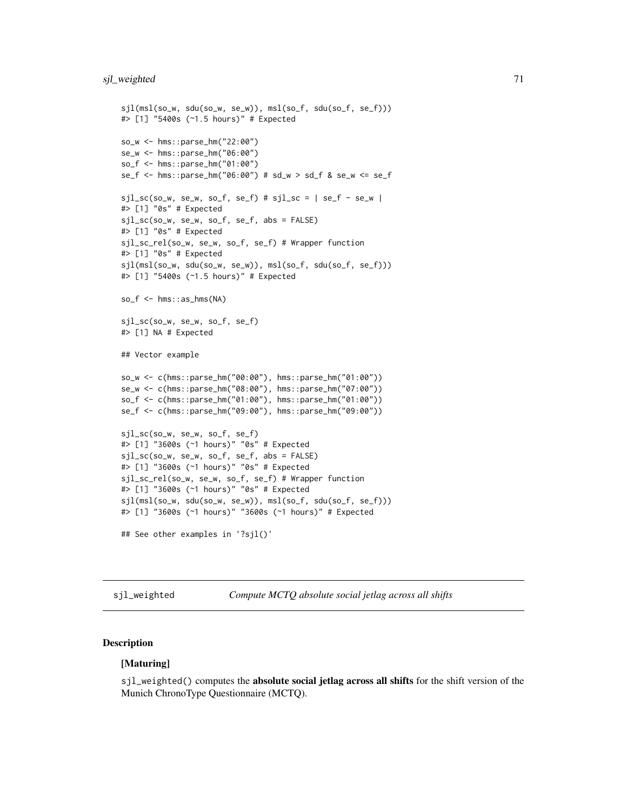```
sjl(msl(so_w, sdu(so_w, se_w)), msl(so_f, sdu(so_f, se_f)))
#> [1] "5400s (~1.5 hours)" # Expected
so_w <- hms::parse_hm("22:00")
se_w <- hms::parse_hm("06:00")
so_f <- hms::parse_hm("01:00")
se_f <- hms::parse_hm("06:00") # sd_w > sd_f & se_w <= se_f
sigl_sc(so_w, se_w, so_f, se_f) # sjl_sc = | se_f - se_w |#> [1] "0s" # Expected
sjl_sc(so_w, se_w, so_f, se_f, abs = FALSE)
#> [1] "0s" # Expected
sjl_sc_rel(so_w, se_w, so_f, se_f) # Wrapper function
#> [1] "0s" # Expected
sjl(msl(so_w, sdu(so_w, se_w)), msl(so_f, sdu(so_f, se_f)))
#> [1] "5400s (~1.5 hours)" # Expected
so_f <- hms::as_hms(NA)
sjl_sc(so_w, se_w, so_f, se_f)
#> [1] NA # Expected
## Vector example
so_w <- c(hms::parse_hm("00:00"), hms::parse_hm("01:00"))
se_w <- c(hms::parse_hm("08:00"), hms::parse_hm("07:00"))
so_f <- c(hms::parse_hm("01:00"), hms::parse_hm("01:00"))
se_f <- c(hms::parse_hm("09:00"), hms::parse_hm("09:00"))
sjl_sc(so_w, se_w, so_f, se_f)
#> [1] "3600s (~1 hours)" "0s" # Expected
sjl_sc(so_w, se_w, so_f, se_f, abs = FALSE)
#> [1] "3600s (~1 hours)" "0s" # Expected
sjl_sc_rel(so_w, se_w, so_f, se_f) # Wrapper function
#> [1] "3600s (~1 hours)" "0s" # Expected
sjl(msl(so_w, sdu(so_w, se_w)), msl(so_f, sdu(so_f, se_f)))
#> [1] "3600s (~1 hours)" "3600s (~1 hours)" # Expected
## See other examples in '?sjl()'
```
<span id="page-70-0"></span>sjl\_weighted *Compute MCTQ absolute social jetlag across all shifts*

# Description

### [Maturing]

sjl\_weighted() computes the absolute social jetlag across all shifts for the shift version of the Munich ChronoType Questionnaire (MCTQ).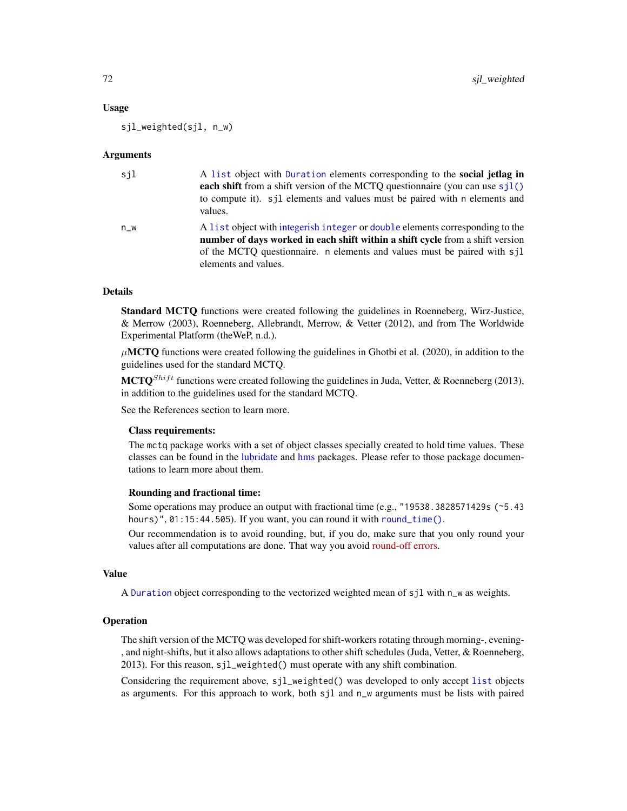### Usage

sjl\_weighted(sjl, n\_w)

### **Arguments**

| sil   | A list object with Duration elements corresponding to the social jetlag in<br>each shift from a shift version of the MCTQ questionnaire (you can use $\text{sjl}()$ )<br>to compute it). sjl elements and values must be paired with n elements and<br>values.     |
|-------|--------------------------------------------------------------------------------------------------------------------------------------------------------------------------------------------------------------------------------------------------------------------|
| $n_w$ | A list object with integerish integer or double elements corresponding to the<br>number of days worked in each shift within a shift cycle from a shift version<br>of the MCTQ questionnaire. n elements and values must be paired with sjl<br>elements and values. |

## Details

Standard MCTQ functions were created following the guidelines in Roenneberg, Wirz-Justice, & Merrow (2003), Roenneberg, Allebrandt, Merrow, & Vetter (2012), and from The Worldwide Experimental Platform (theWeP, n.d.).

 $\mu$ MCTQ functions were created following the guidelines in Ghotbi et al. (2020), in addition to the guidelines used for the standard MCTQ.

**MCTO**<sup>*Shift*</sup> functions were created following the guidelines in Juda, Vetter, & Roenneberg (2013), in addition to the guidelines used for the standard MCTQ.

See the References section to learn more.

### Class requirements:

The mctq package works with a set of object classes specially created to hold time values. These classes can be found in the [lubridate](#page-0-0) and [hms](#page-0-0) packages. Please refer to those package documentations to learn more about them.

### Rounding and fractional time:

Some operations may produce an output with fractional time (e.g., "19538.3828571429s (~5.43 hours)", 01:15:44.505). If you want, you can round it with [round\\_time\(\)](#page-35-0).

Our recommendation is to avoid rounding, but, if you do, make sure that you only round your values after all computations are done. That way you avoid [round-off errors.](https://en.wikipedia.org/wiki/Round-off_error)

# Value

A [Duration](#page-0-0) object corresponding to the vectorized weighted mean of sjl with n\_w as weights.

### Operation

The shift version of the MCTQ was developed for shift-workers rotating through morning-, evening- , and night-shifts, but it also allows adaptations to other shift schedules (Juda, Vetter, & Roenneberg, 2013). For this reason, sjl\_weighted() must operate with any shift combination.

Considering the requirement above, sjl\_weighted() was developed to only accept [list](#page-0-0) objects as arguments. For this approach to work, both sjl and n\_w arguments must be lists with paired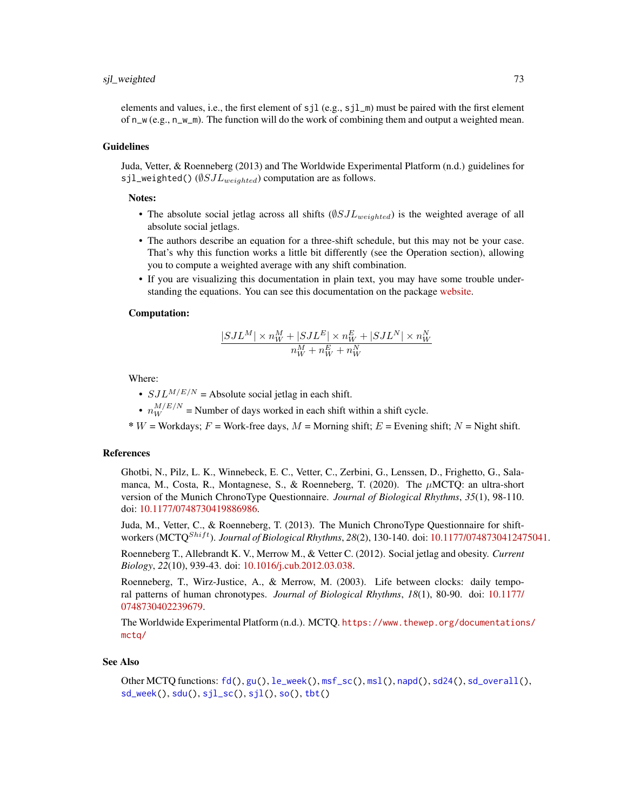#### <span id="page-72-0"></span>sjl\_weighted 73

elements and values, i.e., the first element of  $sjl$  (e.g.,  $sjl_m$ ) must be paired with the first element of n\_w (e.g., n\_w\_m). The function will do the work of combining them and output a weighted mean.

#### Guidelines

Juda, Vetter, & Roenneberg (2013) and The Worldwide Experimental Platform (n.d.) guidelines for sjl\_weighted() ( $\emptyset SJL_{weighted}$ ) computation are as follows.

## Notes:

- The absolute social jetlag across all shifts  $(\emptyset SJL_{weighted})$  is the weighted average of all absolute social jetlags.
- The authors describe an equation for a three-shift schedule, but this may not be your case. That's why this function works a little bit differently (see the Operation section), allowing you to compute a weighted average with any shift combination.
- If you are visualizing this documentation in plain text, you may have some trouble understanding the equations. You can see this documentation on the package [website.](https://docs.ropensci.org/mctq/reference/)

#### Computation:

$$
\frac{|S J L^M| \times n_W^M + |S J L^E| \times n_W^E + |S J L^N| \times n_W^N}{n_W^M + n_W^E + n_W^N}
$$

#### Where:

•  $SJ L^{M/E/N}$  = Absolute social jetlag in each shift.

•  $n_W^{M/E/N}$  = Number of days worked in each shift within a shift cycle.

 $* W =$  Workdays;  $F =$  Work-free days,  $M =$  Morning shift;  $E =$  Evening shift;  $N =$  Night shift.

#### References

Ghotbi, N., Pilz, L. K., Winnebeck, E. C., Vetter, C., Zerbini, G., Lenssen, D., Frighetto, G., Salamanca, M., Costa, R., Montagnese, S., & Roenneberg, T. (2020). The  $\mu$ MCTQ: an ultra-short version of the Munich ChronoType Questionnaire. *Journal of Biological Rhythms*, *35*(1), 98-110. doi: [10.1177/0748730419886986.](https://doi.org/10.1177/0748730419886986)

Juda, M., Vetter, C., & Roenneberg, T. (2013). The Munich ChronoType Questionnaire for shiftworkers (MCTO<sup>Shift</sup>). *Journal of Biological Rhythms*, 28(2), 130-140. doi: [10.1177/0748730412475041.](https://doi.org/10.1177/0748730412475041)

Roenneberg T., Allebrandt K. V., Merrow M., & Vetter C. (2012). Social jetlag and obesity. *Current Biology*, *22*(10), 939-43. doi: [10.1016/j.cub.2012.03.038.](https://doi.org/10.1016/j.cub.2012.03.038)

Roenneberg, T., Wirz-Justice, A., & Merrow, M. (2003). Life between clocks: daily temporal patterns of human chronotypes. *Journal of Biological Rhythms*, *18*(1), 80-90. doi: [10.1177/](https://doi.org/10.1177/0748730402239679) [0748730402239679.](https://doi.org/10.1177/0748730402239679)

The Worldwide Experimental Platform (n.d.). MCTQ. [https://www.thewep.org/documentation](https://www.thewep.org/documentations/mctq/)s/ [mctq/](https://www.thewep.org/documentations/mctq/)

#### See Also

Other MCTQ functions: [fd\(](#page-7-0)), [gu\(](#page-9-0)), [le\\_week\(](#page-11-0)), [msf\\_sc\(](#page-19-0)), [msl\(](#page-23-0)), [napd\(](#page-26-0)), [sd24\(](#page-37-0)), [sd\\_overall\(](#page-43-0)), [sd\\_week\(](#page-46-0)), [sdu\(](#page-40-0)), [sjl\\_sc\(](#page-66-0)), [sjl\(](#page-61-0)), [so\(](#page-77-0)), [tbt\(](#page-91-0))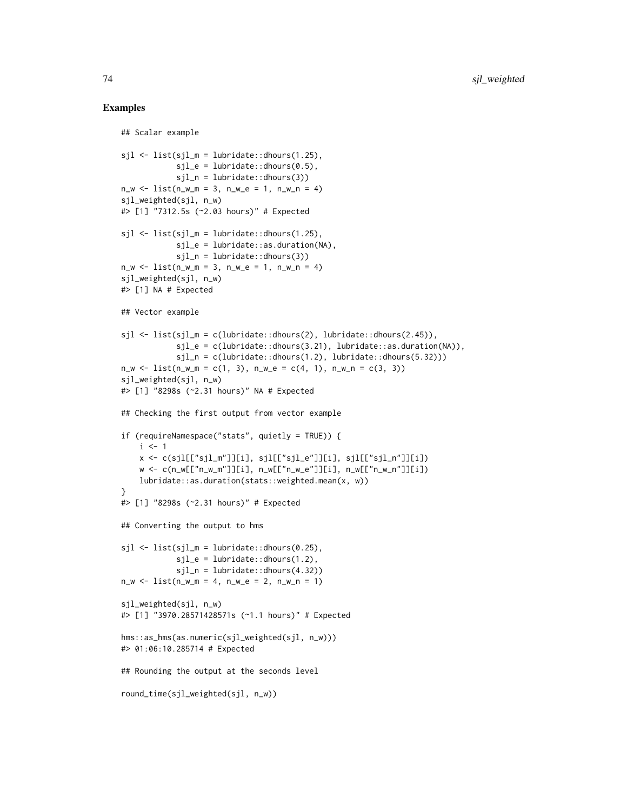## Examples

```
## Scalar example
```

```
sjl \leq list(sjl_m = lubridate::dhours(1.25),sil_e = lubridate::dhours(0.5),
            sjl_n = lubridate::dhours(3)n_w \le -\text{list}(n_w_m = 3, n_w_e = 1, n_w_n = 4)sjl_weighted(sjl, n_w)
#> [1] "7312.5s (~2.03 hours)" # Expected
sjl <- list(sjl_m = lubridate::dhours(1.25),
            sjl_e = lubridate::as.duration(NA),
            sjl_n = lubridate::dhours(3)n_w \leq -\text{list}(n_w_m = 3, n_w_e = 1, n_w_n = 4)sjl_weighted(sjl, n_w)
#> [1] NA # Expected
## Vector example
sjl \le list(sjl_m = c(lubridate::dhours(2), lubridate::dhours(2.45)),
            sil_e = c(lubridate::dhours(3.21), lubridate::as.duration(NA)),sjl_n = c(lubridate::dhours(1.2), lubridate::dhours(5.32)))
n_w \leftarrow \text{list}(n_w_m = c(1, 3), n_w_e = c(4, 1), n_w_n = c(3, 3))sjl_weighted(sjl, n_w)
#> [1] "8298s (~2.31 hours)" NA # Expected
## Checking the first output from vector example
if (requireNamespace("stats", quietly = TRUE)) {
    i \leq 1x <- c(sjl[["sjl_m"]][i], sjl[["sjl_e"]][i], sjl[["sjl_n"]][i])
    w <- c(n_w[["n_w_m"]][i], n_w[["n_w_e"]][i], n_w[["n_w_n"]][i])
    lubridate::as.duration(stats::weighted.mean(x, w))
}
#> [1] "8298s (~2.31 hours)" # Expected
## Converting the output to hms
sjl <- list(sjl_m = lubridate::dhours(0.25),
            sil_e = lubridate::dhours(1.2),
            sjl_n = lubridate::dhours(4.32))
n_w \leq 1 ist(n_w_m = 4, n_w_e = 2, n_w_n = 1)
sjl_weighted(sjl, n_w)
#> [1] "3970.28571428571s (~1.1 hours)" # Expected
hms::as_hms(as.numeric(sjl_weighted(sjl, n_w)))
#> 01:06:10.285714 # Expected
## Rounding the output at the seconds level
round_time(sjl_weighted(sjl, n_w))
```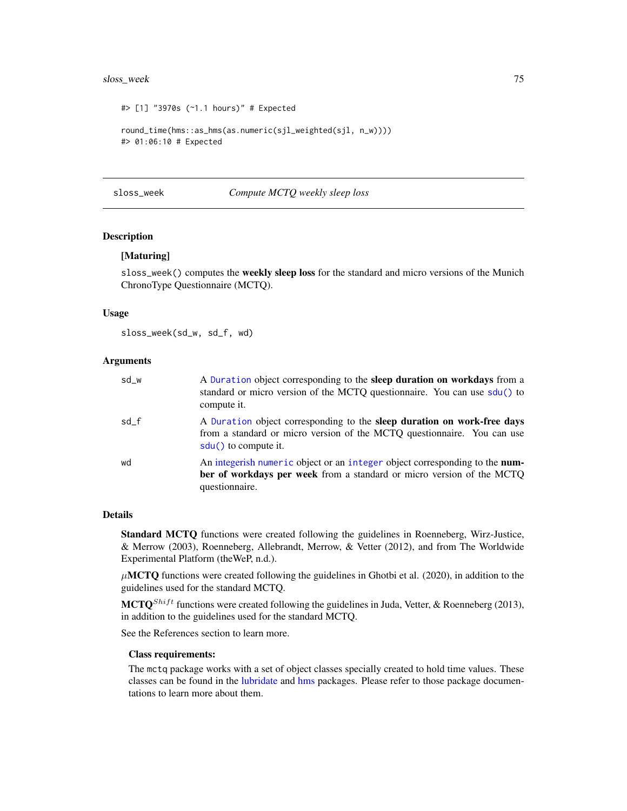# <span id="page-74-0"></span>sloss\_week 75

```
#> [1] "3970s (~1.1 hours)" # Expected
round_time(hms::as_hms(as.numeric(sjl_weighted(sjl, n_w))))
#> 01:06:10 # Expected
```
## sloss\_week *Compute MCTQ weekly sleep loss*

# **Description**

## [Maturing]

sloss\_week() computes the **weekly sleep loss** for the standard and micro versions of the Munich ChronoType Questionnaire (MCTQ).

#### Usage

sloss\_week(sd\_w, sd\_f, wd)

# Arguments

| sd_w | A Duration object corresponding to the sleep duration on workdays from a<br>standard or micro version of the MCTQ questionnaire. You can use sdu() to<br>compute it.       |  |
|------|----------------------------------------------------------------------------------------------------------------------------------------------------------------------------|--|
| sd f | A Duration object corresponding to the sleep duration on work-free days<br>from a standard or micro version of the MCTQ questionnaire. You can use<br>sdu() to compute it. |  |
| wd   | An integerish numeric object or an integer object corresponding to the num-<br>ber of workdays per week from a standard or micro version of the MCTQ<br>questionnaire.     |  |

## Details

Standard MCTQ functions were created following the guidelines in Roenneberg, Wirz-Justice, & Merrow (2003), Roenneberg, Allebrandt, Merrow, & Vetter (2012), and from The Worldwide Experimental Platform (theWeP, n.d.).

 $\mu$ MCTQ functions were created following the guidelines in Ghotbi et al. (2020), in addition to the guidelines used for the standard MCTQ.

MCTQ<sup>Shift</sup> functions were created following the guidelines in Juda, Vetter, & Roenneberg (2013), in addition to the guidelines used for the standard MCTQ.

See the References section to learn more.

#### Class requirements:

The mctq package works with a set of object classes specially created to hold time values. These classes can be found in the [lubridate](#page-0-0) and [hms](#page-0-0) packages. Please refer to those package documentations to learn more about them.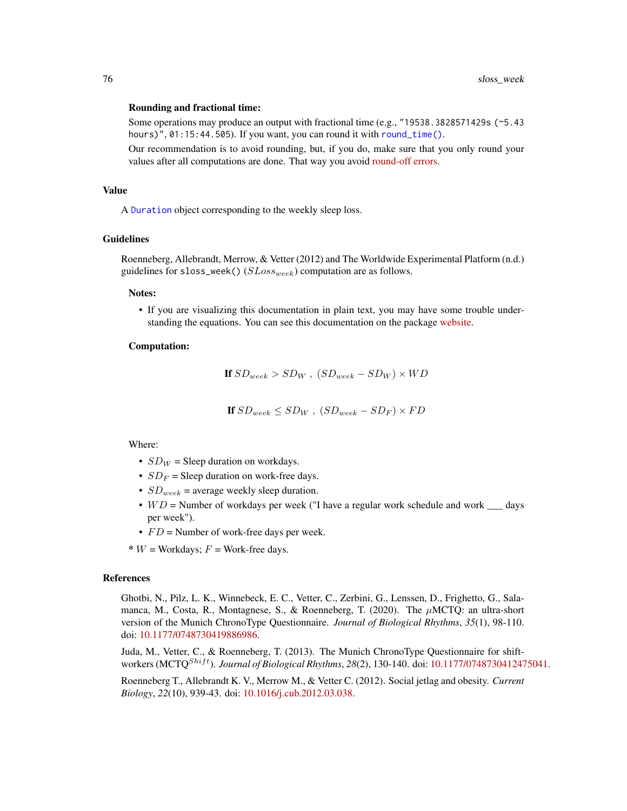#### <span id="page-75-0"></span>Rounding and fractional time:

Some operations may produce an output with fractional time (e.g., "19538.3828571429s (~5.43 hours)", 01:15:44.505). If you want, you can round it with [round\\_time\(\)](#page-35-0).

Our recommendation is to avoid rounding, but, if you do, make sure that you only round your values after all computations are done. That way you avoid [round-off errors.](https://en.wikipedia.org/wiki/Round-off_error)

#### Value

A [Duration](#page-0-0) object corresponding to the weekly sleep loss.

#### Guidelines

Roenneberg, Allebrandt, Merrow, & Vetter (2012) and The Worldwide Experimental Platform (n.d.) guidelines for sloss\_week()  $(SLoss_{week})$  computation are as follows.

#### Notes:

• If you are visualizing this documentation in plain text, you may have some trouble understanding the equations. You can see this documentation on the package [website.](https://docs.ropensci.org/mctq/reference/)

#### Computation:

$$
\textbf{If} \ SD_{week} > SD_W \ , \ (SD_{week} - SD_W) \times WD
$$

If 
$$
SD_{week} \leq SD_W
$$
,  $(SD_{week} - SD_F) \times FD$ 

## Where:

- $SD_W$  = Sleep duration on workdays.
- $SD_F$  = Sleep duration on work-free days.
- $SD_{week}$  = average weekly sleep duration.
- $WD =$  Number of workdays per week ("I have a regular work schedule and work  $\_\_\_\_$  days per week").
- $FD =$  Number of work-free days per week.
- $* W =$  Workdays;  $F =$  Work-free days.

#### References

Ghotbi, N., Pilz, L. K., Winnebeck, E. C., Vetter, C., Zerbini, G., Lenssen, D., Frighetto, G., Salamanca, M., Costa, R., Montagnese, S., & Roenneberg, T. (2020). The  $\mu$ MCTQ: an ultra-short version of the Munich ChronoType Questionnaire. *Journal of Biological Rhythms*, *35*(1), 98-110. doi: [10.1177/0748730419886986.](https://doi.org/10.1177/0748730419886986)

Juda, M., Vetter, C., & Roenneberg, T. (2013). The Munich ChronoType Questionnaire for shiftworkers (MCTQ<sup>Shift</sup>). *Journal of Biological Rhythms*, 28(2), 130-140. doi: [10.1177/0748730412475041.](https://doi.org/10.1177/0748730412475041)

Roenneberg T., Allebrandt K. V., Merrow M., & Vetter C. (2012). Social jetlag and obesity. *Current Biology*, *22*(10), 939-43. doi: [10.1016/j.cub.2012.03.038.](https://doi.org/10.1016/j.cub.2012.03.038)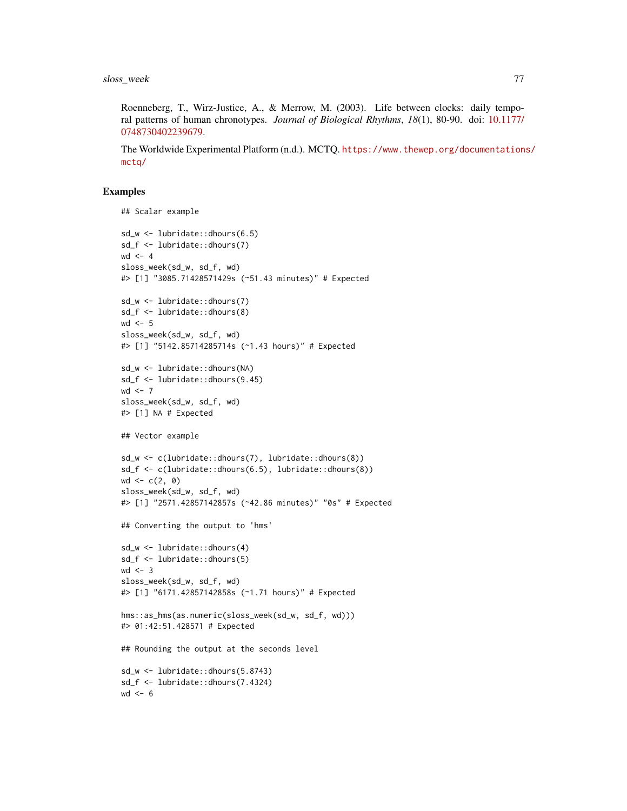Roenneberg, T., Wirz-Justice, A., & Merrow, M. (2003). Life between clocks: daily temporal patterns of human chronotypes. *Journal of Biological Rhythms*, *18*(1), 80-90. doi: [10.1177/](https://doi.org/10.1177/0748730402239679) [0748730402239679.](https://doi.org/10.1177/0748730402239679)

The Worldwide Experimental Platform (n.d.). MCTQ. [https://www.thewep.org/documentation](https://www.thewep.org/documentations/mctq/)s/ [mctq/](https://www.thewep.org/documentations/mctq/)

## Examples

```
## Scalar example
sd_w <- lubridate::dhours(6.5)
sd_f <- lubridate::dhours(7)
wd < -4sloss_week(sd_w, sd_f, wd)
#> [1] "3085.71428571429s (~51.43 minutes)" # Expected
sd_w <- lubridate::dhours(7)
sd_f <- lubridate::dhours(8)
wd <- 5
sloss_week(sd_w, sd_f, wd)
#> [1] "5142.85714285714s (~1.43 hours)" # Expected
sd_w <- lubridate::dhours(NA)
sd_f <- lubridate::dhours(9.45)
wd < -7sloss_week(sd_w, sd_f, wd)
#> [1] NA # Expected
## Vector example
sd_w <- c(lubridate::dhours(7), lubridate::dhours(8))
sd_f <- c(lubridate::dhours(6.5), lubridate::dhours(8))
wd < -c(2, 0)sloss_week(sd_w, sd_f, wd)
#> [1] "2571.42857142857s (~42.86 minutes)" "0s" # Expected
## Converting the output to 'hms'
sd_w <- lubridate::dhours(4)
sd_f <- lubridate::dhours(5)
wd < - 3sloss_week(sd_w, sd_f, wd)
#> [1] "6171.42857142858s (~1.71 hours)" # Expected
hms::as_hms(as.numeric(sloss_week(sd_w, sd_f, wd)))
#> 01:42:51.428571 # Expected
## Rounding the output at the seconds level
sd_w <- lubridate::dhours(5.8743)
sd_f <- lubridate::dhours(7.4324)
wd <- 6
```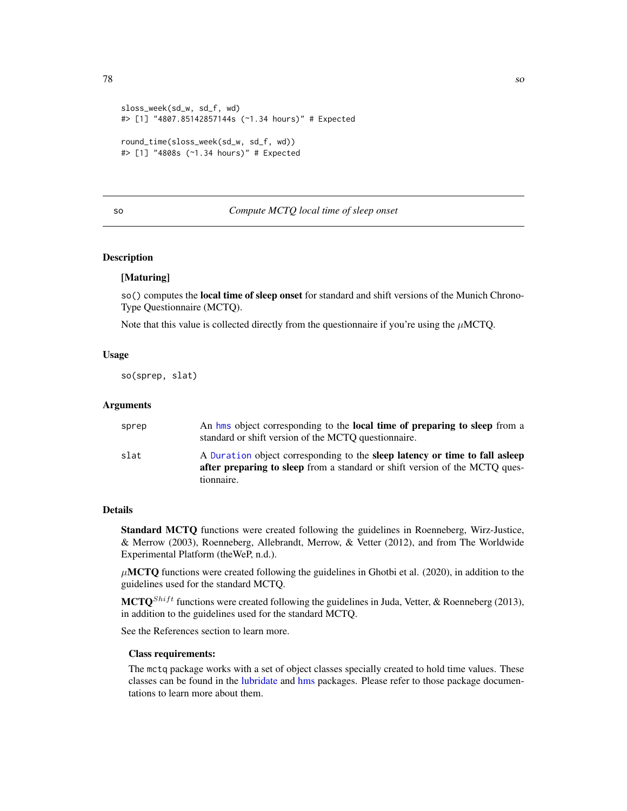<span id="page-77-1"></span>78 solution of the contract of the contract of the contract of the contract of the contract of the contract of the contract of the contract of the contract of the contract of the contract of the contract of the contract of

```
sloss_week(sd_w, sd_f, wd)
#> [1] "4807.85142857144s (~1.34 hours)" # Expected
round_time(sloss_week(sd_w, sd_f, wd))
#> [1] "4808s (~1.34 hours)" # Expected
```
<span id="page-77-0"></span>so *Compute MCTQ local time of sleep onset*

#### Description

#### [Maturing]

so() computes the local time of sleep onset for standard and shift versions of the Munich Chrono-Type Questionnaire (MCTQ).

Note that this value is collected directly from the questionnaire if you're using the  $\mu$ MCTQ.

# Usage

so(sprep, slat)

#### Arguments

| sprep | An hms object corresponding to the <b>local time of preparing to sleep</b> from a<br>standard or shift version of the MCTQ questionnaire.                                       |
|-------|---------------------------------------------------------------------------------------------------------------------------------------------------------------------------------|
| slat  | A Duration object corresponding to the <b>sleep latency or time to fall asleep</b><br>after preparing to sleep from a standard or shift version of the MCTO ques-<br>tionnaire. |

#### Details

Standard MCTQ functions were created following the guidelines in Roenneberg, Wirz-Justice, & Merrow (2003), Roenneberg, Allebrandt, Merrow, & Vetter (2012), and from The Worldwide Experimental Platform (theWeP, n.d.).

 $\mu$ MCTQ functions were created following the guidelines in Ghotbi et al. (2020), in addition to the guidelines used for the standard MCTQ.

MCTQ<sup>Shift</sup> functions were created following the guidelines in Juda, Vetter, & Roenneberg (2013), in addition to the guidelines used for the standard MCTQ.

See the References section to learn more.

#### Class requirements:

The mctq package works with a set of object classes specially created to hold time values. These classes can be found in the [lubridate](#page-0-0) and [hms](#page-0-0) packages. Please refer to those package documentations to learn more about them.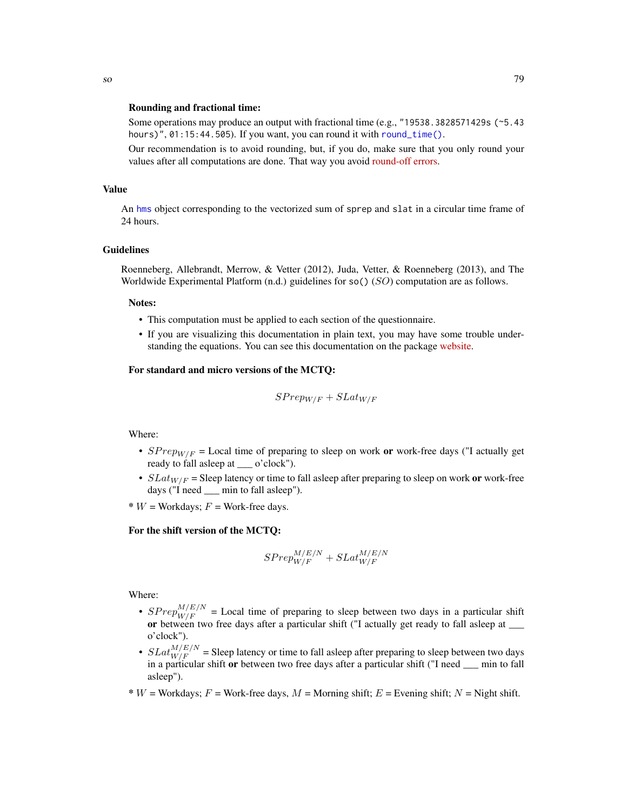#### <span id="page-78-0"></span>Rounding and fractional time:

Some operations may produce an output with fractional time (e.g., "19538.3828571429s (~5.43 hours)", 01:15:44.505). If you want, you can round it with [round\\_time\(\)](#page-35-0).

Our recommendation is to avoid rounding, but, if you do, make sure that you only round your values after all computations are done. That way you avoid [round-off errors.](https://en.wikipedia.org/wiki/Round-off_error)

#### Value

An [hms](#page-0-0) object corresponding to the vectorized sum of sprep and slat in a circular time frame of 24 hours.

## Guidelines

Roenneberg, Allebrandt, Merrow, & Vetter (2012), Juda, Vetter, & Roenneberg (2013), and The Worldwide Experimental Platform  $(n.d.)$  guidelines for so()  $(SO)$  computation are as follows.

#### Notes:

- This computation must be applied to each section of the questionnaire.
- If you are visualizing this documentation in plain text, you may have some trouble understanding the equations. You can see this documentation on the package [website.](https://docs.ropensci.org/mctq/reference/)

## For standard and micro versions of the MCTQ:

$$
SPrep_{W/F} + SLat_{W/F}
$$

Where:

- $SPrep_{W/F} =$  Local time of preparing to sleep on work or work-free days ("I actually get ready to fall asleep at \_\_\_ o'clock").
- $SLat_{W/F}$  = Sleep latency or time to fall asleep after preparing to sleep on work or work-free days ("I need \_\_\_ min to fall asleep").
- $* W$  = Workdays;  $F$  = Work-free days.

#### For the shift version of the MCTQ:

$$
SPrep^{M/E/N}_{W/F} + SLat^{M/E/N}_{W/F}
$$

Where:

- $SPrep^{M/E/N}_{W/F}$  = Local time of preparing to sleep between two days in a particular shift or between two free days after a particular shift ("I actually get ready to fall asleep at  $\qquad$ o'clock").
- $SLat_{W/F}^{M/E/N}$  = Sleep latency or time to fall asleep after preparing to sleep between two days in a particular shift or between two free days after a particular shift ("I need \_\_\_ min to fall asleep").
- $* W =$  Workdays;  $F =$  Work-free days,  $M =$  Morning shift;  $E =$  Evening shift;  $N =$  Night shift.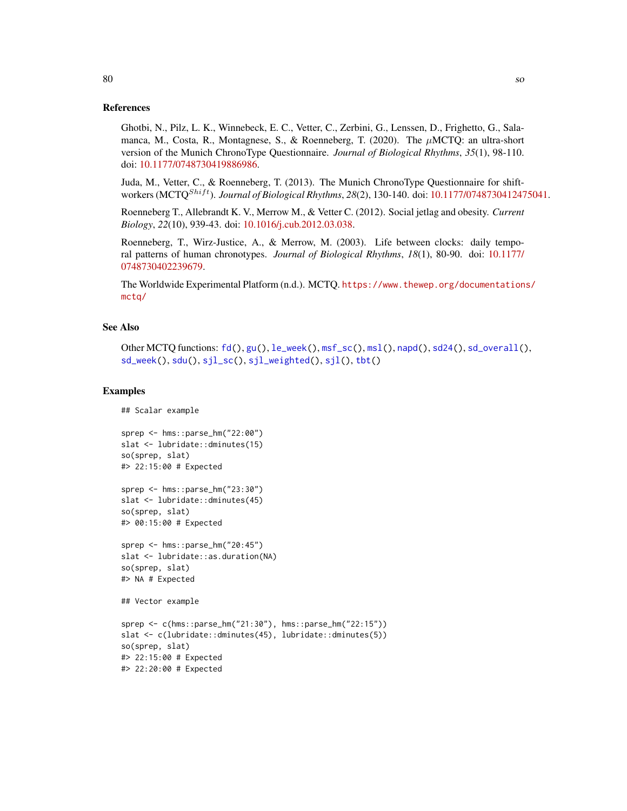## <span id="page-79-0"></span>References

Ghotbi, N., Pilz, L. K., Winnebeck, E. C., Vetter, C., Zerbini, G., Lenssen, D., Frighetto, G., Salamanca, M., Costa, R., Montagnese, S., & Roenneberg, T. (2020). The  $\mu$ MCTQ: an ultra-short version of the Munich ChronoType Questionnaire. *Journal of Biological Rhythms*, *35*(1), 98-110. doi: [10.1177/0748730419886986.](https://doi.org/10.1177/0748730419886986)

Juda, M., Vetter, C., & Roenneberg, T. (2013). The Munich ChronoType Questionnaire for shiftworkers (MCTQ<sup>Shift</sup>). *Journal of Biological Rhythms*, 28(2), 130-140. doi: [10.1177/0748730412475041.](https://doi.org/10.1177/0748730412475041)

Roenneberg T., Allebrandt K. V., Merrow M., & Vetter C. (2012). Social jetlag and obesity. *Current Biology*, *22*(10), 939-43. doi: [10.1016/j.cub.2012.03.038.](https://doi.org/10.1016/j.cub.2012.03.038)

Roenneberg, T., Wirz-Justice, A., & Merrow, M. (2003). Life between clocks: daily temporal patterns of human chronotypes. *Journal of Biological Rhythms*, *18*(1), 80-90. doi: [10.1177/](https://doi.org/10.1177/0748730402239679) [0748730402239679.](https://doi.org/10.1177/0748730402239679)

The Worldwide Experimental Platform (n.d.). MCTQ. [https://www.thewep.org/documentation](https://www.thewep.org/documentations/mctq/)s/ [mctq/](https://www.thewep.org/documentations/mctq/)

# See Also

Other MCTQ functions: [fd\(](#page-7-0)), [gu\(](#page-9-0)), [le\\_week\(](#page-11-0)), [msf\\_sc\(](#page-19-0)), [msl\(](#page-23-0)), [napd\(](#page-26-0)), [sd24\(](#page-37-0)), [sd\\_overall\(](#page-43-0)), [sd\\_week\(](#page-46-0)), [sdu\(](#page-40-0)), [sjl\\_sc\(](#page-66-0)), [sjl\\_weighted\(](#page-70-0)), [sjl\(](#page-61-0)), [tbt\(](#page-91-0))

#### Examples

## Scalar example

```
sprep <- hms::parse_hm("22:00")
slat <- lubridate::dminutes(15)
so(sprep, slat)
#> 22:15:00 # Expected
```

```
sprep <- hms::parse_hm("23:30")
slat <- lubridate::dminutes(45)
so(sprep, slat)
#> 00:15:00 # Expected
```

```
sprep <- hms::parse_hm("20:45")
slat <- lubridate::as.duration(NA)
so(sprep, slat)
#> NA # Expected
```

```
## Vector example
```

```
sprep <- c(hms::parse_hm("21:30"), hms::parse_hm("22:15"))
slat <- c(lubridate::dminutes(45), lubridate::dminutes(5))
so(sprep, slat)
#> 22:15:00 # Expected
#> 22:20:00 # Expected
```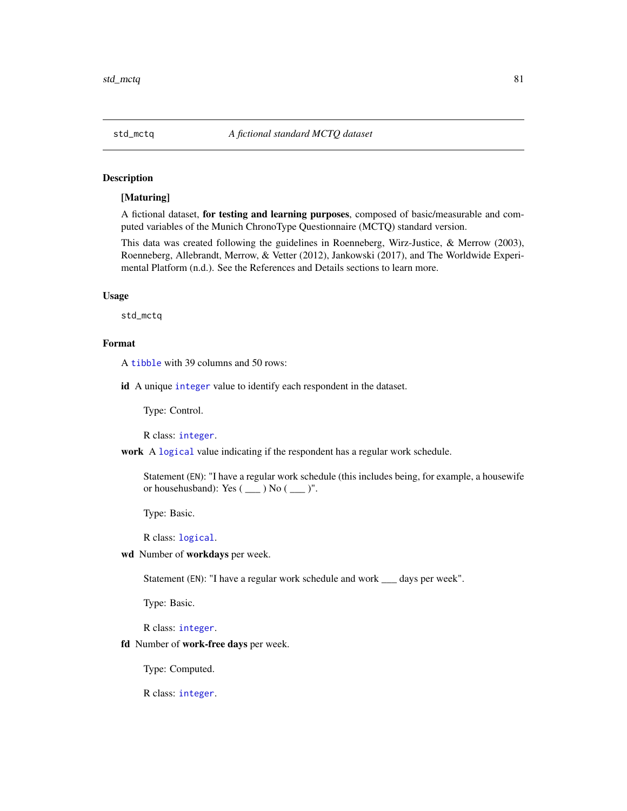#### <span id="page-80-0"></span>Description

## [Maturing]

A fictional dataset, for testing and learning purposes, composed of basic/measurable and computed variables of the Munich ChronoType Questionnaire (MCTQ) standard version.

This data was created following the guidelines in Roenneberg, Wirz-Justice, & Merrow (2003), Roenneberg, Allebrandt, Merrow, & Vetter (2012), Jankowski (2017), and The Worldwide Experimental Platform (n.d.). See the References and Details sections to learn more.

# Usage

std\_mctq

## Format

A [tibble](#page-0-0) with 39 columns and 50 rows:

id A unique [integer](#page-0-0) value to identify each respondent in the dataset.

Type: Control.

R class: [integer](#page-0-0).

work A [logical](#page-0-0) value indicating if the respondent has a regular work schedule.

Statement (EN): "I have a regular work schedule (this includes being, for example, a housewife or househusband): Yes  $(\_\_)$  No  $(\_\_)$ ".

Type: Basic.

R class: [logical](#page-0-0).

wd Number of workdays per week.

Statement (EN): "I have a regular work schedule and work \_\_\_ days per week".

Type: Basic.

R class: [integer](#page-0-0).

fd Number of work-free days per week.

Type: Computed.

R class: [integer](#page-0-0).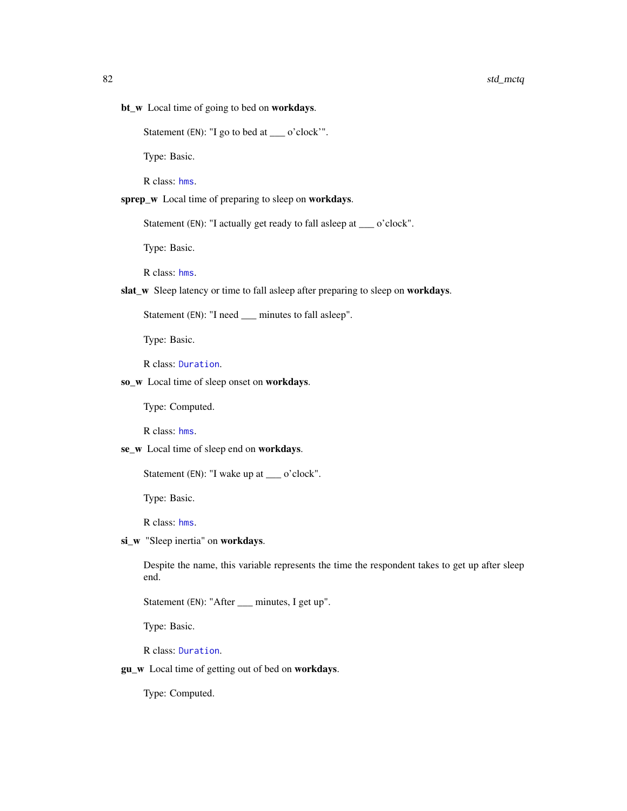<span id="page-81-0"></span>bt\_w Local time of going to bed on workdays.

Statement (EN): "I go to bed at \_\_\_ o'clock'".

Type: Basic.

R class: [hms](#page-0-0).

sprep\_w Local time of preparing to sleep on workdays.

Statement (EN): "I actually get ready to fall asleep at \_\_\_ o'clock".

Type: Basic.

R class: [hms](#page-0-0).

slat\_w Sleep latency or time to fall asleep after preparing to sleep on workdays.

Statement (EN): "I need \_\_\_ minutes to fall asleep".

Type: Basic.

R class: [Duration](#page-0-0).

so\_w Local time of sleep onset on workdays.

Type: Computed.

R class: [hms](#page-0-0).

se\_w Local time of sleep end on workdays.

Statement (EN): "I wake up at \_\_\_ o'clock".

Type: Basic.

R class: [hms](#page-0-0).

si\_w "Sleep inertia" on workdays.

Despite the name, this variable represents the time the respondent takes to get up after sleep end.

Statement (EN): "After \_\_\_ minutes, I get up".

Type: Basic.

R class: [Duration](#page-0-0).

gu\_w Local time of getting out of bed on workdays.

Type: Computed.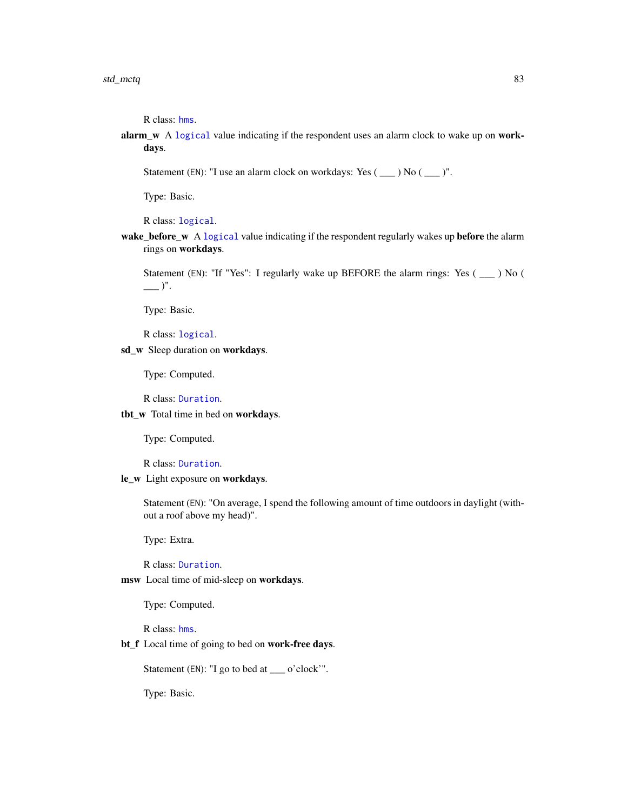<span id="page-82-0"></span>R class: [hms](#page-0-0).

alarm\_w A [logical](#page-0-0) value indicating if the respondent uses an alarm clock to wake up on workdays.

Statement (EN): "I use an alarm clock on workdays: Yes ( \_\_\_ ) No ( \_\_\_ )".

Type: Basic.

R class: [logical](#page-0-0).

wake\_before\_w A [logical](#page-0-0) value indicating if the respondent regularly wakes up before the alarm rings on workdays.

Statement (EN): "If "Yes": I regularly wake up BEFORE the alarm rings: Yes ( \_\_\_ ) No (  $\_\_$ )".

Type: Basic.

R class: [logical](#page-0-0).

# sd\_w Sleep duration on workdays.

Type: Computed.

R class: [Duration](#page-0-0).

## tbt\_w Total time in bed on workdays.

Type: Computed.

R class: [Duration](#page-0-0).

le\_w Light exposure on workdays.

Statement (EN): "On average, I spend the following amount of time outdoors in daylight (without a roof above my head)".

Type: Extra.

R class: [Duration](#page-0-0).

msw Local time of mid-sleep on workdays.

Type: Computed.

R class: [hms](#page-0-0).

bt\_f Local time of going to bed on work-free days.

Statement (EN): "I go to bed at \_\_\_ o'clock'".

Type: Basic.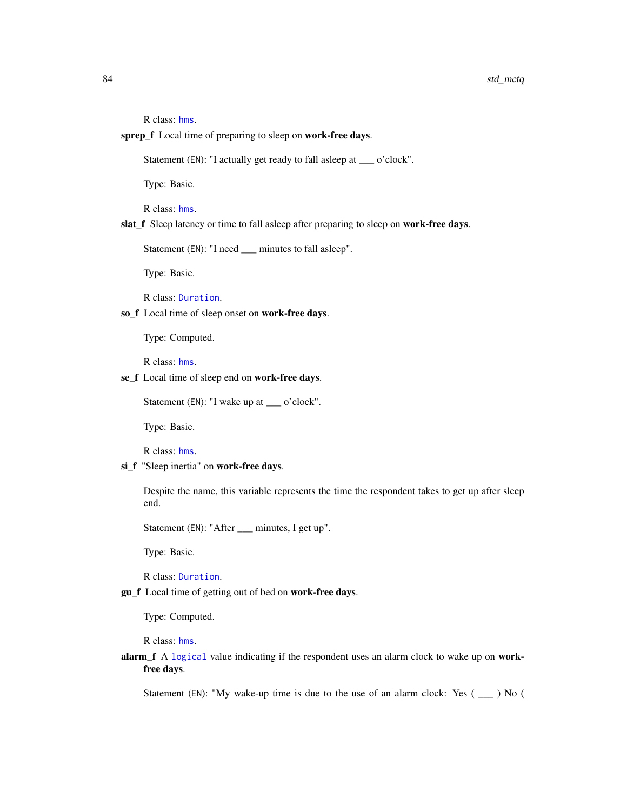```
R class: hms.
```
sprep\_f Local time of preparing to sleep on work-free days.

Statement (EN): "I actually get ready to fall asleep at \_\_\_ o'clock".

Type: Basic.

R class: [hms](#page-0-0).

slat<sub>f</sub> Sleep latency or time to fall asleep after preparing to sleep on work-free days.

Statement (EN): "I need \_\_\_ minutes to fall asleep".

Type: Basic.

R class: [Duration](#page-0-0).

so\_f Local time of sleep onset on work-free days.

Type: Computed.

R class: [hms](#page-0-0).

se\_f Local time of sleep end on work-free days.

Statement (EN): "I wake up at \_\_\_ o'clock".

Type: Basic.

R class: [hms](#page-0-0).

si\_f "Sleep inertia" on work-free days.

Despite the name, this variable represents the time the respondent takes to get up after sleep end.

Statement (EN): "After \_\_\_ minutes, I get up".

Type: Basic.

R class: [Duration](#page-0-0).

gu\_f Local time of getting out of bed on work-free days.

Type: Computed.

R class: [hms](#page-0-0).

alarm\_f A [logical](#page-0-0) value indicating if the respondent uses an alarm clock to wake up on workfree days.

Statement (EN): "My wake-up time is due to the use of an alarm clock: Yes ( \_\_\_ ) No (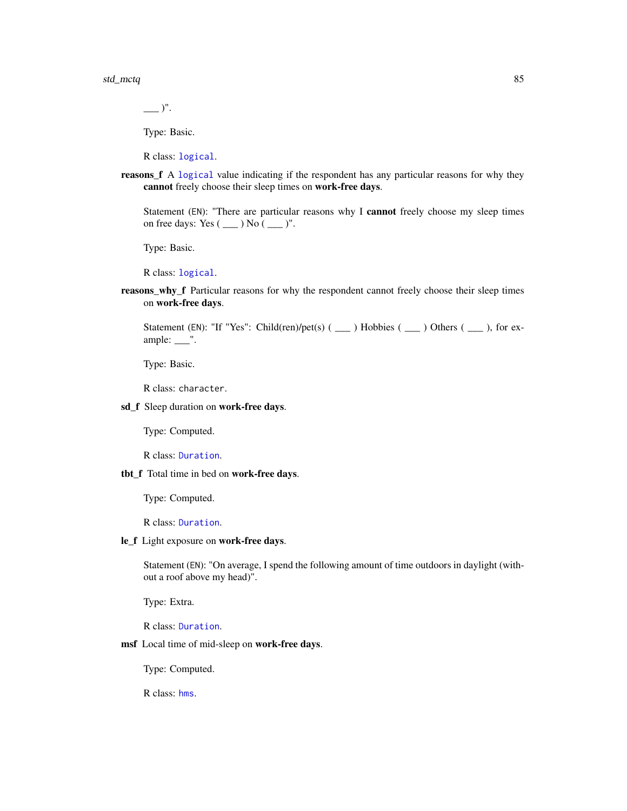<span id="page-84-0"></span> $\frac{1}{\sqrt{2}}$ ".

Type: Basic.

R class: [logical](#page-0-0).

reasons\_f A [logical](#page-0-0) value indicating if the respondent has any particular reasons for why they cannot freely choose their sleep times on work-free days.

Statement (EN): "There are particular reasons why I cannot freely choose my sleep times on free days: Yes  $(\_\_)$  No  $(\_\_)$ ".

Type: Basic.

R class: [logical](#page-0-0).

reasons\_why\_f Particular reasons for why the respondent cannot freely choose their sleep times on work-free days.

Statement (EN): "If "Yes": Child(ren)/pet(s) ( $\_\_\_\_\$ ) Hobbies ( $\_\_\_\_\$ ) Others ( $\_\_\_\_\$ ), for example:  $\_\_\$ ".

Type: Basic.

R class: character.

sd\_f Sleep duration on work-free days.

Type: Computed.

R class: [Duration](#page-0-0).

tbt\_f Total time in bed on work-free days.

Type: Computed.

R class: [Duration](#page-0-0).

le\_f Light exposure on work-free days.

Statement (EN): "On average, I spend the following amount of time outdoors in daylight (without a roof above my head)".

Type: Extra.

R class: [Duration](#page-0-0).

msf Local time of mid-sleep on work-free days.

Type: Computed.

R class: [hms](#page-0-0).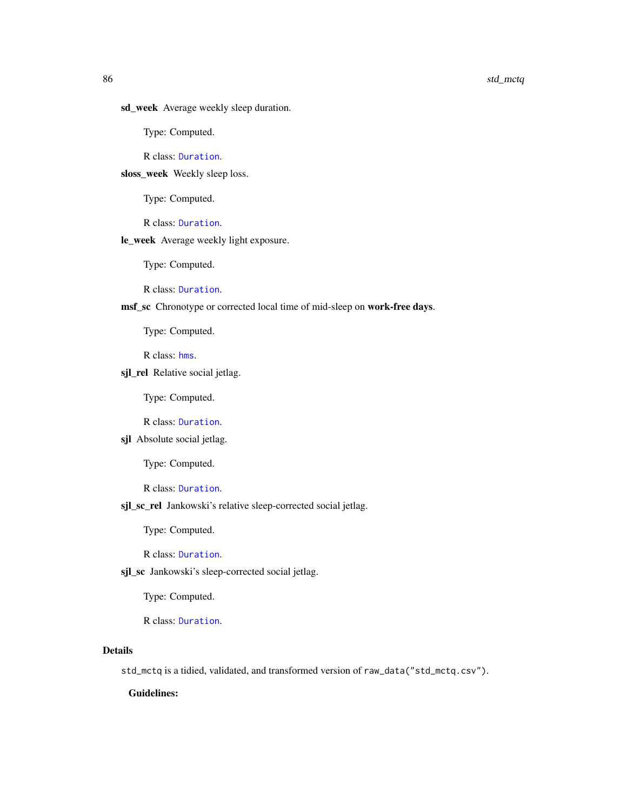Type: Computed.

R class: [Duration](#page-0-0).

sloss\_week Weekly sleep loss.

Type: Computed.

R class: [Duration](#page-0-0).

le\_week Average weekly light exposure.

Type: Computed.

R class: [Duration](#page-0-0).

msf\_sc Chronotype or corrected local time of mid-sleep on work-free days.

Type: Computed.

R class: [hms](#page-0-0).

sjl\_rel Relative social jetlag.

Type: Computed.

R class: [Duration](#page-0-0).

sjl Absolute social jetlag.

Type: Computed.

R class: [Duration](#page-0-0).

sjl\_sc\_rel Jankowski's relative sleep-corrected social jetlag.

Type: Computed.

R class: [Duration](#page-0-0).

sjl\_sc Jankowski's sleep-corrected social jetlag.

Type: Computed.

R class: [Duration](#page-0-0).

#### Details

std\_mctq is a tidied, validated, and transformed version of raw\_data("std\_mctq.csv").

Guidelines: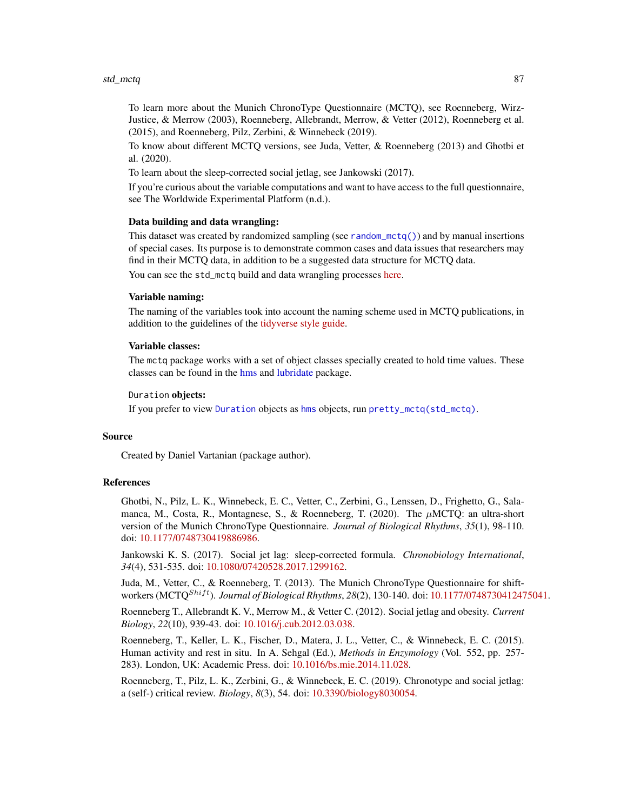#### <span id="page-86-0"></span>std\_mctq 87

To learn more about the Munich ChronoType Questionnaire (MCTQ), see Roenneberg, Wirz-Justice, & Merrow (2003), Roenneberg, Allebrandt, Merrow, & Vetter (2012), Roenneberg et al. (2015), and Roenneberg, Pilz, Zerbini, & Winnebeck (2019).

To know about different MCTQ versions, see Juda, Vetter, & Roenneberg (2013) and Ghotbi et al. (2020).

To learn about the sleep-corrected social jetlag, see Jankowski (2017).

If you're curious about the variable computations and want to have access to the full questionnaire, see The Worldwide Experimental Platform (n.d.).

#### Data building and data wrangling:

This dataset was created by randomized sampling (see [random\\_mctq\(\)](#page-33-0)) and by manual insertions of special cases. Its purpose is to demonstrate common cases and data issues that researchers may find in their MCTQ data, in addition to be a suggested data structure for MCTQ data.

You can see the std\_mctq build and data wrangling processes [here.](https://github.com/ropensci/mctq/blob/main/data-raw/std_mctq.R)

## Variable naming:

The naming of the variables took into account the naming scheme used in MCTQ publications, in addition to the guidelines of the [tidyverse style guide.](https://style.tidyverse.org/)

#### Variable classes:

The mctq package works with a set of object classes specially created to hold time values. These classes can be found in the [hms](#page-0-0) and [lubridate](#page-0-0) package.

#### Duration objects:

If you prefer to view [Duration](#page-0-0) objects as [hms](#page-0-0) objects, run [pretty\\_mctq\(std\\_mctq\)](#page-29-0).

#### Source

Created by Daniel Vartanian (package author).

#### References

Ghotbi, N., Pilz, L. K., Winnebeck, E. C., Vetter, C., Zerbini, G., Lenssen, D., Frighetto, G., Salamanca, M., Costa, R., Montagnese, S., & Roenneberg, T. (2020). The  $\mu$ MCTQ: an ultra-short version of the Munich ChronoType Questionnaire. *Journal of Biological Rhythms*, *35*(1), 98-110. doi: [10.1177/0748730419886986.](https://doi.org/10.1177/0748730419886986)

Jankowski K. S. (2017). Social jet lag: sleep-corrected formula. *Chronobiology International*, *34*(4), 531-535. doi: [10.1080/07420528.2017.1299162.](https://doi.org/10.1080/07420528.2017.1299162)

Juda, M., Vetter, C., & Roenneberg, T. (2013). The Munich ChronoType Questionnaire for shiftworkers (MCTQ<sup>Shift</sup>). *Journal of Biological Rhythms*, 28(2), 130-140. doi: [10.1177/0748730412475041.](https://doi.org/10.1177/0748730412475041)

Roenneberg T., Allebrandt K. V., Merrow M., & Vetter C. (2012). Social jetlag and obesity. *Current Biology*, *22*(10), 939-43. doi: [10.1016/j.cub.2012.03.038.](https://doi.org/10.1016/j.cub.2012.03.038)

Roenneberg, T., Keller, L. K., Fischer, D., Matera, J. L., Vetter, C., & Winnebeck, E. C. (2015). Human activity and rest in situ. In A. Sehgal (Ed.), *Methods in Enzymology* (Vol. 552, pp. 257- 283). London, UK: Academic Press. doi: [10.1016/bs.mie.2014.11.028.](https://doi.org/10.1016/bs.mie.2014.11.028)

Roenneberg, T., Pilz, L. K., Zerbini, G., & Winnebeck, E. C. (2019). Chronotype and social jetlag: a (self-) critical review. *Biology*, *8*(3), 54. doi: [10.3390/biology8030054.](https://doi.org/10.3390/biology8030054)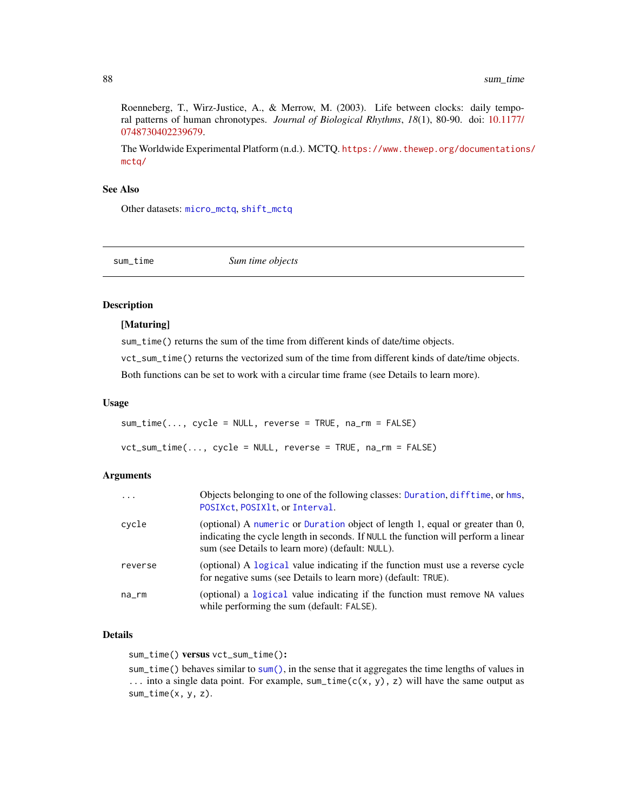<span id="page-87-0"></span>Roenneberg, T., Wirz-Justice, A., & Merrow, M. (2003). Life between clocks: daily temporal patterns of human chronotypes. *Journal of Biological Rhythms*, *18*(1), 80-90. doi: [10.1177/](https://doi.org/10.1177/0748730402239679) [0748730402239679.](https://doi.org/10.1177/0748730402239679)

The Worldwide Experimental Platform (n.d.). MCTQ. [https://www.thewep.org/documentation](https://www.thewep.org/documentations/mctq/)s/ [mctq/](https://www.thewep.org/documentations/mctq/)

#### See Also

Other datasets: [micro\\_mctq](#page-15-0), [shift\\_mctq](#page-49-0)

sum\_time *Sum time objects*

#### Description

#### [Maturing]

sum\_time() returns the sum of the time from different kinds of date/time objects.

vct\_sum\_time() returns the vectorized sum of the time from different kinds of date/time objects.

Both functions can be set to work with a circular time frame (see Details to learn more).

#### Usage

```
sum_time(..., cycle = NULL, reverse = TRUE, na_rm = FALSE)
```
vct\_sum\_time(..., cycle = NULL, reverse = TRUE, na\_rm = FALSE)

#### Arguments

| $\ddots$ . | Objects belonging to one of the following classes: Duration, difftime, or hms,<br>POSIXct, POSIX1t, or Interval.                                                                                                        |
|------------|-------------------------------------------------------------------------------------------------------------------------------------------------------------------------------------------------------------------------|
| cycle      | (optional) A numeric or Duration object of length 1, equal or greater than 0,<br>indicating the cycle length in seconds. If NULL the function will perform a linear<br>sum (see Details to learn more) (default: NULL). |
| reverse    | (optional) A logical value indicating if the function must use a reverse cycle<br>for negative sums (see Details to learn more) (default: TRUE).                                                                        |
| na_rm      | (optional) a logical value indicating if the function must remove NA values<br>while performing the sum (default: FALSE).                                                                                               |

#### Details

sum\_time() versus vct\_sum\_time():

sum\_time() behaves similar to [sum\(\)](#page-0-0), in the sense that it aggregates the time lengths of values in ... into a single data point. For example, sum\_time( $c(x, y)$ , z) will have the same output as sum\_time(x, y, z).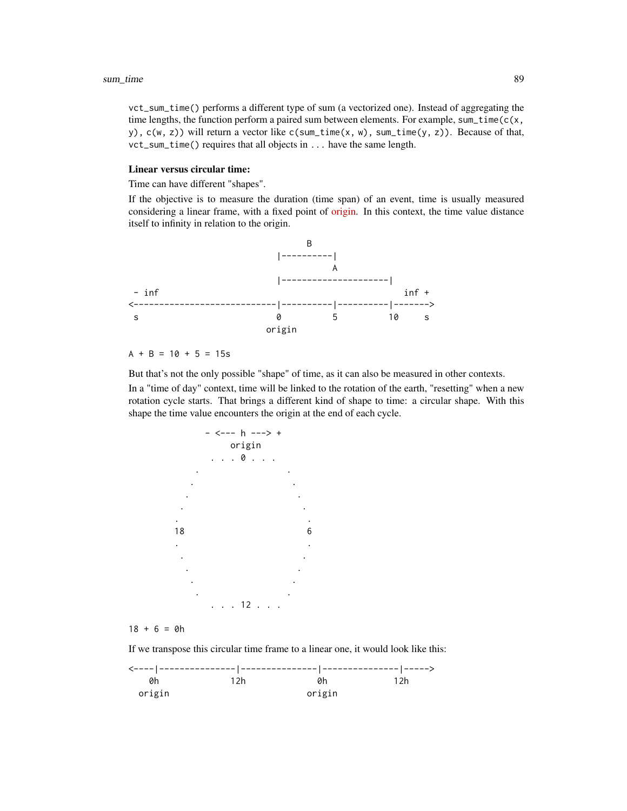vct\_sum\_time() performs a different type of sum (a vectorized one). Instead of aggregating the time lengths, the function perform a paired sum between elements. For example, sum\_time( $c(x,$ y),  $c(w, z)$ ) will return a vector like  $c(\text{sum_time}(x, w), \text{sum_time}(y, z))$ . Because of that, vct\_sum\_time() requires that all objects in ... have the same length.

#### Linear versus circular time:

Time can have different "shapes".

If the objective is to measure the duration (time span) of an event, time is usually measured considering a linear frame, with a fixed point of [origin.](https://en.wikipedia.org/wiki/Origin_(mathematics)) In this context, the time value distance itself to infinity in relation to the origin.



## $A + B = 10 + 5 = 15s$

But that's not the only possible "shape" of time, as it can also be measured in other contexts.

In a "time of day" context, time will be linked to the rotation of the earth, "resetting" when a new rotation cycle starts. That brings a different kind of shape to time: a circular shape. With this shape the time value encounters the origin at the end of each cycle.



#### $18 + 6 = 0h$

If we transpose this circular time frame to a linear one, it would look like this:

| øh     | - 1 2 h | øh     | 12h |
|--------|---------|--------|-----|
| origin |         | origin |     |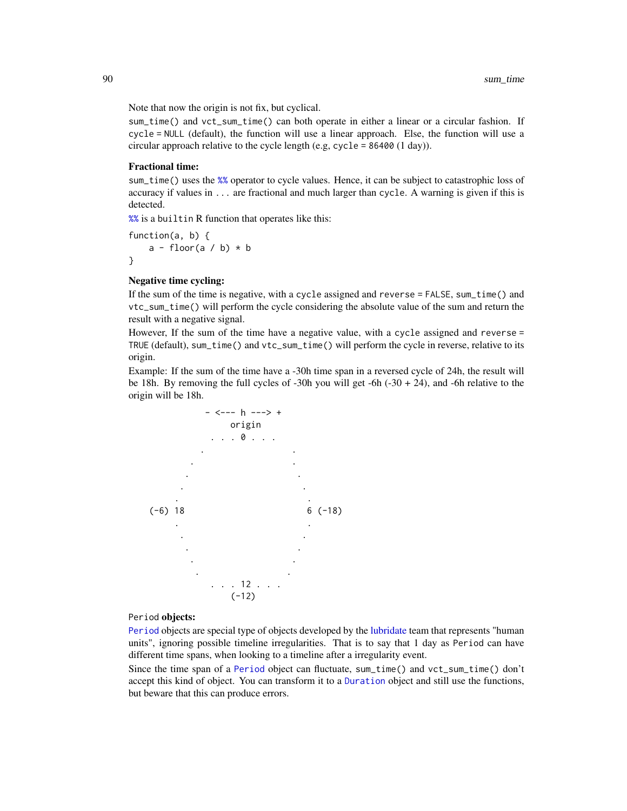<span id="page-89-0"></span>Note that now the origin is not fix, but cyclical.

sum\_time() and vct\_sum\_time() can both operate in either a linear or a circular fashion. If cycle = NULL (default), the function will use a linear approach. Else, the function will use a circular approach relative to the cycle length (e.g, cycle = 86400 (1 day)).

#### Fractional time:

sum\_time() uses the [%%](#page-0-0) operator to cycle values. Hence, it can be subject to catastrophic loss of accuracy if values in ... are fractional and much larger than cycle. A warning is given if this is detected.

[%%](#page-0-0) is a builtin R function that operates like this:

function(a, b) {  $a - floor(a / b) * b$ }

## Negative time cycling:

If the sum of the time is negative, with a cycle assigned and reverse = FALSE, sum\_time() and vtc\_sum\_time() will perform the cycle considering the absolute value of the sum and return the result with a negative signal.

However, If the sum of the time have a negative value, with a cycle assigned and reverse = TRUE (default), sum\_time() and vtc\_sum\_time() will perform the cycle in reverse, relative to its origin.

Example: If the sum of the time have a -30h time span in a reversed cycle of 24h, the result will be 18h. By removing the full cycles of  $-30h$  you will get  $-6h$   $(-30 + 24)$ , and  $-6h$  relative to the origin will be 18h.



## Period objects:

[Period](#page-0-0) objects are special type of objects developed by the [lubridate](#page-0-0) team that represents "human units", ignoring possible timeline irregularities. That is to say that 1 day as Period can have different time spans, when looking to a timeline after a irregularity event.

Since the time span of a [Period](#page-0-0) object can fluctuate, sum\_time() and vct\_sum\_time() don't accept this kind of object. You can transform it to a [Duration](#page-0-0) object and still use the functions, but beware that this can produce errors.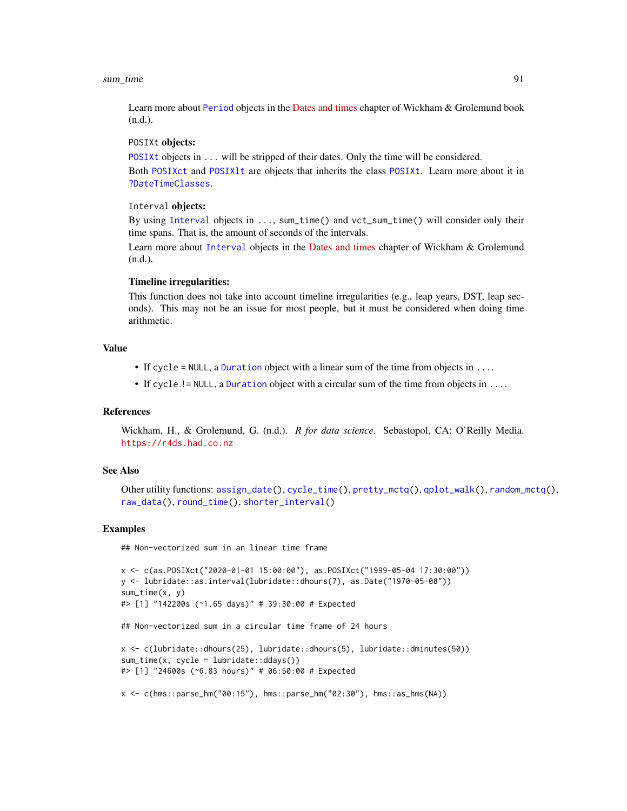#### <span id="page-90-0"></span>sum\_time 91

Learn more about [Period](#page-0-0) objects in the [Dates and times](https://r4ds.had.co.nz/dates-and-times.html#periods) chapter of Wickham & Grolemund book (n.d.).

#### POSIXt objects:

[POSIXt](#page-0-0) objects in ... will be stripped of their dates. Only the time will be considered. Both [POSIXct](#page-0-0) and [POSIXlt](#page-0-0) are objects that inherits the class [POSIXt](#page-0-0). Learn more about it in [?DateTimeClasses](#page-0-0).

## Interval objects:

By using [Interval](#page-0-0) objects in ..., sum\_time() and vct\_sum\_time() will consider only their time spans. That is, the amount of seconds of the intervals.

Learn more about [Interval](#page-0-0) objects in the [Dates and times](https://r4ds.had.co.nz/dates-and-times.html#periods) chapter of Wickham & Grolemund (n.d.).

## Timeline irregularities:

This function does not take into account timeline irregularities (e.g., leap years, DST, leap seconds). This may not be an issue for most people, but it must be considered when doing time arithmetic.

#### Value

- If cycle = NULL, a [Duration](#page-0-0) object with a linear sum of the time from objects in ....
- If cycle != NULL, a [Duration](#page-0-0) object with a circular sum of the time from objects in ....

# References

Wickham, H., & Grolemund, G. (n.d.). *R for data science*. Sebastopol, CA: O'Reilly Media. <https://r4ds.had.co.nz>

## See Also

```
Other utility functions: assign_date(), cycle_time(), pretty_mctq(), qplot_walk(), random_mctq(),
raw_data(), round_time(), shorter_interval()
```
## Examples

## Non-vectorized sum in an linear time frame

```
x <- c(as.POSIXct("2020-01-01 15:00:00"), as.POSIXct("1999-05-04 17:30:00"))
y <- lubridate::as.interval(lubridate::dhours(7), as.Date("1970-05-08"))
sum_time(x, y)
#> [1] "142200s (~1.65 days)" # 39:30:00 # Expected
## Non-vectorized sum in a circular time frame of 24 hours
x <- c(lubridate::dhours(25), lubridate::dhours(5), lubridate::dminutes(50))
sum_time(x, cycle = lubridate::ddays())
#> [1] "24600s (~6.83 hours)" # 06:50:00 # Expected
x <- c(hms::parse_hm("00:15"), hms::parse_hm("02:30"), hms::as_hms(NA))
```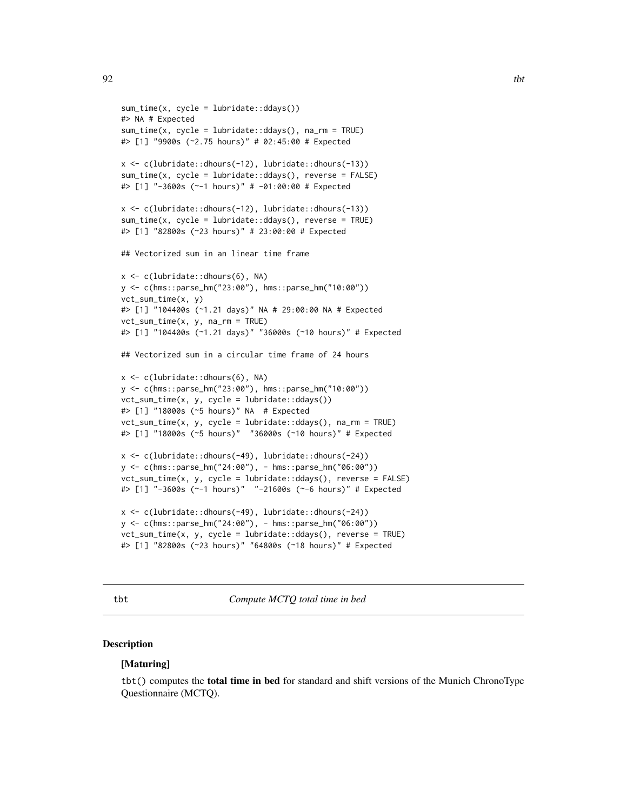```
sum_time(x, cycle = lubridate::ddays())
#> NA # Expected
sum_time(x, cycle = lubridate::ddays(), na_rm = TRUE)
#> [1] "9900s (~2.75 hours)" # 02:45:00 # Expected
x <- c(lubridate::dhours(-12), lubridate::dhours(-13))
sum_time(x, cycle = lubridate::ddays(), reverse = FALSE)
#> [1] "-3600s (~-1 hours)" # -01:00:00 # Expected
x <- c(lubridate::dhours(-12), lubridate::dhours(-13))
sum_time(x, cycle = lubridate::ddays(), reverse = TRUE)
#> [1] "82800s (~23 hours)" # 23:00:00 # Expected
## Vectorized sum in an linear time frame
x <- c(lubridate::dhours(6), NA)
y <- c(hms::parse_hm("23:00"), hms::parse_hm("10:00"))
vct_sum_time(x, y)
#> [1] "104400s (~1.21 days)" NA # 29:00:00 NA # Expected
vct_sum_time(x, y, na_rm = TRUE)
#> [1] "104400s (~1.21 days)" "36000s (~10 hours)" # Expected
## Vectorized sum in a circular time frame of 24 hours
x <- c(lubridate::dhours(6), NA)
y <- c(hms::parse_hm("23:00"), hms::parse_hm("10:00"))
vct_sum_time(x, y, cycle = lubridate::ddays())
#> [1] "18000s (~5 hours)" NA # Expected
vct_sum_time(x, y, cycle = lubridate::ddays(), na_rm = TRUE)
#> [1] "18000s (~5 hours)" "36000s (~10 hours)" # Expected
x <- c(lubridate::dhours(-49), lubridate::dhours(-24))
y <- c(hms::parse_hm("24:00"), - hms::parse_hm("06:00"))
vct_sum_time(x, y, cycle = lubridate::ddays(), reverse = FALSE)
#> [1] "-3600s (~-1 hours)" "-21600s (~-6 hours)" # Expected
x <- c(lubridate::dhours(-49), lubridate::dhours(-24))
y <- c(hms::parse_hm("24:00"), - hms::parse_hm("06:00"))
vct_sum_time(x, y, cycle = lubridate::ddays(), reverse = TRUE)
#> [1] "82800s (~23 hours)" "64800s (~18 hours)" # Expected
```
<span id="page-91-0"></span>

tbt *Compute MCTQ total time in bed*

## **Description**

## [Maturing]

tbt() computes the total time in bed for standard and shift versions of the Munich ChronoType Questionnaire (MCTQ).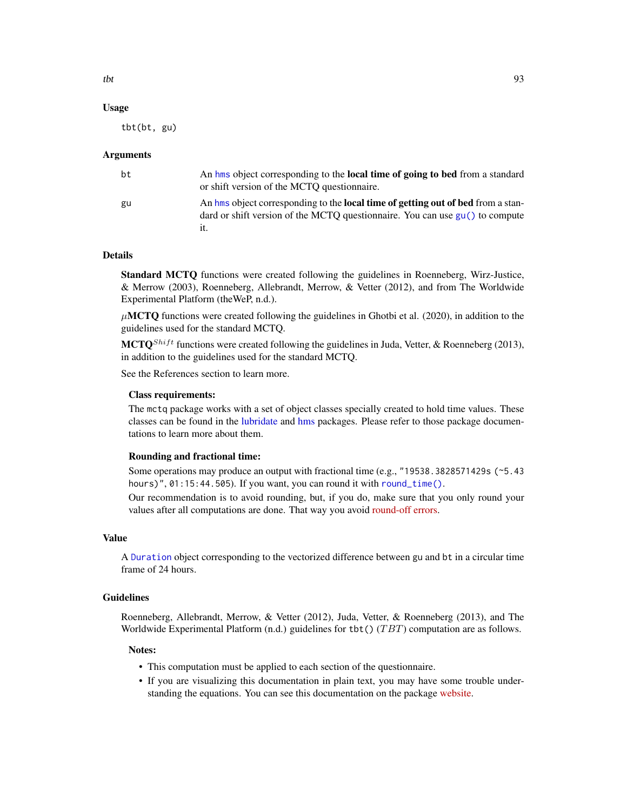## <span id="page-92-0"></span>Usage

tbt(bt, gu)

#### **Arguments**

| bt | An hms object corresponding to the <b>local time of going to bed</b> from a standard<br>or shift version of the MCTQ questionnaire.                                            |
|----|--------------------------------------------------------------------------------------------------------------------------------------------------------------------------------|
| gu | An hms object corresponding to the <b>local time of getting out of bed</b> from a stan-<br>dard or shift version of the MCTQ questionnaire. You can use gu() to compute<br>it. |

## Details

Standard MCTQ functions were created following the guidelines in Roenneberg, Wirz-Justice, & Merrow (2003), Roenneberg, Allebrandt, Merrow, & Vetter (2012), and from The Worldwide Experimental Platform (theWeP, n.d.).

 $\mu$ MCTQ functions were created following the guidelines in Ghotbi et al. (2020), in addition to the guidelines used for the standard MCTQ.

**MCTO**<sup>Shift</sup> functions were created following the guidelines in Juda, Vetter, & Roenneberg (2013), in addition to the guidelines used for the standard MCTQ.

See the References section to learn more.

## Class requirements:

The mctq package works with a set of object classes specially created to hold time values. These classes can be found in the [lubridate](#page-0-0) and [hms](#page-0-0) packages. Please refer to those package documentations to learn more about them.

#### Rounding and fractional time:

Some operations may produce an output with fractional time (e.g., "19538.3828571429s (~5.43 hours)", 01:15:44.505). If you want, you can round it with [round\\_time\(\)](#page-35-0).

Our recommendation is to avoid rounding, but, if you do, make sure that you only round your values after all computations are done. That way you avoid [round-off errors.](https://en.wikipedia.org/wiki/Round-off_error)

## Value

A [Duration](#page-0-0) object corresponding to the vectorized difference between gu and bt in a circular time frame of 24 hours.

#### Guidelines

Roenneberg, Allebrandt, Merrow, & Vetter (2012), Juda, Vetter, & Roenneberg (2013), and The Worldwide Experimental Platform (n.d.) guidelines for tbt()  $(TBT)$  computation are as follows.

#### Notes:

- This computation must be applied to each section of the questionnaire.
- If you are visualizing this documentation in plain text, you may have some trouble understanding the equations. You can see this documentation on the package [website.](https://docs.ropensci.org/mctq/reference/)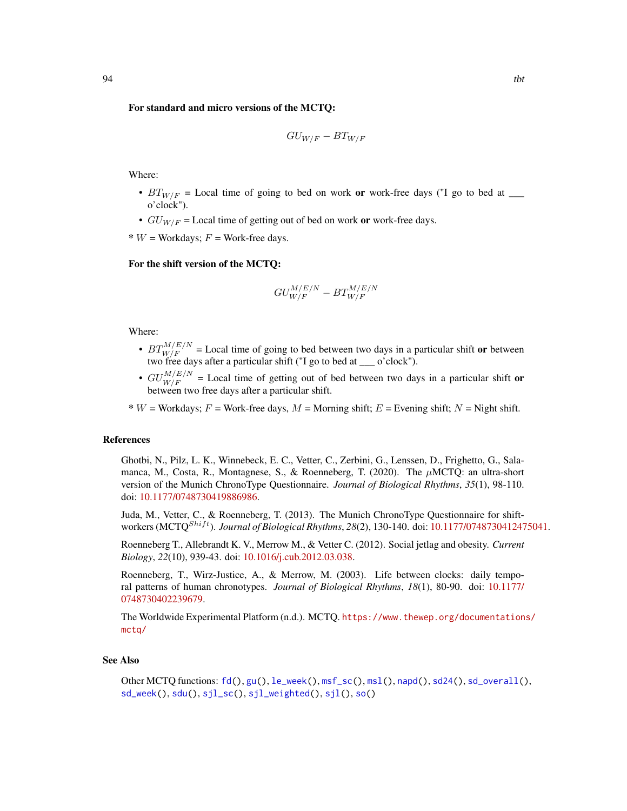#### <span id="page-93-0"></span>For standard and micro versions of the MCTQ:

$$
GU_{W/F}-BT_{W/F}
$$

Where:

- $BT_{W/F}$  = Local time of going to bed on work or work-free days ("I go to bed at  $\Box$ o'clock").
- $GU_{W/F}$  = Local time of getting out of bed on work or work-free days.

 $* W =$  Workdays;  $F =$  Work-free days.

#### For the shift version of the MCTQ:

$$
GU_{W/F}^{M/E/N}-BT_{W/F}^{M/E/N}
$$

Where:

- $BT_{W/F}^{M/E/N}$  = Local time of going to bed between two days in a particular shift or between two free days after a particular shift ("I go to bed at  $\sim$  o'clock").
- $GU_{W/F}^{M/E/N}$  = Local time of getting out of bed between two days in a particular shift or between two free days after a particular shift.

 $* W =$  Workdays;  $F =$  Work-free days,  $M =$  Morning shift;  $E =$  Evening shift;  $N =$  Night shift.

#### References

Ghotbi, N., Pilz, L. K., Winnebeck, E. C., Vetter, C., Zerbini, G., Lenssen, D., Frighetto, G., Salamanca, M., Costa, R., Montagnese, S., & Roenneberg, T. (2020). The  $\mu$ MCTQ: an ultra-short version of the Munich ChronoType Questionnaire. *Journal of Biological Rhythms*, *35*(1), 98-110. doi: [10.1177/0748730419886986.](https://doi.org/10.1177/0748730419886986)

Juda, M., Vetter, C., & Roenneberg, T. (2013). The Munich ChronoType Questionnaire for shiftworkers (MCTO<sup>Shift</sup>). *Journal of Biological Rhythms*, 28(2), 130-140. doi: [10.1177/0748730412475041.](https://doi.org/10.1177/0748730412475041)

Roenneberg T., Allebrandt K. V., Merrow M., & Vetter C. (2012). Social jetlag and obesity. *Current Biology*, *22*(10), 939-43. doi: [10.1016/j.cub.2012.03.038.](https://doi.org/10.1016/j.cub.2012.03.038)

Roenneberg, T., Wirz-Justice, A., & Merrow, M. (2003). Life between clocks: daily temporal patterns of human chronotypes. *Journal of Biological Rhythms*, *18*(1), 80-90. doi: [10.1177/](https://doi.org/10.1177/0748730402239679) [0748730402239679.](https://doi.org/10.1177/0748730402239679)

The Worldwide Experimental Platform (n.d.). MCTQ. [https://www.thewep.org/documentation](https://www.thewep.org/documentations/mctq/)s/ [mctq/](https://www.thewep.org/documentations/mctq/)

#### See Also

Other MCTQ functions: [fd\(](#page-7-0)), [gu\(](#page-9-0)), [le\\_week\(](#page-11-0)), [msf\\_sc\(](#page-19-0)), [msl\(](#page-23-0)), [napd\(](#page-26-0)), [sd24\(](#page-37-0)), [sd\\_overall\(](#page-43-0)), [sd\\_week\(](#page-46-0)), [sdu\(](#page-40-0)), [sjl\\_sc\(](#page-66-0)), [sjl\\_weighted\(](#page-70-0)), [sjl\(](#page-61-0)), [so\(](#page-77-0))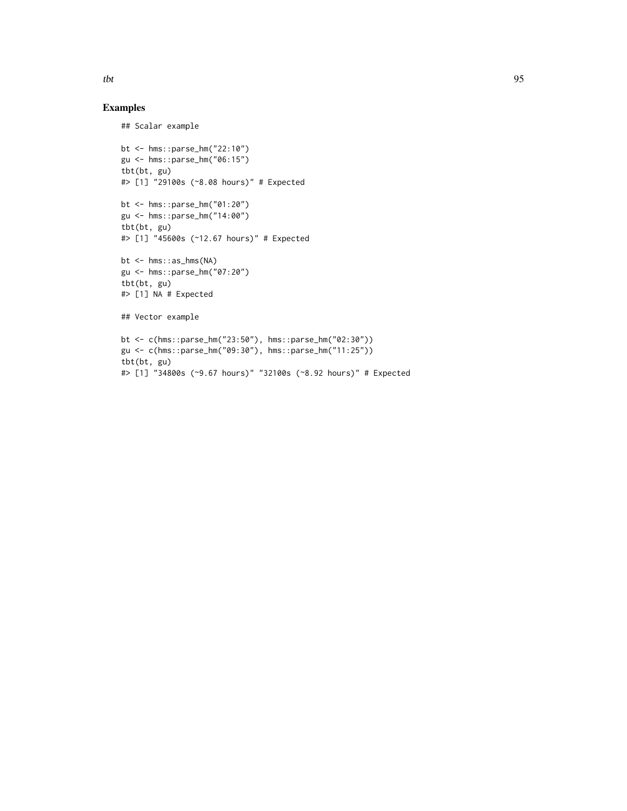## Scalar example

```
bt <- hms::parse_hm("22:10")
gu <- hms::parse_hm("06:15")
tbt(bt, gu)
#> [1] "29100s (~8.08 hours)" # Expected
bt <- hms::parse_hm("01:20")
gu <- hms::parse_hm("14:00")
tbt(bt, gu)
#> [1] "45600s (~12.67 hours)" # Expected
bt <- hms::as_hms(NA)
gu <- hms::parse_hm("07:20")
tbt(bt, gu)
#> [1] NA # Expected
## Vector example
bt <- c(hms::parse_hm("23:50"), hms::parse_hm("02:30"))
gu <- c(hms::parse_hm("09:30"), hms::parse_hm("11:25"))
tbt(bt, gu)
#> [1] "34800s (~9.67 hours)" "32100s (~8.92 hours)" # Expected
```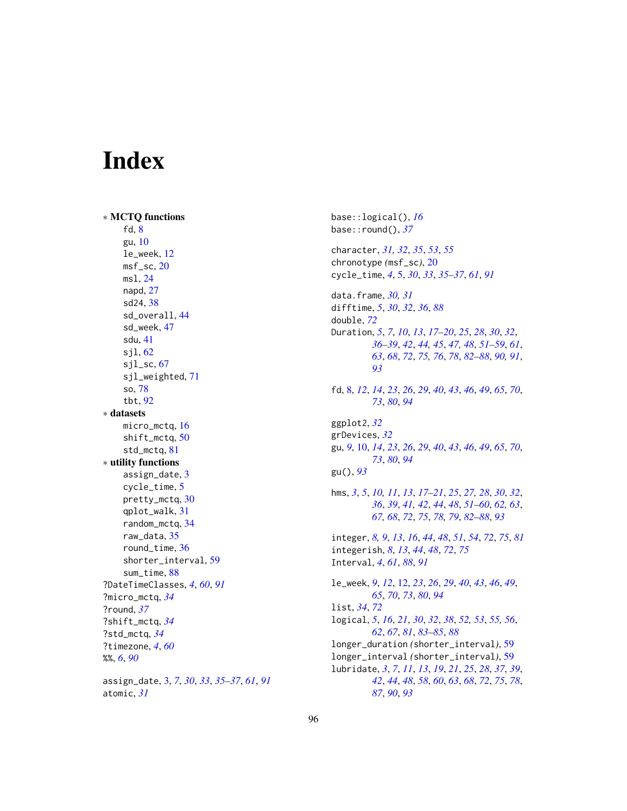# **Index**

∗ MCTQ functions fd, [8](#page-7-1) gu, [10](#page-9-1) le\_week, [12](#page-11-1) msf\_sc, [20](#page-19-1) msl, [24](#page-23-1) napd, [27](#page-26-1) sd24, [38](#page-37-1) sd\_overall, [44](#page-43-1) sd\_week, [47](#page-46-1) sdu, [41](#page-40-1) sjl, [62](#page-61-1)  $sjl$ <sub>sc</sub>,  $67$ sjl\_weighted, [71](#page-70-1) so, [78](#page-77-1) tbt, [92](#page-91-1) ∗ datasets micro\_mctq, [16](#page-15-1) shift\_mctq, [50](#page-49-1) std\_mctq, [81](#page-80-0) ∗ utility functions assign\_date, [3](#page-2-1) cycle\_time, [5](#page-4-1) pretty\_mctq, [30](#page-29-1) qplot\_walk, [31](#page-30-1) random\_mctq, [34](#page-33-1) raw\_data, [35](#page-34-1) round\_time, [36](#page-35-1) shorter\_interval, [59](#page-58-1) sum\_time, [88](#page-87-0) ?DateTimeClasses, *[4](#page-3-0)*, *[60](#page-59-0)*, *[91](#page-90-0)* ?micro\_mctq, *[34](#page-33-1)* ?round, *[37](#page-36-0)* ?shift\_mctq, *[34](#page-33-1)* ?std\_mctq, *[34](#page-33-1)* ?timezone, *[4](#page-3-0)*, *[60](#page-59-0)* %%, *[6](#page-5-0)*, *[90](#page-89-0)* assign\_date, [3,](#page-2-1) *[7](#page-6-0)*, *[30](#page-29-1)*, *[33](#page-32-0)*, *[35–](#page-34-1)[37](#page-36-0)*, *[61](#page-60-0)*, *[91](#page-90-0)* atomic, *[31](#page-30-1)*

base::logical(), *[16](#page-15-1)* base::round(), *[37](#page-36-0)* character, *[31,](#page-30-1) [32](#page-31-0)*, *[35](#page-34-1)*, *[53](#page-52-0)*, *[55](#page-54-0)* chronotype *(*msf\_sc*)*, [20](#page-19-1) cycle\_time, *[4](#page-3-0)*, [5,](#page-4-1) *[30](#page-29-1)*, *[33](#page-32-0)*, *[35](#page-34-1)[–37](#page-36-0)*, *[61](#page-60-0)*, *[91](#page-90-0)* data.frame, *[30,](#page-29-1) [31](#page-30-1)* difftime, *[5](#page-4-1)*, *[30](#page-29-1)*, *[32](#page-31-0)*, *[36](#page-35-1)*, *[88](#page-87-0)* double, *[72](#page-71-0)* Duration, *[5](#page-4-1)*, *[7](#page-6-0)*, *[10](#page-9-1)*, *[13](#page-12-0)*, *[17](#page-16-0)[–20](#page-19-1)*, *[25](#page-24-0)*, *[28](#page-27-0)*, *[30](#page-29-1)*, *[32](#page-31-0)*, *[36](#page-35-1)[–39](#page-38-0)*, *[42](#page-41-0)*, *[44,](#page-43-1) [45](#page-44-0)*, *[47,](#page-46-1) [48](#page-47-0)*, *[51](#page-50-0)[–59](#page-58-1)*, *[61](#page-60-0)*, *[63](#page-62-0)*, *[68](#page-67-0)*, *[72](#page-71-0)*, *[75,](#page-74-0) [76](#page-75-0)*, *[78](#page-77-1)*, *[82](#page-81-0)[–88](#page-87-0)*, *[90,](#page-89-0) [91](#page-90-0)*, *[93](#page-92-0)* fd, [8,](#page-7-1) *[12](#page-11-1)*, *[14](#page-13-0)*, *[23](#page-22-0)*, *[26](#page-25-0)*, *[29](#page-28-0)*, *[40](#page-39-0)*, *[43](#page-42-0)*, *[46](#page-45-0)*, *[49](#page-48-0)*, *[65](#page-64-0)*, *[70](#page-69-0)*, *[73](#page-72-0)*, *[80](#page-79-0)*, *[94](#page-93-0)* ggplot2, *[32](#page-31-0)* grDevices, *[32](#page-31-0)* gu, *[9](#page-8-0)*, [10,](#page-9-1) *[14](#page-13-0)*, *[23](#page-22-0)*, *[26](#page-25-0)*, *[29](#page-28-0)*, *[40](#page-39-0)*, *[43](#page-42-0)*, *[46](#page-45-0)*, *[49](#page-48-0)*, *[65](#page-64-0)*, *[70](#page-69-0)*, *[73](#page-72-0)*, *[80](#page-79-0)*, *[94](#page-93-0)* gu(), *[93](#page-92-0)* hms, *[3](#page-2-1)*, *[5](#page-4-1)*, *[10,](#page-9-1) [11](#page-10-0)*, *[13](#page-12-0)*, *[17](#page-16-0)[–21](#page-20-0)*, *[25](#page-24-0)*, *[27,](#page-26-1) [28](#page-27-0)*, *[30](#page-29-1)*, *[32](#page-31-0)*, *[36](#page-35-1)*, *[39](#page-38-0)*, *[41,](#page-40-1) [42](#page-41-0)*, *[44](#page-43-1)*, *[48](#page-47-0)*, *[51](#page-50-0)[–60](#page-59-0)*, *[62,](#page-61-1) [63](#page-62-0)*, *[67,](#page-66-1) [68](#page-67-0)*, *[72](#page-71-0)*, *[75](#page-74-0)*, *[78,](#page-77-1) [79](#page-78-0)*, *[82](#page-81-0)[–88](#page-87-0)*, *[93](#page-92-0)* integer, *[8,](#page-7-1) [9](#page-8-0)*, *[13](#page-12-0)*, *[16](#page-15-1)*, *[44](#page-43-1)*, *[48](#page-47-0)*, *[51](#page-50-0)*, *[54](#page-53-0)*, *[72](#page-71-0)*, *[75](#page-74-0)*, *[81](#page-80-0)* integerish, *[8](#page-7-1)*, *[13](#page-12-0)*, *[44](#page-43-1)*, *[48](#page-47-0)*, *[72](#page-71-0)*, *[75](#page-74-0)* Interval, *[4](#page-3-0)*, *[61](#page-60-0)*, *[88](#page-87-0)*, *[91](#page-90-0)* le\_week, *[9](#page-8-0)*, *[12](#page-11-1)*, [12,](#page-11-1) *[23](#page-22-0)*, *[26](#page-25-0)*, *[29](#page-28-0)*, *[40](#page-39-0)*, *[43](#page-42-0)*, *[46](#page-45-0)*, *[49](#page-48-0)*, *[65](#page-64-0)*, *[70](#page-69-0)*, *[73](#page-72-0)*, *[80](#page-79-0)*, *[94](#page-93-0)* list, *[34](#page-33-1)*, *[72](#page-71-0)* logical, *[5](#page-4-1)*, *[16](#page-15-1)*, *[21](#page-20-0)*, *[30](#page-29-1)*, *[32](#page-31-0)*, *[38](#page-37-1)*, *[52,](#page-51-0) [53](#page-52-0)*, *[55,](#page-54-0) [56](#page-55-0)*, *[62](#page-61-1)*, *[67](#page-66-1)*, *[81](#page-80-0)*, *[83](#page-82-0)[–85](#page-84-0)*, *[88](#page-87-0)* longer\_duration *(*shorter\_interval*)*, [59](#page-58-1) longer\_interval *(*shorter\_interval*)*, [59](#page-58-1) lubridate, *[3](#page-2-1)*, *[7](#page-6-0)*, *[11](#page-10-0)*, *[13](#page-12-0)*, *[19](#page-18-0)*, *[21](#page-20-0)*, *[25](#page-24-0)*, *[28](#page-27-0)*, *[37](#page-36-0)*, *[39](#page-38-0)*, *[42](#page-41-0)*, *[44](#page-43-1)*, *[48](#page-47-0)*, *[58](#page-57-0)*, *[60](#page-59-0)*, *[63](#page-62-0)*, *[68](#page-67-0)*, *[72](#page-71-0)*, *[75](#page-74-0)*, *[78](#page-77-1)*, *[87](#page-86-0)*, *[90](#page-89-0)*, *[93](#page-92-0)*